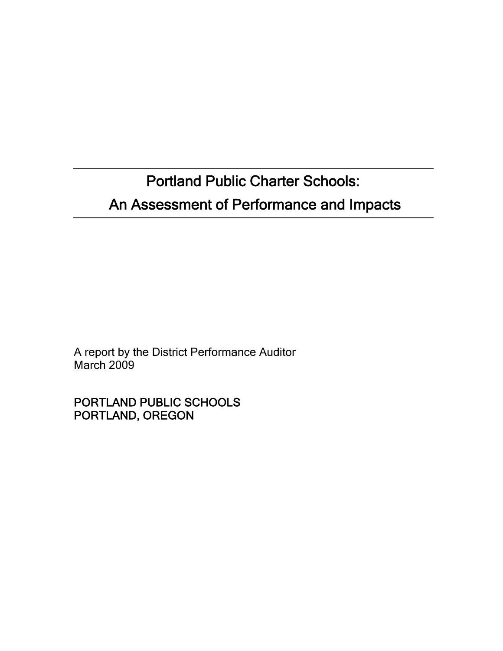Portland Public Charter Schools: An Assessment of Performance and Impacts

A report by the District Performance Auditor March 2009

PORTLAND PUBLIC SCHOOLS PORTLAND, OREGON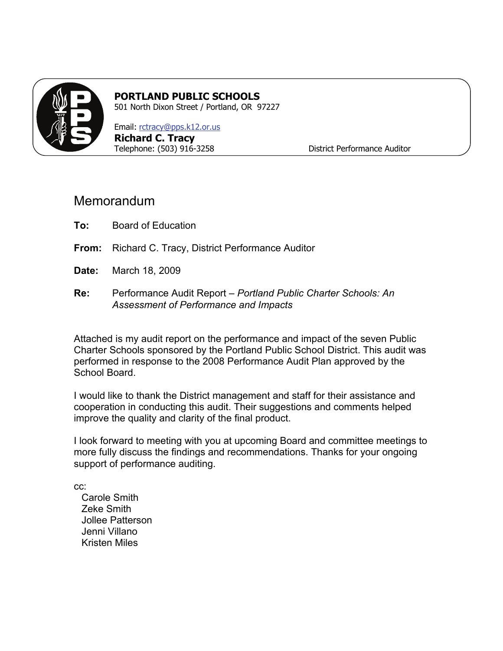

## **PORTLAND PUBLIC SCHOOLS**

501 North Dixon Street / Portland, OR 97227

Email: [rctracy@pps.k12.or.us](mailto:rctracy@pps.k12.or.us) **Richard C. Tracy**  Telephone: (503) 916-3258 District Performance Auditor

## Memorandum

- **To:** Board of Education
- **From:** Richard C. Tracy, District Performance Auditor
- **Date:** March 18, 2009
- **Re:** Performance Audit Report *Portland Public Charter Schools: An Assessment of Performance and Impacts*

Attached is my audit report on the performance and impact of the seven Public Charter Schools sponsored by the Portland Public School District. This audit was performed in response to the 2008 Performance Audit Plan approved by the School Board.

I would like to thank the District management and staff for their assistance and cooperation in conducting this audit. Their suggestions and comments helped improve the quality and clarity of the final product.

I look forward to meeting with you at upcoming Board and committee meetings to more fully discuss the findings and recommendations. Thanks for your ongoing support of performance auditing.

cc:

Carole Smith Zeke Smith Jollee Patterson Jenni Villano Kristen Miles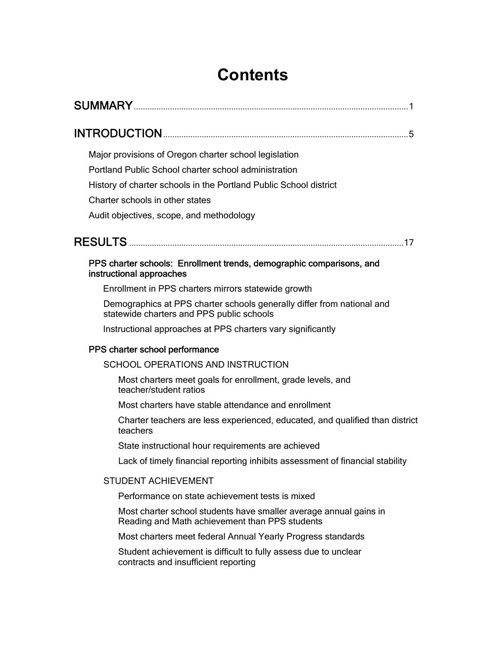## **Contents**

| Major provisions of Oregon charter school legislation                                                               |
|---------------------------------------------------------------------------------------------------------------------|
| Portland Public School charter school administration                                                                |
| History of charter schools in the Portland Public School district                                                   |
| Charter schools in other states                                                                                     |
| Audit objectives, scope, and methodology                                                                            |
|                                                                                                                     |
| PPS charter schools: Enrollment trends, demographic comparisons, and<br>instructional approaches                    |
| Enrollment in PPS charters mirrors statewide growth                                                                 |
| Demographics at PPS charter schools generally differ from national and<br>statewide charters and PPS public schools |
| Instructional approaches at PPS charters vary significantly                                                         |
| PPS charter school performance                                                                                      |
| SCHOOL OPERATIONS AND INSTRUCTION                                                                                   |
| Most charters meet goals for enrollment, grade levels, and<br>teacher/student ratios                                |
| Most charters have stable attendance and enrollment                                                                 |
| Charter teachers are less experienced, educated, and qualified than district<br>teachers                            |
| State instructional hour requirements are achieved                                                                  |
| Lack of timely financial reporting inhibits assessment of financial stability                                       |
| <b>STUDENT ACHIEVEMENT</b>                                                                                          |
| Performance on state achievement tests is mixed                                                                     |
| Most charter school students have smaller average annual gains in<br>Reading and Math achievement than PPS students |
| Most charters meet federal Annual Yearly Progress standards                                                         |
| Student achievement is difficult to fully assess due to unclear<br>contracts and insufficient reporting             |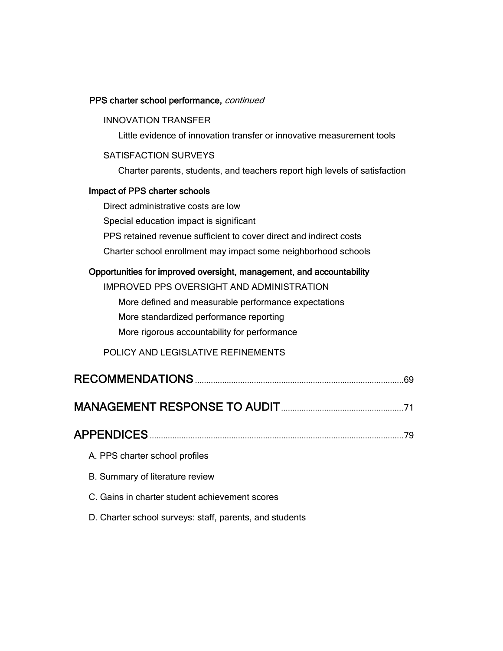#### PPS charter school performance, continued

## INNOVATION TRANSFER Little evidence of innovation transfer or innovative measurement tools SATISFACTION SURVEYS Charter parents, students, and teachers report high levels of satisfaction Impact of PPS charter schools Direct administrative costs are low Special education impact is significant PPS retained revenue sufficient to cover direct and indirect costs

Charter school enrollment may impact some neighborhood schools

#### Opportunities for improved oversight, management, and accountability

| IMPROVED PPS OVERSIGHT AND ADMINISTRATION            |
|------------------------------------------------------|
| More defined and measurable performance expectations |
| More standardized performance reporting              |
| More rigorous accountability for performance         |
| POLICY AND LEGISLATIVE REFINEMENTS                   |
| 69                                                   |
|                                                      |

| <b>APPENDICES</b> |  |
|-------------------|--|
|                   |  |

- A. PPS charter school profiles
- B. Summary of literature review
- C. Gains in charter student achievement scores
- D. Charter school surveys: staff, parents, and students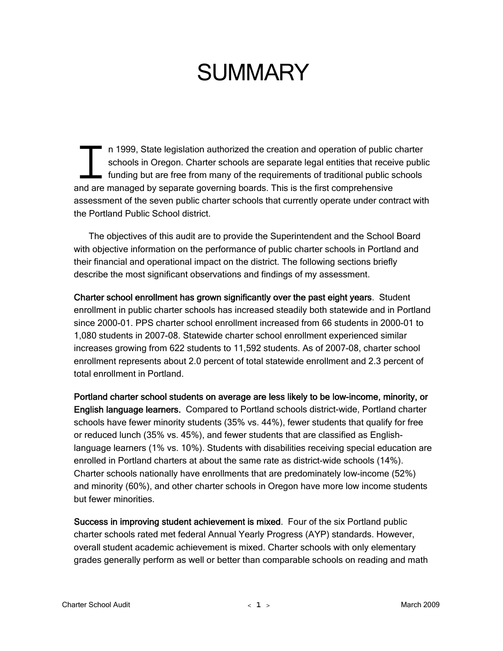## **SUMMARY**

n 1999, State legislation authorized the creation and operation of public charter schools in Oregon. Charter schools are separate legal entities that receive public funding but are free from many of the requirements of traditional public schools and are managed by separate governing boards. This is the first comprehensive and are managed by separate governing boards. This is the first comprehensive assessment of the seven public charter schools that currently operate under contract with the Portland Public School district.

The objectives of this audit are to provide the Superintendent and the School Board with objective information on the performance of public charter schools in Portland and their financial and operational impact on the district. The following sections briefly describe the most significant observations and findings of my assessment.

Charter school enrollment has grown significantly over the past eight years. Student enrollment in public charter schools has increased steadily both statewide and in Portland since 2000-01. PPS charter school enrollment increased from 66 students in 2000-01 to 1,080 students in 2007-08. Statewide charter school enrollment experienced similar increases growing from 622 students to 11,592 students. As of 2007-08, charter school enrollment represents about 2.0 percent of total statewide enrollment and 2.3 percent of total enrollment in Portland.

Portland charter school students on average are less likely to be low-income, minority, or English language learners. Compared to Portland schools district-wide, Portland charter schools have fewer minority students (35% vs. 44%), fewer students that qualify for free or reduced lunch (35% vs. 45%), and fewer students that are classified as Englishlanguage learners (1% vs. 10%). Students with disabilities receiving special education are enrolled in Portland charters at about the same rate as district-wide schools (14%). Charter schools nationally have enrollments that are predominately low-income (52%) and minority (60%), and other charter schools in Oregon have more low income students but fewer minorities.

Success in improving student achievement is mixed. Four of the six Portland public charter schools rated met federal Annual Yearly Progress (AYP) standards. However, overall student academic achievement is mixed. Charter schools with only elementary grades generally perform as well or better than comparable schools on reading and math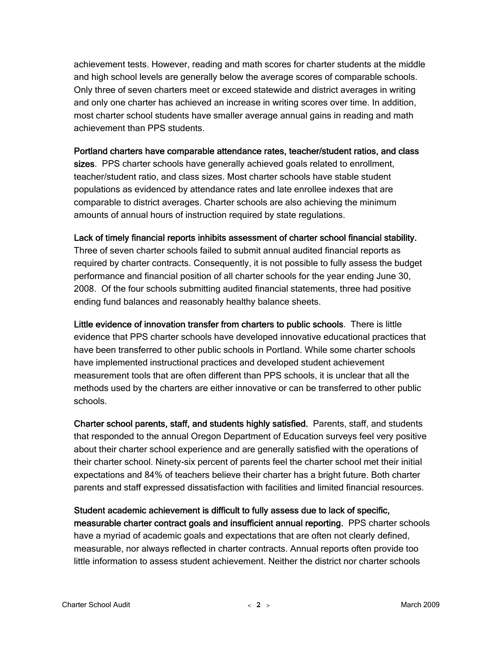achievement tests. However, reading and math scores for charter students at the middle and high school levels are generally below the average scores of comparable schools. Only three of seven charters meet or exceed statewide and district averages in writing and only one charter has achieved an increase in writing scores over time. In addition, most charter school students have smaller average annual gains in reading and math achievement than PPS students.

#### Portland charters have comparable attendance rates, teacher/student ratios, and class

sizes. PPS charter schools have generally achieved goals related to enrollment, teacher/student ratio, and class sizes. Most charter schools have stable student populations as evidenced by attendance rates and late enrollee indexes that are comparable to district averages. Charter schools are also achieving the minimum amounts of annual hours of instruction required by state regulations.

#### Lack of timely financial reports inhibits assessment of charter school financial stability.

Three of seven charter schools failed to submit annual audited financial reports as required by charter contracts. Consequently, it is not possible to fully assess the budget performance and financial position of all charter schools for the year ending June 30, 2008. Of the four schools submitting audited financial statements, three had positive ending fund balances and reasonably healthy balance sheets.

Little evidence of innovation transfer from charters to public schools. There is little evidence that PPS charter schools have developed innovative educational practices that have been transferred to other public schools in Portland. While some charter schools have implemented instructional practices and developed student achievement measurement tools that are often different than PPS schools, it is unclear that all the methods used by the charters are either innovative or can be transferred to other public schools.

Charter school parents, staff, and students highly satisfied. Parents, staff, and students that responded to the annual Oregon Department of Education surveys feel very positive about their charter school experience and are generally satisfied with the operations of their charter school. Ninety-six percent of parents feel the charter school met their initial expectations and 84% of teachers believe their charter has a bright future. Both charter parents and staff expressed dissatisfaction with facilities and limited financial resources.

Student academic achievement is difficult to fully assess due to lack of specific, measurable charter contract goals and insufficient annual reporting. PPS charter schools have a myriad of academic goals and expectations that are often not clearly defined, measurable, nor always reflected in charter contracts. Annual reports often provide too little information to assess student achievement. Neither the district nor charter schools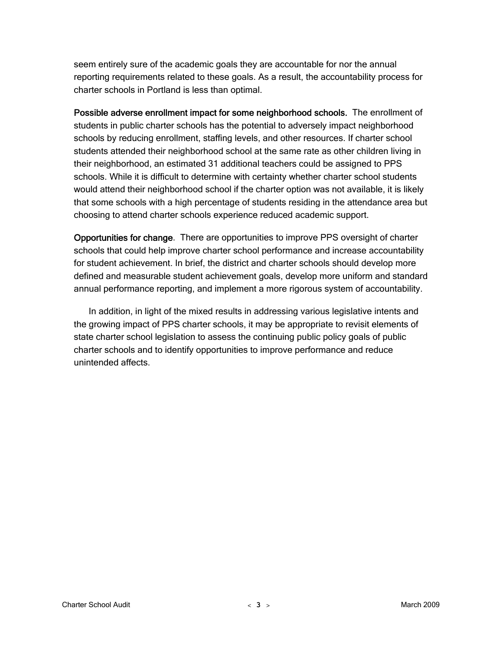seem entirely sure of the academic goals they are accountable for nor the annual reporting requirements related to these goals. As a result, the accountability process for charter schools in Portland is less than optimal.

Possible adverse enrollment impact for some neighborhood schools. The enrollment of students in public charter schools has the potential to adversely impact neighborhood schools by reducing enrollment, staffing levels, and other resources. If charter school students attended their neighborhood school at the same rate as other children living in their neighborhood, an estimated 31 additional teachers could be assigned to PPS schools. While it is difficult to determine with certainty whether charter school students would attend their neighborhood school if the charter option was not available, it is likely that some schools with a high percentage of students residing in the attendance area but choosing to attend charter schools experience reduced academic support.

Opportunities for change. There are opportunities to improve PPS oversight of charter schools that could help improve charter school performance and increase accountability for student achievement. In brief, the district and charter schools should develop more defined and measurable student achievement goals, develop more uniform and standard annual performance reporting, and implement a more rigorous system of accountability.

In addition, in light of the mixed results in addressing various legislative intents and the growing impact of PPS charter schools, it may be appropriate to revisit elements of state charter school legislation to assess the continuing public policy goals of public charter schools and to identify opportunities to improve performance and reduce unintended affects.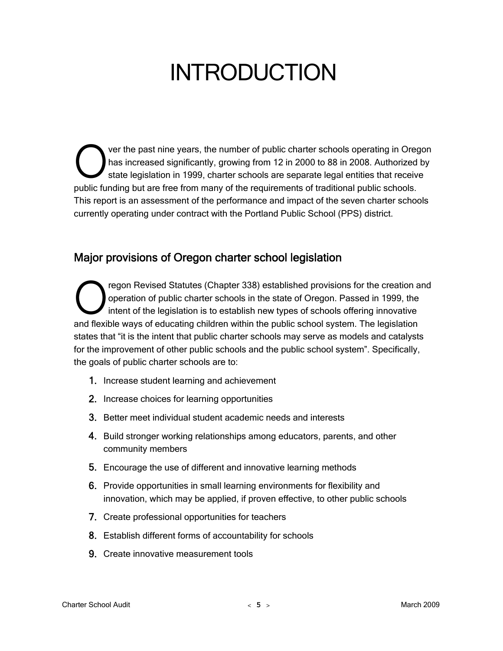## INTRODUCTION

ver the past nine years, the number of public charter schools operating in Oregon has increased significantly, growing from 12 in 2000 to 88 in 2008. Authorized by state legislation in 1999, charter schools are separate legal entities that receive public funding but are free from many of the requirements of traditional public schools. This report is an assessment of the performance and impact of the seven charter schools currently operating under contract with the Portland Public School (PPS) district.  $\bigcirc$ 

## Major provisions of Oregon charter school legislation

regon Revised Statutes (Chapter 338) established provisions for the creation and operation of public charter schools in the state of Oregon. Passed in 1999, the intent of the legislation is to establish new types of schools offering innovative The pregnon Revised Statutes (Chapter 338) established provisions for the creation and proposed in 1999, the intent of the legislation is to establish new types of schools offering innovative and flexible ways of educating states that "it is the intent that public charter schools may serve as models and catalysts for the improvement of other public schools and the public school system". Specifically, the goals of public charter schools are to:

- 1. Increase student learning and achievement
- 2. Increase choices for learning opportunities
- 3. Better meet individual student academic needs and interests
- 4. Build stronger working relationships among educators, parents, and other community members
- 5. Encourage the use of different and innovative learning methods
- 6. Provide opportunities in small learning environments for flexibility and innovation, which may be applied, if proven effective, to other public schools
- 7. Create professional opportunities for teachers
- 8. Establish different forms of accountability for schools
- 9. Create innovative measurement tools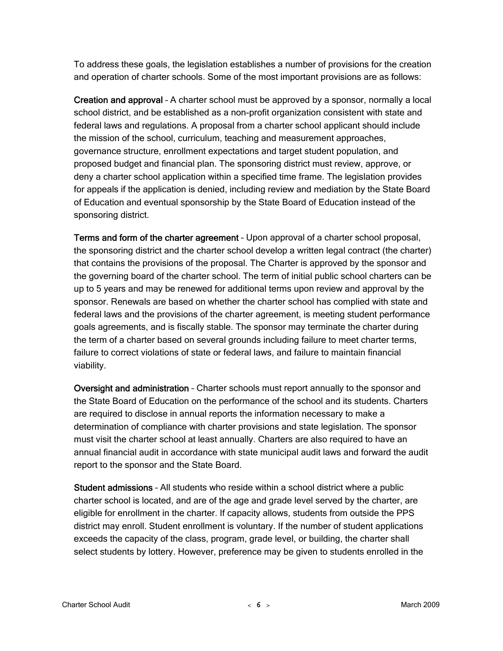To address these goals, the legislation establishes a number of provisions for the creation and operation of charter schools. Some of the most important provisions are as follows:

Creation and approval – A charter school must be approved by a sponsor, normally a local school district, and be established as a non-profit organization consistent with state and federal laws and regulations. A proposal from a charter school applicant should include the mission of the school, curriculum, teaching and measurement approaches, governance structure, enrollment expectations and target student population, and proposed budget and financial plan. The sponsoring district must review, approve, or deny a charter school application within a specified time frame. The legislation provides for appeals if the application is denied, including review and mediation by the State Board of Education and eventual sponsorship by the State Board of Education instead of the sponsoring district.

Terms and form of the charter agreement – Upon approval of a charter school proposal, the sponsoring district and the charter school develop a written legal contract (the charter) that contains the provisions of the proposal. The Charter is approved by the sponsor and the governing board of the charter school. The term of initial public school charters can be up to 5 years and may be renewed for additional terms upon review and approval by the sponsor. Renewals are based on whether the charter school has complied with state and federal laws and the provisions of the charter agreement, is meeting student performance goals agreements, and is fiscally stable. The sponsor may terminate the charter during the term of a charter based on several grounds including failure to meet charter terms, failure to correct violations of state or federal laws, and failure to maintain financial viability.

Oversight and administration – Charter schools must report annually to the sponsor and the State Board of Education on the performance of the school and its students. Charters are required to disclose in annual reports the information necessary to make a determination of compliance with charter provisions and state legislation. The sponsor must visit the charter school at least annually. Charters are also required to have an annual financial audit in accordance with state municipal audit laws and forward the audit report to the sponsor and the State Board.

Student admissions – All students who reside within a school district where a public charter school is located, and are of the age and grade level served by the charter, are eligible for enrollment in the charter. If capacity allows, students from outside the PPS district may enroll. Student enrollment is voluntary. If the number of student applications exceeds the capacity of the class, program, grade level, or building, the charter shall select students by lottery. However, preference may be given to students enrolled in the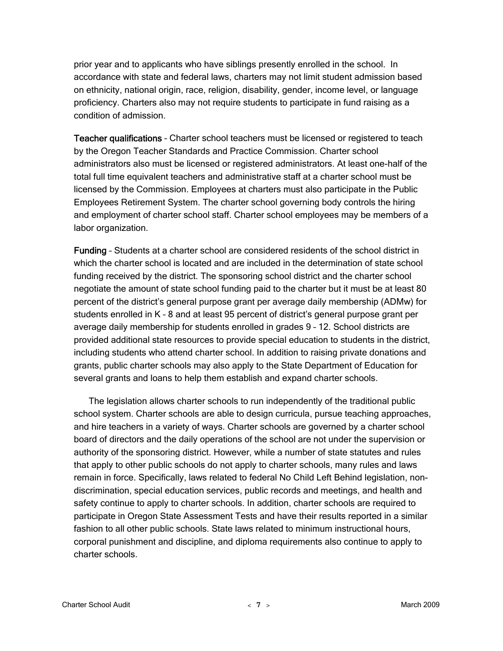prior year and to applicants who have siblings presently enrolled in the school. In accordance with state and federal laws, charters may not limit student admission based on ethnicity, national origin, race, religion, disability, gender, income level, or language proficiency. Charters also may not require students to participate in fund raising as a condition of admission.

Teacher qualifications – Charter school teachers must be licensed or registered to teach by the Oregon Teacher Standards and Practice Commission. Charter school administrators also must be licensed or registered administrators. At least one-half of the total full time equivalent teachers and administrative staff at a charter school must be licensed by the Commission. Employees at charters must also participate in the Public Employees Retirement System. The charter school governing body controls the hiring and employment of charter school staff. Charter school employees may be members of a labor organization.

Funding – Students at a charter school are considered residents of the school district in which the charter school is located and are included in the determination of state school funding received by the district. The sponsoring school district and the charter school negotiate the amount of state school funding paid to the charter but it must be at least 80 percent of the district's general purpose grant per average daily membership (ADMw) for students enrolled in K – 8 and at least 95 percent of district's general purpose grant per average daily membership for students enrolled in grades 9 – 12. School districts are provided additional state resources to provide special education to students in the district, including students who attend charter school. In addition to raising private donations and grants, public charter schools may also apply to the State Department of Education for several grants and loans to help them establish and expand charter schools.

The legislation allows charter schools to run independently of the traditional public school system. Charter schools are able to design curricula, pursue teaching approaches, and hire teachers in a variety of ways. Charter schools are governed by a charter school board of directors and the daily operations of the school are not under the supervision or authority of the sponsoring district. However, while a number of state statutes and rules that apply to other public schools do not apply to charter schools, many rules and laws remain in force. Specifically, laws related to federal No Child Left Behind legislation, nondiscrimination, special education services, public records and meetings, and health and safety continue to apply to charter schools. In addition, charter schools are required to participate in Oregon State Assessment Tests and have their results reported in a similar fashion to all other public schools. State laws related to minimum instructional hours, corporal punishment and discipline, and diploma requirements also continue to apply to charter schools.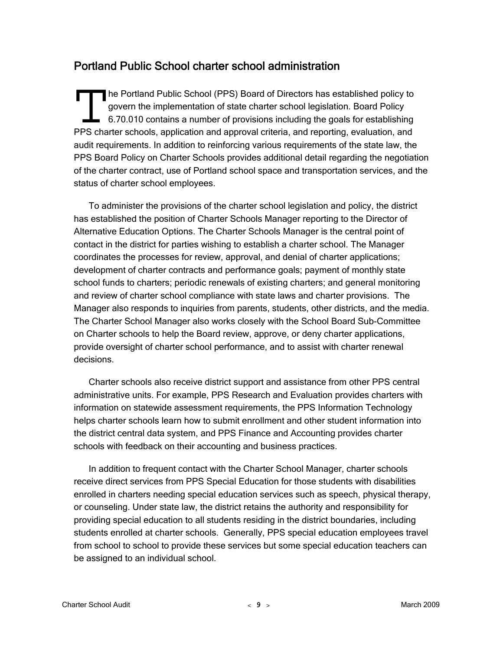## Portland Public School charter school administration

he Portland Public School (PPS) Board of Directors has established policy to govern the implementation of state charter school legislation. Board Policy 6.70.010 contains a number of provisions including the goals for establishing The Portland Public School (PPS) Board of Directors has established policy to govern the implementation of state charter school legislation. Board Policy 6.70.010 contains a number of provisions including the goals for est audit requirements. In addition to reinforcing various requirements of the state law, the PPS Board Policy on Charter Schools provides additional detail regarding the negotiation of the charter contract, use of Portland school space and transportation services, and the status of charter school employees.

To administer the provisions of the charter school legislation and policy, the district has established the position of Charter Schools Manager reporting to the Director of Alternative Education Options. The Charter Schools Manager is the central point of contact in the district for parties wishing to establish a charter school. The Manager coordinates the processes for review, approval, and denial of charter applications; development of charter contracts and performance goals; payment of monthly state school funds to charters; periodic renewals of existing charters; and general monitoring and review of charter school compliance with state laws and charter provisions. The Manager also responds to inquiries from parents, students, other districts, and the media. The Charter School Manager also works closely with the School Board Sub-Committee on Charter schools to help the Board review, approve, or deny charter applications, provide oversight of charter school performance, and to assist with charter renewal decisions.

Charter schools also receive district support and assistance from other PPS central administrative units. For example, PPS Research and Evaluation provides charters with information on statewide assessment requirements, the PPS Information Technology helps charter schools learn how to submit enrollment and other student information into the district central data system, and PPS Finance and Accounting provides charter schools with feedback on their accounting and business practices.

In addition to frequent contact with the Charter School Manager, charter schools receive direct services from PPS Special Education for those students with disabilities enrolled in charters needing special education services such as speech, physical therapy, or counseling. Under state law, the district retains the authority and responsibility for providing special education to all students residing in the district boundaries, including students enrolled at charter schools. Generally, PPS special education employees travel from school to school to provide these services but some special education teachers can be assigned to an individual school.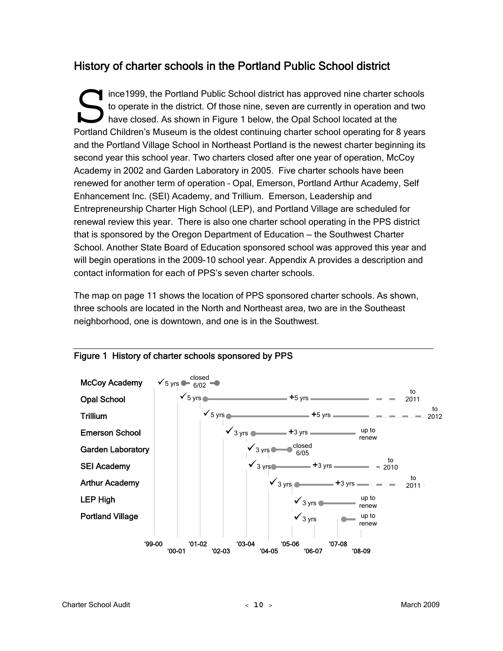## History of charter schools in the Portland Public School district

ince1999, the Portland Public School district has approved nine charter schools to operate in the district. Of those nine, seven are currently in operation and two have closed. As shown in Figure 1 below, the Opal School located at the Ince 1999, the Portland Public School district has approved nine charter schools<br>to operate in the district. Of those nine, seven are currently in operation and two<br>have closed. As shown in Figure 1 below, the Opal School and the Portland Village School in Northeast Portland is the newest charter beginning its second year this school year. Two charters closed after one year of operation, McCoy Academy in 2002 and Garden Laboratory in 2005. Five charter schools have been renewed for another term of operation – Opal, Emerson, Portland Arthur Academy, Self Enhancement Inc. (SEI) Academy, and Trillium. Emerson, Leadership and Entrepreneurship Charter High School (LEP), and Portland Village are scheduled for renewal review this year. There is also one charter school operating in the PPS district that is sponsored by the Oregon Department of Education — the Southwest Charter School. Another State Board of Education sponsored school was approved this year and will begin operations in the 2009-10 school year. Appendix A provides a description and contact information for each of PPS's seven charter schools.

The map on page 11 shows the location of PPS sponsored charter schools. As shown, three schools are located in the North and Northeast area, two are in the Southeast neighborhood, one is downtown, and one is in the Southwest.



#### Figure 1 History of charter schools sponsored by PPS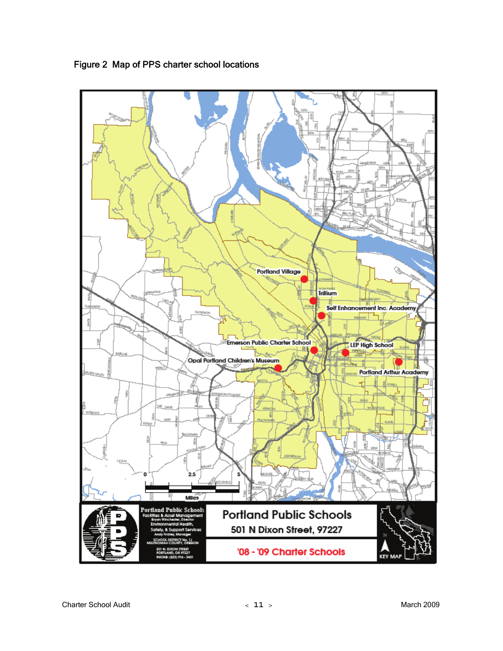

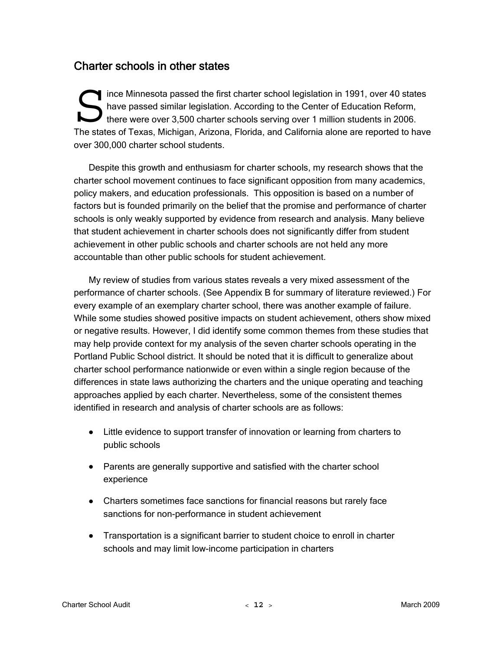### Charter schools in other states

ince Minnesota passed the first charter school legislation in 1991, over 40 states have passed similar legislation. According to the Center of Education Reform, there were over 3,500 charter schools serving over 1 million students in 2006. The states of Texas, Michigan, Arizona, Florida, and California alone are reported to have over 300,000 charter school students. S ince Min<br>have parties of Text<br>The states of Text

Despite this growth and enthusiasm for charter schools, my research shows that the charter school movement continues to face significant opposition from many academics, policy makers, and education professionals. This opposition is based on a number of factors but is founded primarily on the belief that the promise and performance of charter schools is only weakly supported by evidence from research and analysis. Many believe that student achievement in charter schools does not significantly differ from student achievement in other public schools and charter schools are not held any more accountable than other public schools for student achievement.

My review of studies from various states reveals a very mixed assessment of the performance of charter schools. (See Appendix B for summary of literature reviewed.) For every example of an exemplary charter school, there was another example of failure. While some studies showed positive impacts on student achievement, others show mixed or negative results. However, I did identify some common themes from these studies that may help provide context for my analysis of the seven charter schools operating in the Portland Public School district. It should be noted that it is difficult to generalize about charter school performance nationwide or even within a single region because of the differences in state laws authorizing the charters and the unique operating and teaching approaches applied by each charter. Nevertheless, some of the consistent themes identified in research and analysis of charter schools are as follows:

- Little evidence to support transfer of innovation or learning from charters to public schools
- Parents are generally supportive and satisfied with the charter school experience
- Charters sometimes face sanctions for financial reasons but rarely face sanctions for non-performance in student achievement
- Transportation is a significant barrier to student choice to enroll in charter schools and may limit low-income participation in charters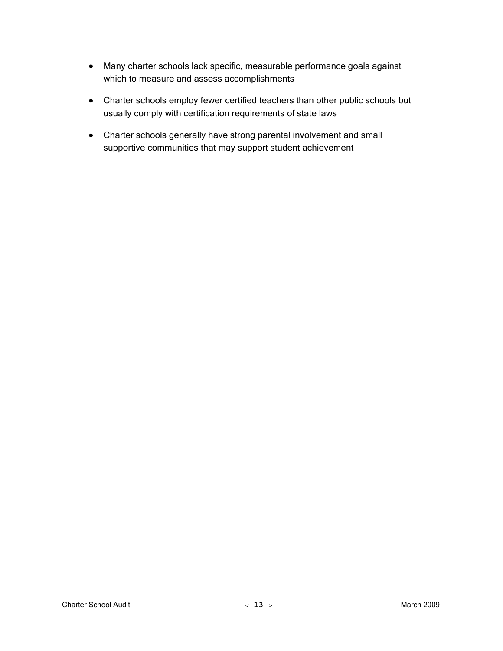- Many charter schools lack specific, measurable performance goals against which to measure and assess accomplishments
- Charter schools employ fewer certified teachers than other public schools but usually comply with certification requirements of state laws
- Charter schools generally have strong parental involvement and small supportive communities that may support student achievement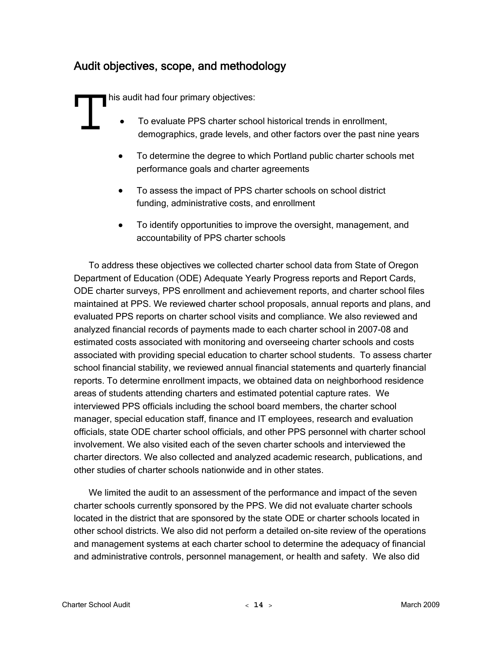## Audit objectives, scope, and methodology

his audit had four primary objectives:

- To evaluate PPS charter school historical trends in enrollment, demographics, grade levels, and other factors over the past nine years This audit<br>
• To<br>
de
	- To determine the degree to which Portland public charter schools met performance goals and charter agreements
	- To assess the impact of PPS charter schools on school district funding, administrative costs, and enrollment
	- To identify opportunities to improve the oversight, management, and accountability of PPS charter schools

To address these objectives we collected charter school data from State of Oregon Department of Education (ODE) Adequate Yearly Progress reports and Report Cards, ODE charter surveys, PPS enrollment and achievement reports, and charter school files maintained at PPS. We reviewed charter school proposals, annual reports and plans, and evaluated PPS reports on charter school visits and compliance. We also reviewed and analyzed financial records of payments made to each charter school in 2007-08 and estimated costs associated with monitoring and overseeing charter schools and costs associated with providing special education to charter school students. To assess charter school financial stability, we reviewed annual financial statements and quarterly financial reports. To determine enrollment impacts, we obtained data on neighborhood residence areas of students attending charters and estimated potential capture rates. We interviewed PPS officials including the school board members, the charter school manager, special education staff, finance and IT employees, research and evaluation officials, state ODE charter school officials, and other PPS personnel with charter school involvement. We also visited each of the seven charter schools and interviewed the charter directors. We also collected and analyzed academic research, publications, and other studies of charter schools nationwide and in other states.

We limited the audit to an assessment of the performance and impact of the seven charter schools currently sponsored by the PPS. We did not evaluate charter schools located in the district that are sponsored by the state ODE or charter schools located in other school districts. We also did not perform a detailed on-site review of the operations and management systems at each charter school to determine the adequacy of financial and administrative controls, personnel management, or health and safety. We also did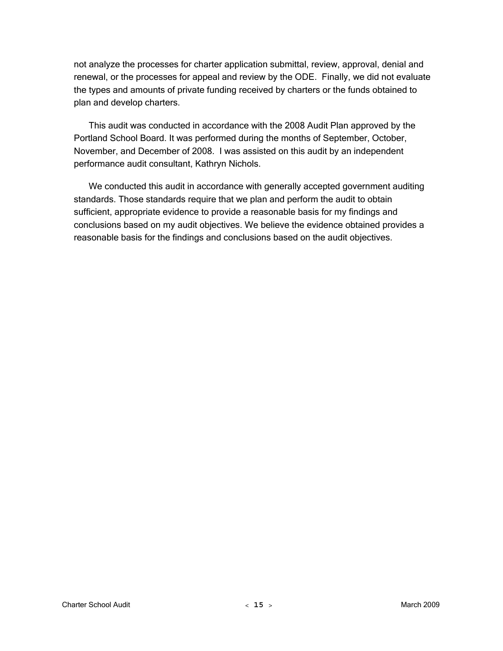not analyze the processes for charter application submittal, review, approval, denial and renewal, or the processes for appeal and review by the ODE. Finally, we did not evaluate the types and amounts of private funding received by charters or the funds obtained to plan and develop charters.

This audit was conducted in accordance with the 2008 Audit Plan approved by the Portland School Board. It was performed during the months of September, October, November, and December of 2008. I was assisted on this audit by an independent performance audit consultant, Kathryn Nichols.

We conducted this audit in accordance with generally accepted government auditing standards. Those standards require that we plan and perform the audit to obtain sufficient, appropriate evidence to provide a reasonable basis for my findings and conclusions based on my audit objectives. We believe the evidence obtained provides a reasonable basis for the findings and conclusions based on the audit objectives.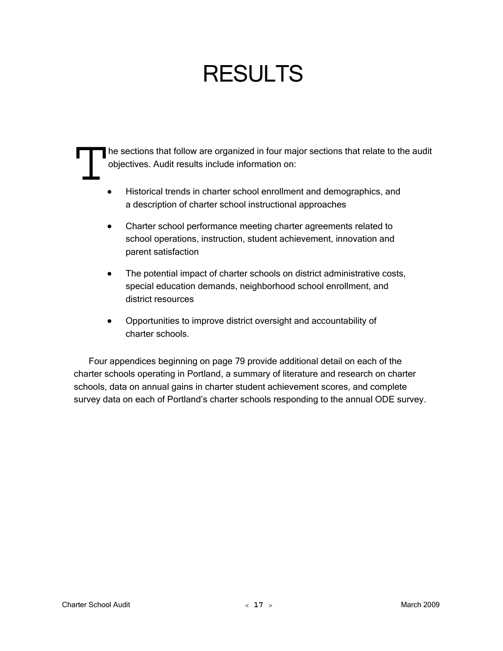# RESULTS

he sections that follow are organized in four major sections that relate to the audit objectives. Audit results include information on: The section

- Historical trends in charter school enrollment and demographics, and a description of charter school instructional approaches
- Charter school performance meeting charter agreements related to school operations, instruction, student achievement, innovation and parent satisfaction
- The potential impact of charter schools on district administrative costs, special education demands, neighborhood school enrollment, and district resources
- Opportunities to improve district oversight and accountability of charter schools.

Four appendices beginning on page 79 provide additional detail on each of the charter schools operating in Portland, a summary of literature and research on charter schools, data on annual gains in charter student achievement scores, and complete survey data on each of Portland's charter schools responding to the annual ODE survey.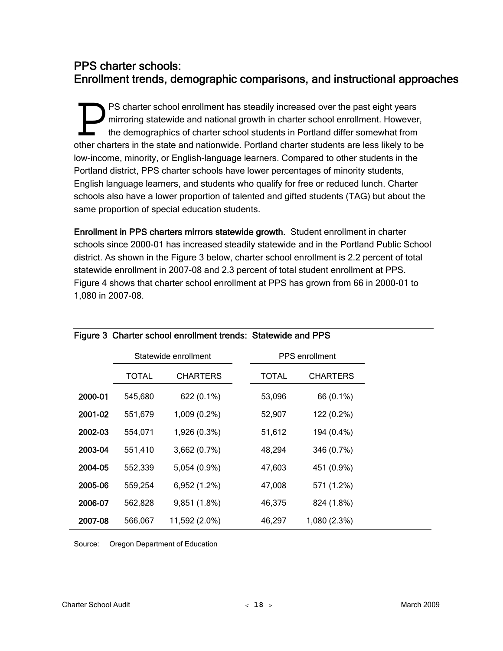### PPS charter schools: Enrollment trends, demographic comparisons, and instructional approaches

PS charter school enrollment has steadily increased over the past eight years mirroring statewide and national growth in charter school enrollment. However, the demographics of charter school students in Portland differ somewhat from **OUT A SET CHARTED ASSESS IN THE SET CARRET CHARTED ASSESS** MINITORING THE demographics of charter school students in Portland differ somewhat from other charters in the state and nationwide. Portland charter students are low-income, minority, or English-language learners. Compared to other students in the Portland district, PPS charter schools have lower percentages of minority students, English language learners, and students who qualify for free or reduced lunch. Charter schools also have a lower proportion of talented and gifted students (TAG) but about the same proportion of special education students.

Enrollment in PPS charters mirrors statewide growth. Student enrollment in charter schools since 2000-01 has increased steadily statewide and in the Portland Public School district. As shown in the Figure 3 below, charter school enrollment is 2.2 percent of total statewide enrollment in 2007-08 and 2.3 percent of total student enrollment at PPS. Figure 4 shows that charter school enrollment at PPS has grown from 66 in 2000-01 to 1,080 in 2007-08.

|         |         | Statewide enrollment | <b>PPS</b> enrollment |                 |  |
|---------|---------|----------------------|-----------------------|-----------------|--|
|         | TOTAL   | <b>CHARTERS</b>      | <b>TOTAL</b>          | <b>CHARTERS</b> |  |
| 2000-01 | 545,680 | 622 (0.1%)           | 53,096                | 66 (0.1%)       |  |
| 2001-02 | 551,679 | 1,009 (0.2%)         | 52,907                | 122 (0.2%)      |  |
| 2002-03 | 554,071 | 1,926 (0.3%)         | 51,612                | 194 (0.4%)      |  |
| 2003-04 | 551,410 | 3,662 (0.7%)         | 48,294                | 346 (0.7%)      |  |
| 2004-05 | 552,339 | 5,054 (0.9%)         | 47,603                | 451 (0.9%)      |  |
| 2005-06 | 559,254 | 6,952 (1.2%)         | 47,008                | 571 (1.2%)      |  |
| 2006-07 | 562,828 | 9,851 (1.8%)         | 46,375                | 824 (1.8%)      |  |
| 2007-08 | 566,067 | 11,592 (2.0%)        | 46,297                | 1,080 (2.3%)    |  |

#### Figure 3 Charter school enrollment trends: Statewide and PPS

Source: Oregon Department of Education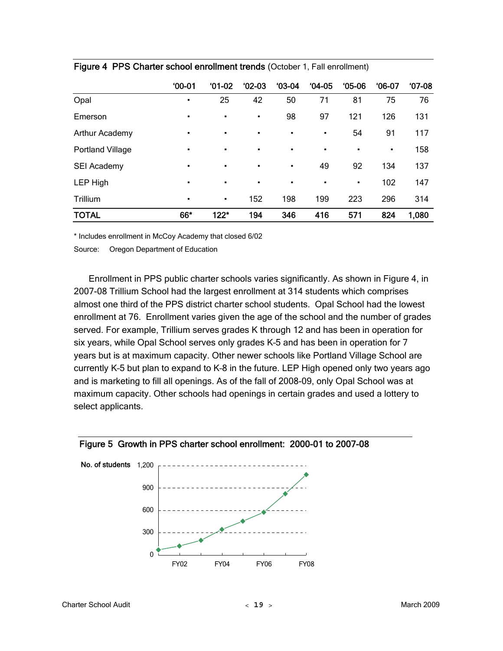|                  | $00-01$ | $01-02$        | $'02-03$       | $03-04$        | $04-05$        | $05-06$ | $06-07$ | $07-08$ |
|------------------|---------|----------------|----------------|----------------|----------------|---------|---------|---------|
| Opal             | ٠       | 25             | 42             | 50             | 71             | 81      | 75      | 76      |
| Emerson          | ٠       | $\blacksquare$ | $\blacksquare$ | 98             | 97             | 121     | 126     | 131     |
| Arthur Academy   | ٠       | ٠              | $\blacksquare$ | $\blacksquare$ | $\blacksquare$ | 54      | 91      | 117     |
| Portland Village | ٠       | ٠              | ٠              | $\blacksquare$ | $\blacksquare$ | ٠       | ٠       | 158     |
| SEI Academy      | ٠       | $\blacksquare$ | $\blacksquare$ | $\blacksquare$ | 49             | 92      | 134     | 137     |
| LEP High         | ٠       | $\blacksquare$ | $\blacksquare$ | $\blacksquare$ | $\blacksquare$ | ٠       | 102     | 147     |
| Trillium         | ٠       | $\blacksquare$ | 152            | 198            | 199            | 223     | 296     | 314     |
| <b>TOTAL</b>     | 66*     | $122*$         | 194            | 346            | 416            | 571     | 824     | 1,080   |

|  |  | Figure 4 PPS Charter school enrollment trends (October 1, Fall enrollment) |  |  |  |  |  |
|--|--|----------------------------------------------------------------------------|--|--|--|--|--|
|--|--|----------------------------------------------------------------------------|--|--|--|--|--|

\* Includes enrollment in McCoy Academy that closed 6/02

Source: Oregon Department of Education

Enrollment in PPS public charter schools varies significantly. As shown in Figure 4, in 2007-08 Trillium School had the largest enrollment at 314 students which comprises almost one third of the PPS district charter school students. Opal School had the lowest enrollment at 76. Enrollment varies given the age of the school and the number of grades served. For example, Trillium serves grades K through 12 and has been in operation for six years, while Opal School serves only grades K–5 and has been in operation for 7 years but is at maximum capacity. Other newer schools like Portland Village School are currently K–5 but plan to expand to K–8 in the future. LEP High opened only two years ago and is marketing to fill all openings. As of the fall of 2008-09, only Opal School was at maximum capacity. Other schools had openings in certain grades and used a lottery to select applicants.



Figure 5 Growth in PPS charter school enrollment: 2000-01 to 2007-08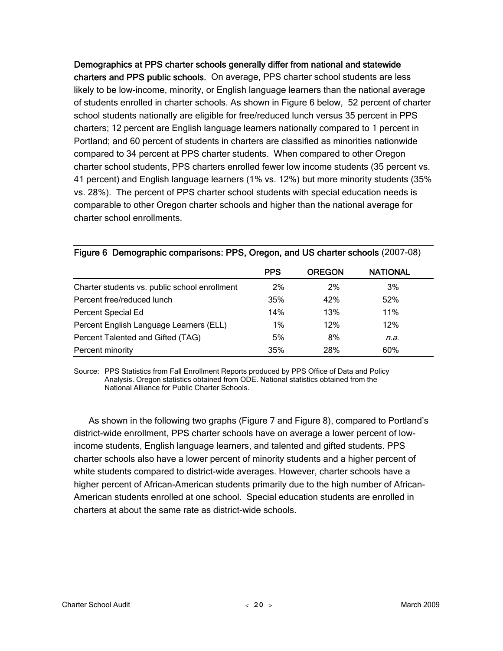Demographics at PPS charter schools generally differ from national and statewide charters and PPS public schools. On average, PPS charter school students are less likely to be low-income, minority, or English language learners than the national average of students enrolled in charter schools. As shown in Figure 6 below, 52 percent of charter school students nationally are eligible for free/reduced lunch versus 35 percent in PPS charters; 12 percent are English language learners nationally compared to 1 percent in Portland; and 60 percent of students in charters are classified as minorities nationwide compared to 34 percent at PPS charter students. When compared to other Oregon charter school students, PPS charters enrolled fewer low income students (35 percent vs. 41 percent) and English language learners (1% vs. 12%) but more minority students (35% vs. 28%). The percent of PPS charter school students with special education needs is comparable to other Oregon charter schools and higher than the national average for charter school enrollments.

|                                               | <b>PPS</b> | <b>OREGON</b> | <b>NATIONAL</b> |
|-----------------------------------------------|------------|---------------|-----------------|
| Charter students vs. public school enrollment | 2%         | 2%            | 3%              |
| Percent free/reduced lunch                    | 35%        | 42%           | 52%             |
| Percent Special Ed                            | 14%        | 13%           | 11%             |
| Percent English Language Learners (ELL)       | $1\%$      | 12%           | 12%             |
| Percent Talented and Gifted (TAG)             | 5%         | 8%            | n.a.            |
| Percent minority                              | 35%        | 28%           | 60%             |

#### Figure 6 Demographic comparisons: PPS, Oregon, and US charter schools (2007-08)

Source: PPS Statistics from Fall Enrollment Reports produced by PPS Office of Data and Policy Analysis. Oregon statistics obtained from ODE. National statistics obtained from the National Alliance for Public Charter Schools.

As shown in the following two graphs (Figure 7 and Figure 8), compared to Portland's district-wide enrollment, PPS charter schools have on average a lower percent of lowincome students, English language learners, and talented and gifted students. PPS charter schools also have a lower percent of minority students and a higher percent of white students compared to district-wide averages. However, charter schools have a higher percent of African-American students primarily due to the high number of African-American students enrolled at one school. Special education students are enrolled in charters at about the same rate as district-wide schools.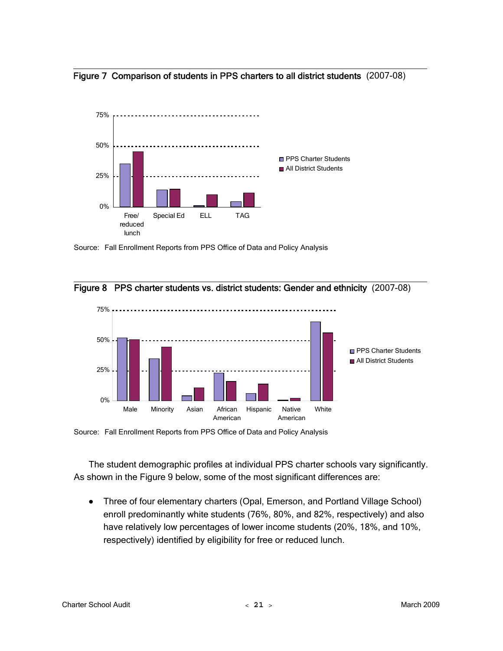



Source: Fall Enrollment Reports from PPS Office of Data and Policy Analysis





Source: Fall Enrollment Reports from PPS Office of Data and Policy Analysis

The student demographic profiles at individual PPS charter schools vary significantly. As shown in the Figure 9 below, some of the most significant differences are:

• Three of four elementary charters (Opal, Emerson, and Portland Village School) enroll predominantly white students (76%, 80%, and 82%, respectively) and also have relatively low percentages of lower income students (20%, 18%, and 10%, respectively) identified by eligibility for free or reduced lunch.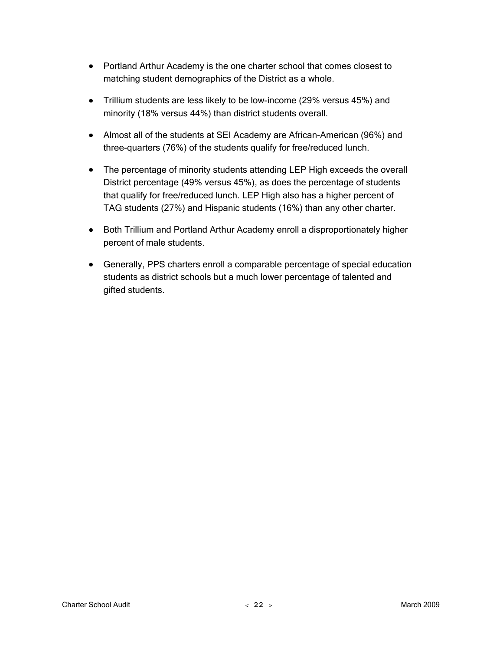- Portland Arthur Academy is the one charter school that comes closest to matching student demographics of the District as a whole.
- Trillium students are less likely to be low-income (29% versus 45%) and minority (18% versus 44%) than district students overall.
- Almost all of the students at SEI Academy are African-American (96%) and three-quarters (76%) of the students qualify for free/reduced lunch.
- The percentage of minority students attending LEP High exceeds the overall District percentage (49% versus 45%), as does the percentage of students that qualify for free/reduced lunch. LEP High also has a higher percent of TAG students (27%) and Hispanic students (16%) than any other charter.
- Both Trillium and Portland Arthur Academy enroll a disproportionately higher percent of male students.
- Generally, PPS charters enroll a comparable percentage of special education students as district schools but a much lower percentage of talented and gifted students.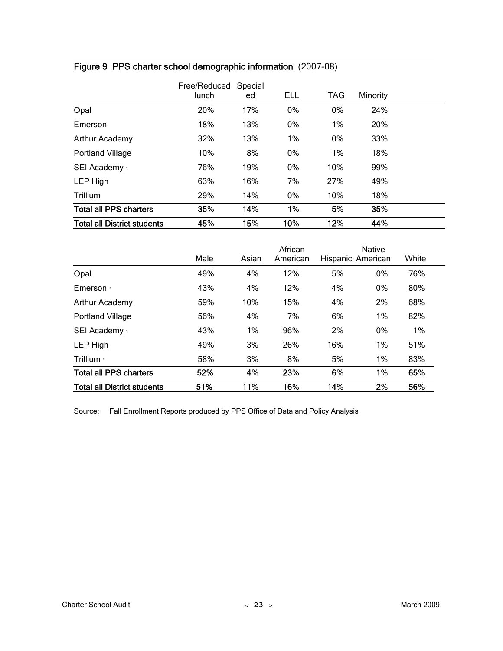|                                    | Free/Reduced<br>lunch | Special<br>ed | <b>ELL</b> | <b>TAG</b> | Minority |  |
|------------------------------------|-----------------------|---------------|------------|------------|----------|--|
| Opal                               | 20%                   | 17%           | 0%         | 0%         | 24%      |  |
| Emerson                            | 18%                   | 13%           | $0\%$      | 1%         | 20%      |  |
| Arthur Academy                     | 32%                   | 13%           | 1%         | 0%         | 33%      |  |
| <b>Portland Village</b>            | 10%                   | 8%            | 0%         | 1%         | 18%      |  |
| SEI Academy ·                      | 76%                   | 19%           | $0\%$      | 10%        | 99%      |  |
| LEP High                           | 63%                   | 16%           | 7%         | 27%        | 49%      |  |
| Trillium                           | 29%                   | 14%           | 0%         | 10%        | 18%      |  |
| <b>Total all PPS charters</b>      | 35%                   | 14%           | 1%         | 5%         | 35%      |  |
| <b>Total all District students</b> | 45%                   | 15%           | 10%        | 12%        | 44%      |  |

## Figure 9 PPS charter school demographic information (2007-08)

|                                    | Male | Asian | African<br>American | Hispanic American | <b>Native</b> | White |
|------------------------------------|------|-------|---------------------|-------------------|---------------|-------|
| Opal                               | 49%  | 4%    | 12%                 | 5%                | 0%            | 76%   |
| Emerson $\cdot$                    | 43%  | 4%    | 12%                 | 4%                | 0%            | 80%   |
| Arthur Academy                     | 59%  | 10%   | 15%                 | 4%                | 2%            | 68%   |
| <b>Portland Village</b>            | 56%  | 4%    | 7%                  | 6%                | 1%            | 82%   |
| SEI Academy ·                      | 43%  | $1\%$ | 96%                 | 2%                | $0\%$         | 1%    |
| <b>LEP High</b>                    | 49%  | 3%    | 26%                 | 16%               | 1%            | 51%   |
| Trillium $\cdot$                   | 58%  | 3%    | 8%                  | 5%                | 1%            | 83%   |
| <b>Total all PPS charters</b>      | 52%  | 4%    | 23%                 | 6%                | 1%            | 65%   |
| <b>Total all District students</b> | 51%  | 11%   | 16%                 | 14%               | 2%            | 56%   |

Source: Fall Enrollment Reports produced by PPS Office of Data and Policy Analysis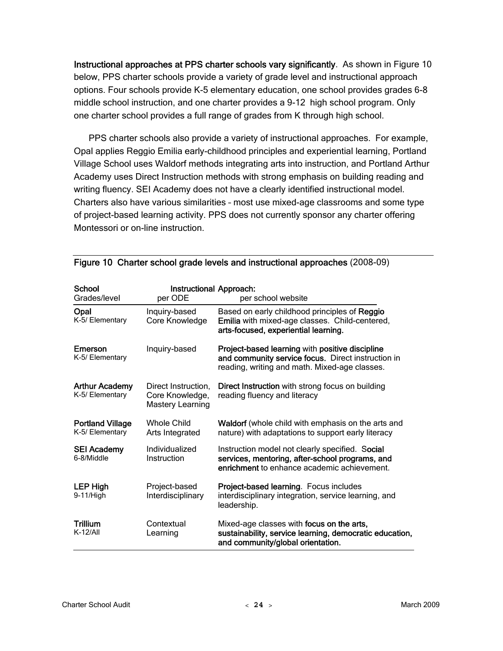Instructional approaches at PPS charter schools vary significantly. As shown in Figure 10 below, PPS charter schools provide a variety of grade level and instructional approach options. Four schools provide K-5 elementary education, one school provides grades 6-8 middle school instruction, and one charter provides a 9-12 high school program. Only one charter school provides a full range of grades from K through high school.

PPS charter schools also provide a variety of instructional approaches. For example, Opal applies Reggio Emilia early-childhood principles and experiential learning, Portland Village School uses Waldorf methods integrating arts into instruction, and Portland Arthur Academy uses Direct Instruction methods with strong emphasis on building reading and writing fluency. SEI Academy does not have a clearly identified instructional model. Charters also have various similarities – most use mixed-age classrooms and some type of project-based learning activity. PPS does not currently sponsor any charter offering Montessori or on-line instruction.

| School                                     | Instructional Approach:                                    |                                                                                                                                                        |
|--------------------------------------------|------------------------------------------------------------|--------------------------------------------------------------------------------------------------------------------------------------------------------|
| Grades/level                               | per ODE                                                    | per school website                                                                                                                                     |
| Opal<br>K-5/ Elementary                    | Inquiry-based<br>Core Knowledge                            | Based on early childhood principles of Reggio<br>Emilia with mixed-age classes. Child-centered,<br>arts-focused, experiential learning.                |
| Emerson<br>K-5/ Elementary                 | Inquiry-based                                              | Project-based learning with positive discipline<br>and community service focus. Direct instruction in<br>reading, writing and math. Mixed-age classes. |
| <b>Arthur Academy</b><br>K-5/ Elementary   | Direct Instruction,<br>Core Knowledge,<br>Mastery Learning | Direct Instruction with strong focus on building<br>reading fluency and literacy                                                                       |
| <b>Portland Village</b><br>K-5/ Elementary | Whole Child<br>Arts Integrated                             | <b>Waldorf</b> (whole child with emphasis on the arts and<br>nature) with adaptations to support early literacy                                        |
| <b>SEI Academy</b><br>6-8/Middle           | Individualized<br>Instruction                              | Instruction model not clearly specified. Social<br>services, mentoring, after-school programs, and<br>enrichment to enhance academic achievement.      |
| <b>LEP High</b><br>$9-11/H$ igh            | Project-based<br>Interdisciplinary                         | Project-based learning. Focus includes<br>interdisciplinary integration, service learning, and<br>leadership.                                          |
| <b>Trillium</b><br>$K-12/AlI$              | Contextual<br>Learning                                     | Mixed-age classes with focus on the arts,<br>sustainability, service learning, democratic education,<br>and community/global orientation.              |

| Figure 10 Charter school grade levels and instructional approaches (2008-09) |  |  |  |  |  |
|------------------------------------------------------------------------------|--|--|--|--|--|
|------------------------------------------------------------------------------|--|--|--|--|--|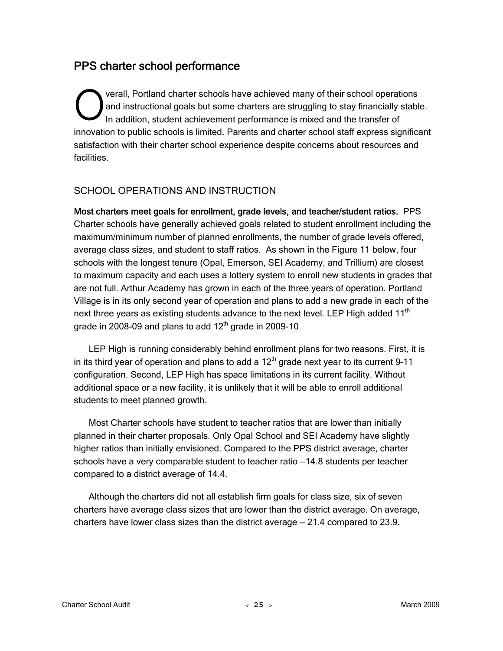## PPS charter school performance

verall, Portland charter schools have achieved many of their school operations and instructional goals but some charters are struggling to stay financially stable. In addition, student achievement performance is mixed and the transfer of innovation to public schools is limited. Parents and charter school staff express significant satisfaction with their charter school experience despite concerns about resources and facilities. Verall, P<br>and inst<br>In additi

#### SCHOOL OPERATIONS AND INSTRUCTION

Most charters meet goals for enrollment, grade levels, and teacher/student ratios. PPS Charter schools have generally achieved goals related to student enrollment including the maximum/minimum number of planned enrollments, the number of grade levels offered, average class sizes, and student to staff ratios. As shown in the Figure 11 below, four schools with the longest tenure (Opal, Emerson, SEI Academy, and Trillium) are closest to maximum capacity and each uses a lottery system to enroll new students in grades that are not full. Arthur Academy has grown in each of the three years of operation. Portland Village is in its only second year of operation and plans to add a new grade in each of the next three years as existing students advance to the next level. LEP High added  $11<sup>th</sup>$ grade in 2008-09 and plans to add  $12<sup>th</sup>$  grade in 2009-10

LEP High is running considerably behind enrollment plans for two reasons. First, it is in its third year of operation and plans to add a  $12<sup>th</sup>$  grade next year to its current 9-11 configuration. Second, LEP High has space limitations in its current facility. Without additional space or a new facility, it is unlikely that it will be able to enroll additional students to meet planned growth.

Most Charter schools have student to teacher ratios that are lower than initially planned in their charter proposals. Only Opal School and SEI Academy have slightly higher ratios than initially envisioned. Compared to the PPS district average, charter schools have a very comparable student to teacher ratio —14.8 students per teacher compared to a district average of 14.4.

Although the charters did not all establish firm goals for class size, six of seven charters have average class sizes that are lower than the district average. On average, charters have lower class sizes than the district average  $-21.4$  compared to 23.9.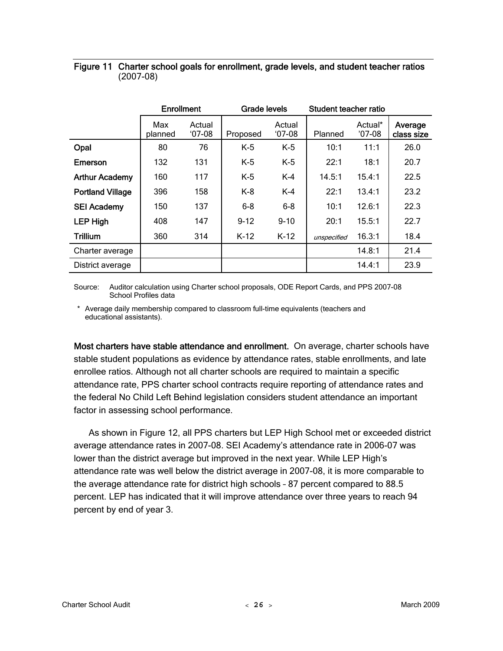|                         | <b>Enrollment</b> |                   | Grade levels |                    | Student teacher ratio |                     |                       |
|-------------------------|-------------------|-------------------|--------------|--------------------|-----------------------|---------------------|-----------------------|
|                         | Max<br>planned    | Actual<br>$07-08$ | Proposed     | Actual<br>$'07-08$ | Planned               | Actual*<br>$'07-08$ | Average<br>class size |
| Opal                    | 80                | 76                | $K-5$        | $K-5$              | 10:1                  | 11:1                | 26.0                  |
| Emerson                 | 132               | 131               | $K-5$        | $K-5$              | 22:1                  | 18:1                | 20.7                  |
| <b>Arthur Academy</b>   | 160               | 117               | $K-5$        | $K-4$              | 14.5:1                | 15.4:1              | 22.5                  |
| <b>Portland Village</b> | 396               | 158               | $K-8$        | $K-4$              | 22:1                  | 13.4:1              | 23.2                  |
| <b>SEI Academy</b>      | 150               | 137               | $6 - 8$      | $6 - 8$            | 10:1                  | 12.6:1              | 22.3                  |
| <b>LEP High</b>         | 408               | 147               | $9 - 12$     | $9 - 10$           | 20:1                  | 15.5:1              | 22.7                  |
| <b>Trillium</b>         | 360               | 314               | $K-12$       | $K-12$             | unspecified           | 16.3:1              | 18.4                  |
| Charter average         |                   |                   |              |                    |                       | 14.8:1              | 21.4                  |
| District average        |                   |                   |              |                    |                       | 14.4:1              | 23.9                  |

#### Figure 11 Charter school goals for enrollment, grade levels, and student teacher ratios (2007-08)

Source: Auditor calculation using Charter school proposals, ODE Report Cards, and PPS 2007-08 School Profiles data

 \* Average daily membership compared to classroom full-time equivalents (teachers and educational assistants).

Most charters have stable attendance and enrollment. On average, charter schools have stable student populations as evidence by attendance rates, stable enrollments, and late enrollee ratios. Although not all charter schools are required to maintain a specific attendance rate, PPS charter school contracts require reporting of attendance rates and the federal No Child Left Behind legislation considers student attendance an important factor in assessing school performance.

As shown in Figure 12, all PPS charters but LEP High School met or exceeded district average attendance rates in 2007-08. SEI Academy's attendance rate in 2006-07 was lower than the district average but improved in the next year. While LEP High's attendance rate was well below the district average in 2007-08, it is more comparable to the average attendance rate for district high schools – 87 percent compared to 88.5 percent. LEP has indicated that it will improve attendance over three years to reach 94 percent by end of year 3.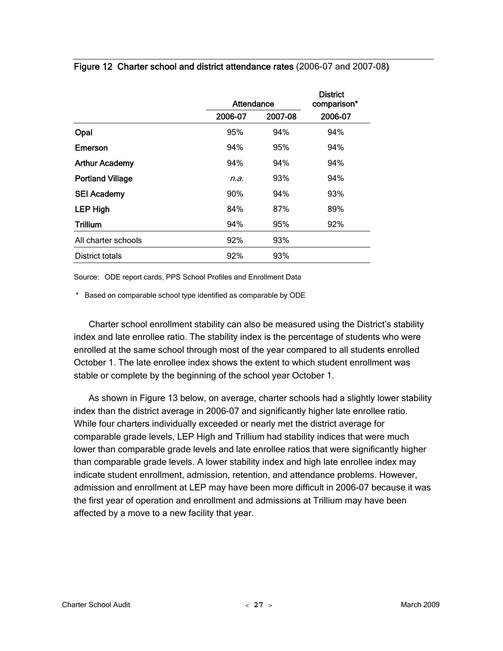| 2006-07 |
|---------|
|         |
| 94%     |
| 94%     |
| 94%     |
| 94%     |
| 93%     |
| 89%     |
| 92%     |
|         |
|         |
|         |

Figure 12 Charter school and district attendance rates (2006-07 and 2007-08)

Source: ODE report cards, PPS School Profiles and Enrollment Data

\* Based on comparable school type identified as comparable by ODE

Charter school enrollment stability can also be measured using the District's stability index and late enrollee ratio. The stability index is the percentage of students who were enrolled at the same school through most of the year compared to all students enrolled October 1. The late enrollee index shows the extent to which student enrollment was stable or complete by the beginning of the school year October 1.

As shown in Figure 13 below, on average, charter schools had a slightly lower stability index than the district average in 2006-07 and significantly higher late enrollee ratio. While four charters individually exceeded or nearly met the district average for comparable grade levels, LEP High and Trillium had stability indices that were much lower than comparable grade levels and late enrollee ratios that were significantly higher than comparable grade levels. A lower stability index and high late enrollee index may indicate student enrollment, admission, retention, and attendance problems. However, admission and enrollment at LEP may have been more difficult in 2006-07 because it was the first year of operation and enrollment and admissions at Trillium may have been affected by a move to a new facility that year.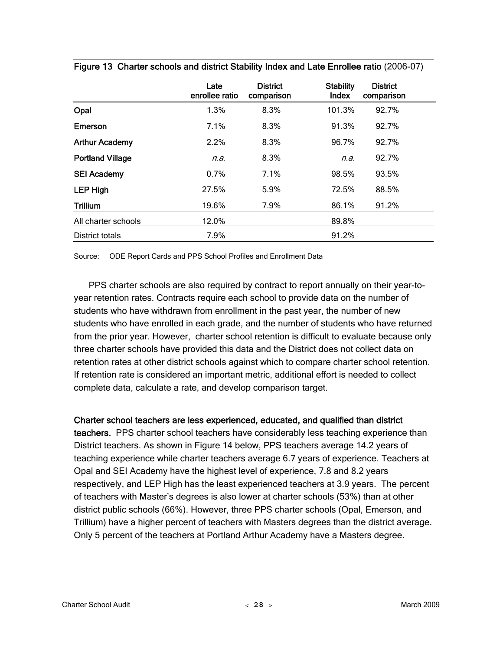|                         | Late<br>enrollee ratio | <b>District</b><br>comparison | <b>Stability</b><br>Index | <b>District</b><br>comparison |  |
|-------------------------|------------------------|-------------------------------|---------------------------|-------------------------------|--|
| Opal                    | 1.3%                   | 8.3%                          | 101.3%                    | 92.7%                         |  |
| Emerson                 | 7.1%                   | 8.3%                          | 91.3%                     | 92.7%                         |  |
| <b>Arthur Academy</b>   | 2.2%                   | 8.3%                          | 96.7%                     | 92.7%                         |  |
| <b>Portland Village</b> | n.a.                   | 8.3%                          | n.a.                      | 92.7%                         |  |
| <b>SEI Academy</b>      | 0.7%                   | 7.1%                          | 98.5%                     | 93.5%                         |  |
| <b>LEP High</b>         | 27.5%                  | 5.9%                          | 72.5%                     | 88.5%                         |  |
| <b>Trillium</b>         | 19.6%                  | 7.9%                          | 86.1%                     | 91.2%                         |  |
| All charter schools     | 12.0%                  |                               | 89.8%                     |                               |  |
| District totals         | 7.9%                   |                               | 91.2%                     |                               |  |

Figure 13 Charter schools and district Stability Index and Late Enrollee ratio (2006-07)

Source: ODE Report Cards and PPS School Profiles and Enrollment Data

PPS charter schools are also required by contract to report annually on their year-toyear retention rates. Contracts require each school to provide data on the number of students who have withdrawn from enrollment in the past year, the number of new students who have enrolled in each grade, and the number of students who have returned from the prior year. However, charter school retention is difficult to evaluate because only three charter schools have provided this data and the District does not collect data on retention rates at other district schools against which to compare charter school retention. If retention rate is considered an important metric, additional effort is needed to collect complete data, calculate a rate, and develop comparison target.

#### Charter school teachers are less experienced, educated, and qualified than district

teachers. PPS charter school teachers have considerably less teaching experience than District teachers. As shown in Figure 14 below, PPS teachers average 14.2 years of teaching experience while charter teachers average 6.7 years of experience. Teachers at Opal and SEI Academy have the highest level of experience, 7.8 and 8.2 years respectively, and LEP High has the least experienced teachers at 3.9 years. The percent of teachers with Master's degrees is also lower at charter schools (53%) than at other district public schools (66%). However, three PPS charter schools (Opal, Emerson, and Trillium) have a higher percent of teachers with Masters degrees than the district average. Only 5 percent of the teachers at Portland Arthur Academy have a Masters degree.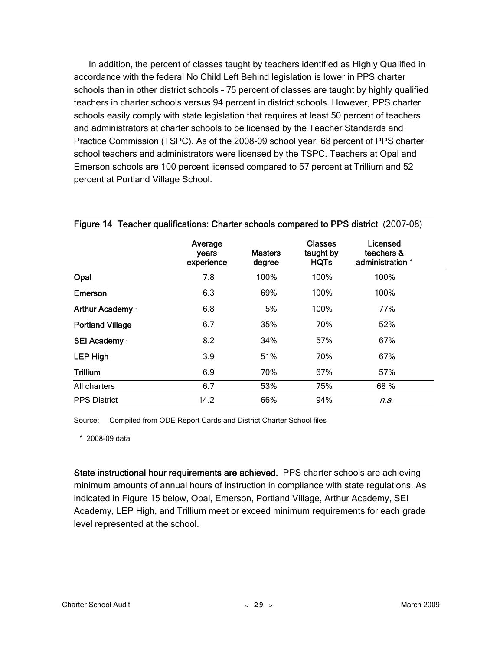In addition, the percent of classes taught by teachers identified as Highly Qualified in accordance with the federal No Child Left Behind legislation is lower in PPS charter schools than in other district schools – 75 percent of classes are taught by highly qualified teachers in charter schools versus 94 percent in district schools. However, PPS charter schools easily comply with state legislation that requires at least 50 percent of teachers and administrators at charter schools to be licensed by the Teacher Standards and Practice Commission (TSPC). As of the 2008-09 school year, 68 percent of PPS charter school teachers and administrators were licensed by the TSPC. Teachers at Opal and Emerson schools are 100 percent licensed compared to 57 percent at Trillium and 52 percent at Portland Village School.

|                         | Average<br>years<br>experience | <b>Masters</b><br>degree | <b>Classes</b><br>taught by<br><b>HQTs</b> | Licensed<br>teachers &<br>administration * |  |
|-------------------------|--------------------------------|--------------------------|--------------------------------------------|--------------------------------------------|--|
| Opal                    | 7.8                            | 100%                     | 100%                                       | 100%                                       |  |
| Emerson                 | 6.3                            | 69%                      | 100%                                       | 100%                                       |  |
| Arthur Academy ·        | 6.8                            | 5%                       | 100%                                       | 77%                                        |  |
| <b>Portland Village</b> | 6.7                            | 35%                      | 70%                                        | 52%                                        |  |
| SEI Academy ·           | 8.2                            | 34%                      | 57%                                        | 67%                                        |  |
| <b>LEP High</b>         | 3.9                            | 51%                      | 70%                                        | 67%                                        |  |
| <b>Trillium</b>         | 6.9                            | 70%                      | 67%                                        | 57%                                        |  |
| All charters            | 6.7                            | 53%                      | 75%                                        | 68 %                                       |  |
| <b>PPS District</b>     | 14.2                           | 66%                      | 94%                                        | n.a.                                       |  |

#### Figure 14 Teacher qualifications: Charter schools compared to PPS district (2007-08)

Source: Compiled from ODE Report Cards and District Charter School files

\* 2008-09 data

State instructional hour requirements are achieved. PPS charter schools are achieving minimum amounts of annual hours of instruction in compliance with state regulations. As indicated in Figure 15 below, Opal, Emerson, Portland Village, Arthur Academy, SEI Academy, LEP High, and Trillium meet or exceed minimum requirements for each grade level represented at the school.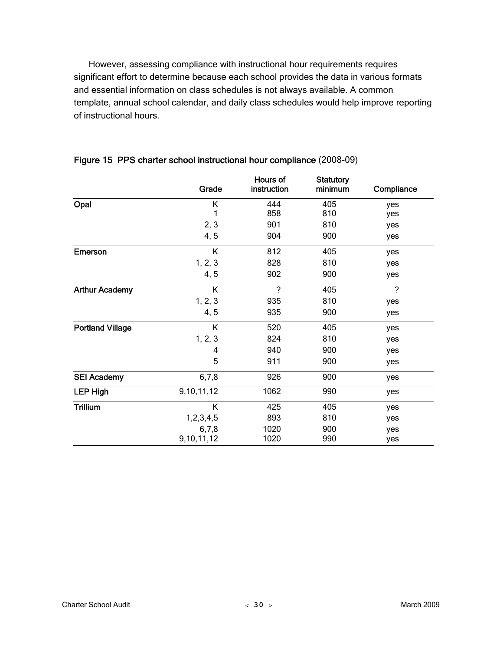However, assessing compliance with instructional hour requirements requires significant effort to determine because each school provides the data in various formats and essential information on class schedules is not always available. A common template, annual school calendar, and daily class schedules would help improve reporting of instructional hours.

|                         | Grade      | Hours of<br>instruction | <b>Statutory</b><br>minimum | Compliance     |
|-------------------------|------------|-------------------------|-----------------------------|----------------|
| Opal                    | Κ          | 444                     | 405                         | yes            |
|                         | 1          | 858                     | 810                         | yes            |
|                         | 2, 3       | 901                     | 810                         | yes            |
|                         | 4, 5       | 904                     | 900                         | yes            |
| Emerson                 | Κ          | 812                     | 405                         | yes            |
|                         | 1, 2, 3    | 828                     | 810                         | yes            |
|                         | 4, 5       | 902                     | 900                         | yes            |
| <b>Arthur Academy</b>   | K          | $\overline{?}$          | 405                         | $\overline{?}$ |
|                         | 1, 2, 3    | 935                     | 810                         | yes            |
|                         | 4, 5       | 935                     | 900                         | yes            |
| <b>Portland Village</b> | K          | 520                     | 405                         | yes            |
|                         | 1, 2, 3    | 824                     | 810                         | yes            |
|                         | 4          | 940                     | 900                         | yes            |
|                         | 5          | 911                     | 900                         | yes            |
| <b>SEI Academy</b>      | 6,7,8      | 926                     | 900                         | yes            |
| <b>LEP High</b>         | 9,10,11,12 | 1062                    | 990                         | yes            |
| <b>Trillium</b>         | K          | 425                     | 405                         | yes            |
|                         | 1,2,3,4,5  | 893                     | 810                         | yes            |
|                         | 6,7,8      | 1020                    | 900                         | yes            |
|                         | 9,10,11,12 | 1020                    | 990                         | yes            |

#### Figure 15 PPS charter school instructional hour compliance (2008-09)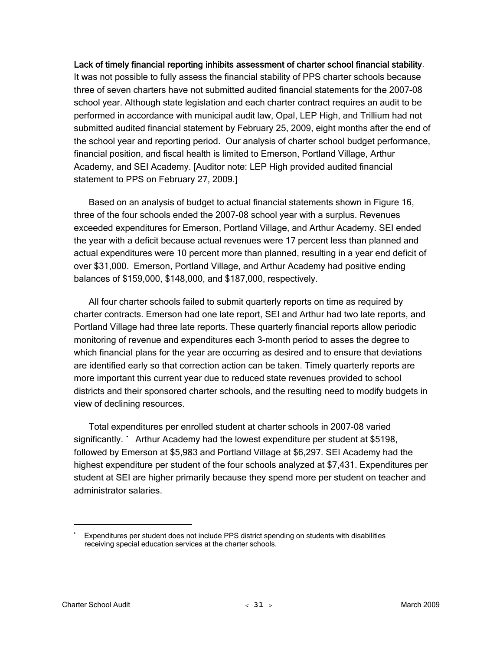## Lack of timely financial reporting inhibits assessment of charter school financial stability.

It was not possible to fully assess the financial stability of PPS charter schools because three of seven charters have not submitted audited financial statements for the 2007-08 school year. Although state legislation and each charter contract requires an audit to be performed in accordance with municipal audit law, Opal, LEP High, and Trillium had not submitted audited financial statement by February 25, 2009, eight months after the end of the school year and reporting period. Our analysis of charter school budget performance, financial position, and fiscal health is limited to Emerson, Portland Village, Arthur Academy, and SEI Academy. [Auditor note: LEP High provided audited financial statement to PPS on February 27, 2009.]

Based on an analysis of budget to actual financial statements shown in Figure 16, three of the four schools ended the 2007-08 school year with a surplus. Revenues exceeded expenditures for Emerson, Portland Village, and Arthur Academy. SEI ended the year with a deficit because actual revenues were 17 percent less than planned and actual expenditures were 10 percent more than planned, resulting in a year end deficit of over \$31,000. Emerson, Portland Village, and Arthur Academy had positive ending balances of \$159,000, \$148,000, and \$187,000, respectively.

All four charter schools failed to submit quarterly reports on time as required by charter contracts. Emerson had one late report, SEI and Arthur had two late reports, and Portland Village had three late reports. These quarterly financial reports allow periodic monitoring of revenue and expenditures each 3-month period to asses the degree to which financial plans for the year are occurring as desired and to ensure that deviations are identified early so that correction action can be taken. Timely quarterly reports are more important this current year due to reduced state revenues provided to school districts and their sponsored charter schools, and the resulting need to modify budgets in view of declining resources.

Total expenditures per enrolled student at charter schools in 2007-08 varied significantly. <br> **Sammand Handra Condom** at the lowest expenditure per student at \$5198, followed by Emerson at \$5,983 and Portland Village at \$6,297. SEI Academy had the highest expenditure per student of the four schools analyzed at \$7,431. Expenditures per student at SEI are higher primarily because they spend more per student on teacher and administrator salaries.

 $\overline{a}$ 

<span id="page-36-0"></span><sup>▪</sup> Expenditures per student does not include PPS district spending on students with disabilities receiving special education services at the charter schools.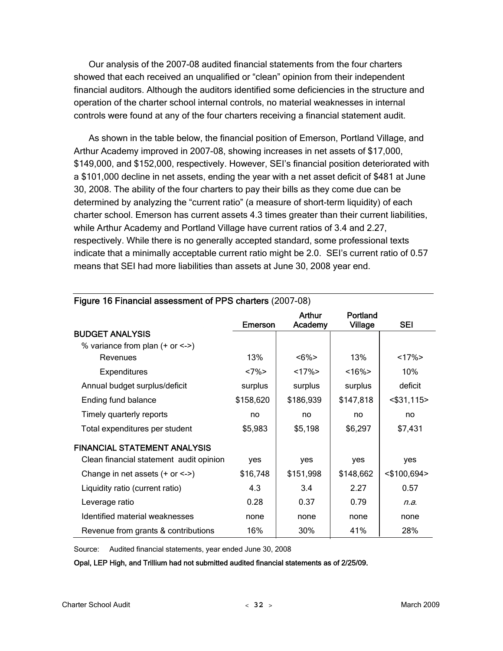Our analysis of the 2007-08 audited financial statements from the four charters showed that each received an unqualified or "clean" opinion from their independent financial auditors. Although the auditors identified some deficiencies in the structure and operation of the charter school internal controls, no material weaknesses in internal controls were found at any of the four charters receiving a financial statement audit.

As shown in the table below, the financial position of Emerson, Portland Village, and Arthur Academy improved in 2007-08, showing increases in net assets of \$17,000, \$149,000, and \$152,000, respectively. However, SEI's financial position deteriorated with a \$101,000 decline in net assets, ending the year with a net asset deficit of \$481 at June 30, 2008. The ability of the four charters to pay their bills as they come due can be determined by analyzing the "current ratio" (a measure of short-term liquidity) of each charter school. Emerson has current assets 4.3 times greater than their current liabilities, while Arthur Academy and Portland Village have current ratios of 3.4 and 2.27, respectively. While there is no generally accepted standard, some professional texts indicate that a minimally acceptable current ratio might be 2.0. SEI's current ratio of 0.57 means that SEI had more liabilities than assets at June 30, 2008 year end.

|                                         | Emerson   | Arthur<br>Academy | Portland<br><b>Village</b> | SEI            |
|-----------------------------------------|-----------|-------------------|----------------------------|----------------|
| <b>BUDGET ANALYSIS</b>                  |           |                   |                            |                |
| % variance from plan $(+ or < )$        |           |                   |                            |                |
| Revenues                                | 13%       | $<6\%>$           | 13%                        | $<17\%$        |
| <b>Expenditures</b>                     | $<7\%$    | $<17\%$           | $~16\%$                    | 10%            |
| Annual budget surplus/deficit           | surplus   | surplus           | surplus                    | deficit        |
| Ending fund balance                     | \$158,620 | \$186,939         | \$147,818                  | $<$ \$31,115>  |
| Timely quarterly reports                | no        | no                | no                         | no             |
| Total expenditures per student          | \$5,983   | \$5,198           | \$6,297                    | \$7,431        |
| <b>FINANCIAL STATEMENT ANALYSIS</b>     |           |                   |                            |                |
| Clean financial statement audit opinion | yes       | yes               | yes                        | yes            |
| Change in net assets $(+ or < -)$       | \$16,748  | \$151,998         | \$148,662                  | $<$ \$100,694> |
| Liquidity ratio (current ratio)         | 4.3       | 3.4               | 2.27                       | 0.57           |
| Leverage ratio                          | 0.28      | 0.37              | 0.79                       | n.a.           |
| Identified material weaknesses          | none      | none              | none                       | none           |
| Revenue from grants & contributions     | 16%       | 30%               | 41%                        | 28%            |

#### Figure 16 Financial assessment of PPS charters (2007-08)

Source: Audited financial statements, year ended June 30, 2008

Opal, LEP High, and Trillium had not submitted audited financial statements as of 2/25/09.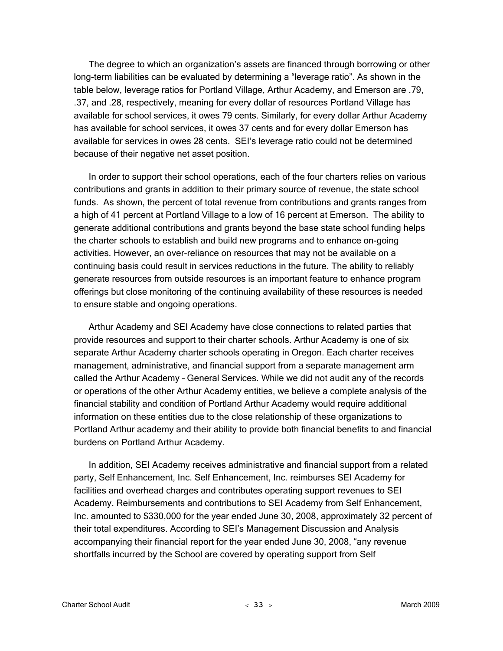The degree to which an organization's assets are financed through borrowing or other long-term liabilities can be evaluated by determining a "leverage ratio". As shown in the table below, leverage ratios for Portland Village, Arthur Academy, and Emerson are .79, .37, and .28, respectively, meaning for every dollar of resources Portland Village has available for school services, it owes 79 cents. Similarly, for every dollar Arthur Academy has available for school services, it owes 37 cents and for every dollar Emerson has available for services in owes 28 cents. SEI's leverage ratio could not be determined because of their negative net asset position.

In order to support their school operations, each of the four charters relies on various contributions and grants in addition to their primary source of revenue, the state school funds. As shown, the percent of total revenue from contributions and grants ranges from a high of 41 percent at Portland Village to a low of 16 percent at Emerson. The ability to generate additional contributions and grants beyond the base state school funding helps the charter schools to establish and build new programs and to enhance on-going activities. However, an over-reliance on resources that may not be available on a continuing basis could result in services reductions in the future. The ability to reliably generate resources from outside resources is an important feature to enhance program offerings but close monitoring of the continuing availability of these resources is needed to ensure stable and ongoing operations.

Arthur Academy and SEI Academy have close connections to related parties that provide resources and support to their charter schools. Arthur Academy is one of six separate Arthur Academy charter schools operating in Oregon. Each charter receives management, administrative, and financial support from a separate management arm called the Arthur Academy – General Services. While we did not audit any of the records or operations of the other Arthur Academy entities, we believe a complete analysis of the financial stability and condition of Portland Arthur Academy would require additional information on these entities due to the close relationship of these organizations to Portland Arthur academy and their ability to provide both financial benefits to and financial burdens on Portland Arthur Academy.

In addition, SEI Academy receives administrative and financial support from a related party, Self Enhancement, Inc. Self Enhancement, Inc. reimburses SEI Academy for facilities and overhead charges and contributes operating support revenues to SEI Academy. Reimbursements and contributions to SEI Academy from Self Enhancement, Inc. amounted to \$330,000 for the year ended June 30, 2008, approximately 32 percent of their total expenditures. According to SEI's Management Discussion and Analysis accompanying their financial report for the year ended June 30, 2008, "any revenue shortfalls incurred by the School are covered by operating support from Self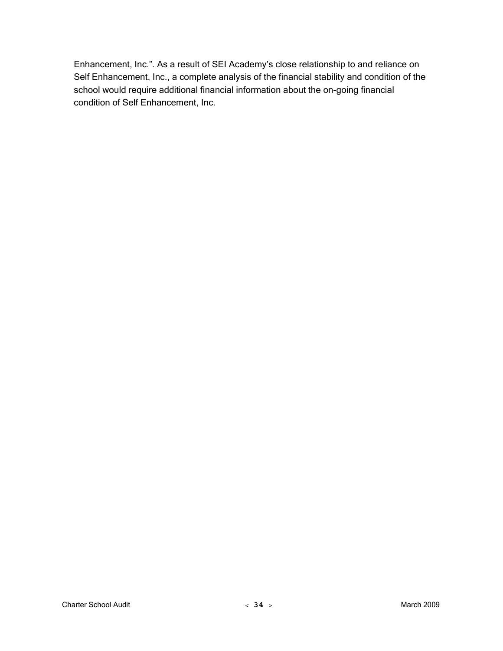Enhancement, Inc.". As a result of SEI Academy's close relationship to and reliance on Self Enhancement, Inc., a complete analysis of the financial stability and condition of the school would require additional financial information about the on-going financial condition of Self Enhancement, Inc.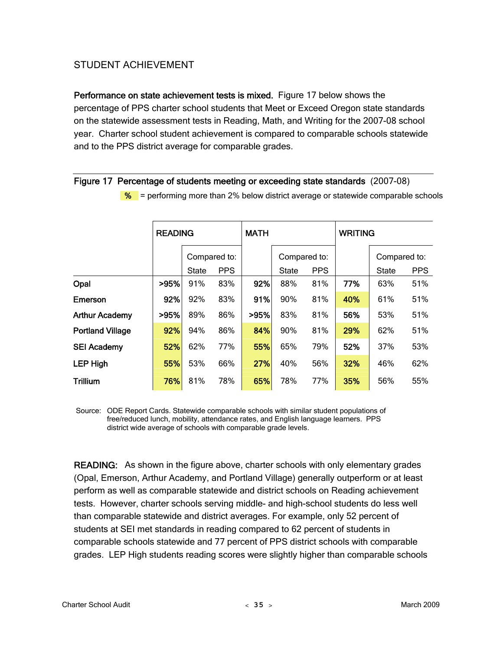## STUDENT ACHIEVEMENT

Performance on state achievement tests is mixed. Figure 17 below shows the percentage of PPS charter school students that Meet or Exceed Oregon state standards on the statewide assessment tests in Reading, Math, and Writing for the 2007-08 school year. Charter school student achievement is compared to comparable schools statewide and to the PPS district average for comparable grades.

### Figure 17 Percentage of students meeting or exceeding state standards (2007-08)

|                         | <b>READING</b> |              |              | <b>MATH</b> |              |            | <b>WRITING</b> |              |            |  |
|-------------------------|----------------|--------------|--------------|-------------|--------------|------------|----------------|--------------|------------|--|
|                         |                |              | Compared to: |             | Compared to: |            |                | Compared to: |            |  |
|                         |                | <b>State</b> | <b>PPS</b>   |             | <b>State</b> | <b>PPS</b> |                | <b>State</b> | <b>PPS</b> |  |
| Opal                    | >95%           | 91%          | 83%          | 92%         | 88%          | 81%        | 77%            | 63%          | 51%        |  |
| Emerson                 | 92%            | 92%          | 83%          | 91%         | 90%          | 81%        | 40%            | 61%          | 51%        |  |
| <b>Arthur Academy</b>   | >95%           | 89%          | 86%          | >95%        | 83%          | 81%        | 56%            | 53%          | 51%        |  |
| <b>Portland Village</b> | 92%            | 94%          | 86%          | 84%         | 90%          | 81%        | 29%            | 62%          | 51%        |  |
| <b>SEI Academy</b>      | 52%            | 62%          | 77%          | 55%         | 65%          | 79%        | 52%            | 37%          | 53%        |  |
| <b>LEP High</b>         | 55%            | 53%          | 66%          | 27%         | 40%          | 56%        | 32%            | 46%          | 62%        |  |
| <b>Trillium</b>         | 76%            | 81%          | 78%          | 65%         | 78%          | 77%        | 35%            | 56%          | 55%        |  |

 $\%$  = performing more than 2% below district average or statewide comparable schools

 Source: ODE Report Cards. Statewide comparable schools with similar student populations of free/reduced lunch, mobility, attendance rates, and English language learners. PPS district wide average of schools with comparable grade levels.

READING: As shown in the figure above, charter schools with only elementary grades (Opal, Emerson, Arthur Academy, and Portland Village) generally outperform or at least perform as well as comparable statewide and district schools on Reading achievement tests. However, charter schools serving middle- and high-school students do less well than comparable statewide and district averages. For example, only 52 percent of students at SEI met standards in reading compared to 62 percent of students in comparable schools statewide and 77 percent of PPS district schools with comparable grades. LEP High students reading scores were slightly higher than comparable schools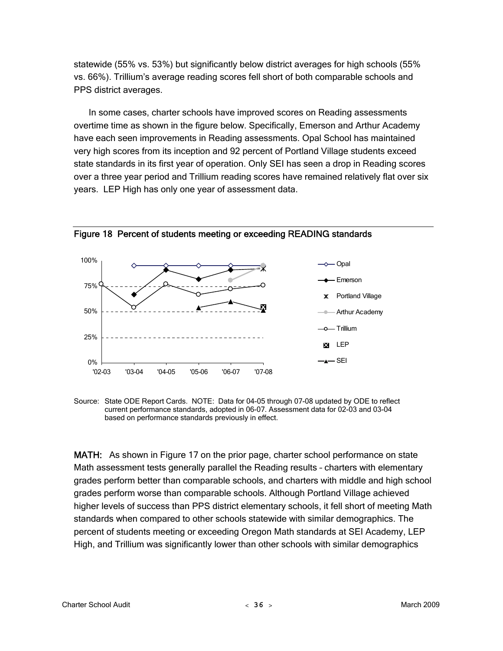statewide (55% vs. 53%) but significantly below district averages for high schools (55% vs. 66%). Trillium's average reading scores fell short of both comparable schools and PPS district averages.

In some cases, charter schools have improved scores on Reading assessments overtime time as shown in the figure below. Specifically, Emerson and Arthur Academy have each seen improvements in Reading assessments. Opal School has maintained very high scores from its inception and 92 percent of Portland Village students exceed state standards in its first year of operation. Only SEI has seen a drop in Reading scores over a three year period and Trillium reading scores have remained relatively flat over six years. LEP High has only one year of assessment data.



Figure 18 Percent of students meeting or exceeding READING standards

Source: State ODE Report Cards. NOTE: Data for 04-05 through 07-08 updated by ODE to reflect current performance standards, adopted in 06-07. Assessment data for 02-03 and 03-04 based on performance standards previously in effect.

MATH: As shown in Figure 17 on the prior page, charter school performance on state Math assessment tests generally parallel the Reading results – charters with elementary grades perform better than comparable schools, and charters with middle and high school grades perform worse than comparable schools. Although Portland Village achieved higher levels of success than PPS district elementary schools, it fell short of meeting Math standards when compared to other schools statewide with similar demographics. The percent of students meeting or exceeding Oregon Math standards at SEI Academy, LEP High, and Trillium was significantly lower than other schools with similar demographics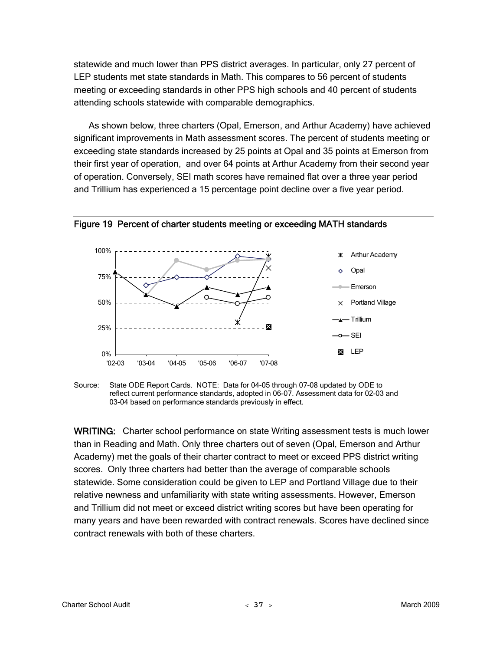statewide and much lower than PPS district averages. In particular, only 27 percent of LEP students met state standards in Math. This compares to 56 percent of students meeting or exceeding standards in other PPS high schools and 40 percent of students attending schools statewide with comparable demographics.

As shown below, three charters (Opal, Emerson, and Arthur Academy) have achieved significant improvements in Math assessment scores. The percent of students meeting or exceeding state standards increased by 25 points at Opal and 35 points at Emerson from their first year of operation, and over 64 points at Arthur Academy from their second year of operation. Conversely, SEI math scores have remained flat over a three year period and Trillium has experienced a 15 percentage point decline over a five year period.



Figure 19 Percent of charter students meeting or exceeding MATH standards

Source: State ODE Report Cards. NOTE: Data for 04-05 through 07-08 updated by ODE to reflect current performance standards, adopted in 06-07. Assessment data for 02-03 and 03-04 based on performance standards previously in effect.

WRITING: Charter school performance on state Writing assessment tests is much lower than in Reading and Math. Only three charters out of seven (Opal, Emerson and Arthur Academy) met the goals of their charter contract to meet or exceed PPS district writing scores. Only three charters had better than the average of comparable schools statewide. Some consideration could be given to LEP and Portland Village due to their relative newness and unfamiliarity with state writing assessments. However, Emerson and Trillium did not meet or exceed district writing scores but have been operating for many years and have been rewarded with contract renewals. Scores have declined since contract renewals with both of these charters.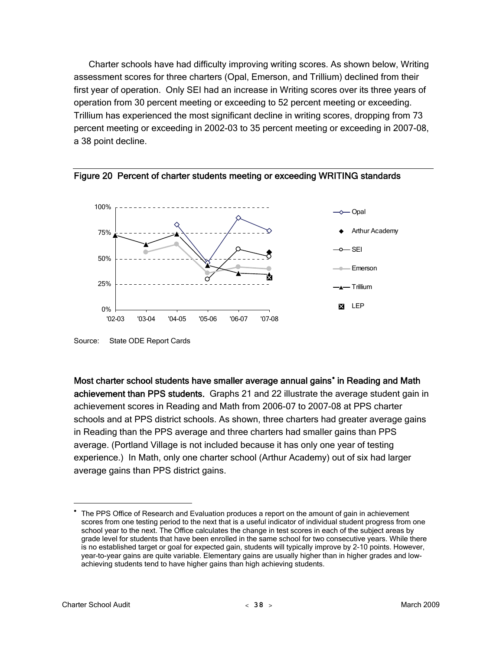Charter schools have had difficulty improving writing scores. As shown below, Writing assessment scores for three charters (Opal, Emerson, and Trillium) declined from their first year of operation. Only SEI had an increase in Writing scores over its three years of operation from 30 percent meeting or exceeding to 52 percent meeting or exceeding. Trillium has experienced the most significant decline in writing scores, dropping from 73 percent meeting or exceeding in 2002-03 to 35 percent meeting or exceeding in 2007-08, a 38 point decline.





Most charter school students have smaller average annual gains<sup>\*</sup> in Reading and Math achievement than PPS students. Graphs 21 and 22 illustrate the average student gain in achievement scores in Reading and Math from 2006-07 to 2007-08 at PPS charter schools and at PPS district schools. As shown, three charters had greater average gains in Reading than the PPS average and three charters had smaller gains than PPS average. (Portland Village is not included because it has only one year of testing experience.) In Math, only one charter school (Arthur Academy) out of six had larger average gains than PPS district gains.

 $\overline{a}$ 

Source: State ODE Report Cards

<span id="page-43-0"></span><sup>•</sup> The PPS Office of Research and Evaluation produces a report on the amount of gain in achievement scores from one testing period to the next that is a useful indicator of individual student progress from one school year to the next. The Office calculates the change in test scores in each of the subject areas by grade level for students that have been enrolled in the same school for two consecutive years. While there is no established target or goal for expected gain, students will typically improve by 2-10 points. However, year-to-year gains are quite variable. Elementary gains are usually higher than in higher grades and lowachieving students tend to have higher gains than high achieving students.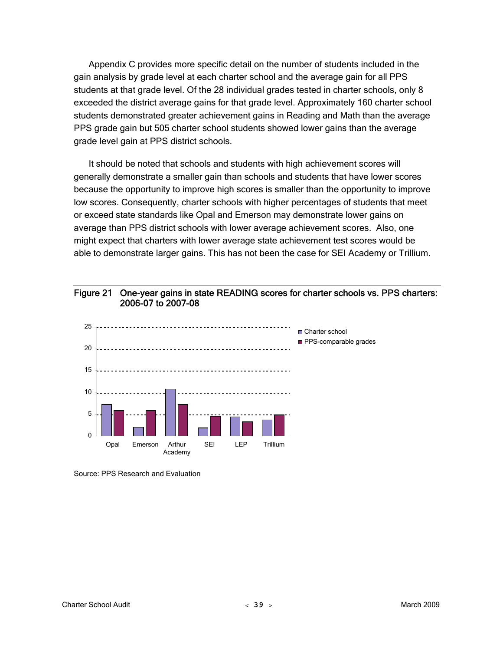Appendix C provides more specific detail on the number of students included in the gain analysis by grade level at each charter school and the average gain for all PPS students at that grade level. Of the 28 individual grades tested in charter schools, only 8 exceeded the district average gains for that grade level. Approximately 160 charter school students demonstrated greater achievement gains in Reading and Math than the average PPS grade gain but 505 charter school students showed lower gains than the average grade level gain at PPS district schools.

It should be noted that schools and students with high achievement scores will generally demonstrate a smaller gain than schools and students that have lower scores because the opportunity to improve high scores is smaller than the opportunity to improve low scores. Consequently, charter schools with higher percentages of students that meet or exceed state standards like Opal and Emerson may demonstrate lower gains on average than PPS district schools with lower average achievement scores. Also, one might expect that charters with lower average state achievement test scores would be able to demonstrate larger gains. This has not been the case for SEI Academy or Trillium.





Source: PPS Research and Evaluation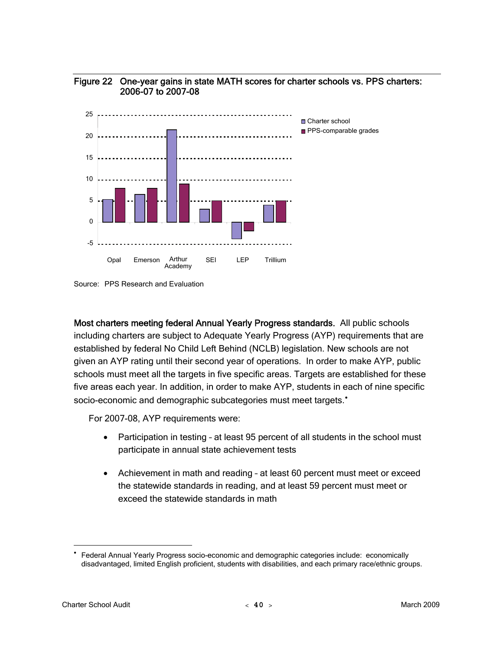



Most charters meeting federal Annual Yearly Progress standards. All public schools including charters are subject to Adequate Yearly Progress (AYP) requirements that are established by federal No Child Left Behind (NCLB) legislation. New schools are not given an AYP rating until their second year of operations. In order to make AYP, public schools must meet all the targets in five specific areas. Targets are established for these five areas each year. In addition, in order to make AYP, students in each of nine specific socio-economic and demographic subcategories must meet targets.<sup>[•](#page-45-0)</sup>

For 2007-08, AYP requirements were:

- Participation in testing at least 95 percent of all students in the school must participate in annual state achievement tests
- Achievement in math and reading at least 60 percent must meet or exceed the statewide standards in reading, and at least 59 percent must meet or exceed the statewide standards in math

 $\overline{a}$ 

Source: PPS Research and Evaluation

<span id="page-45-0"></span><sup>•</sup> Federal Annual Yearly Progress socio-economic and demographic categories include: economically disadvantaged, limited English proficient, students with disabilities, and each primary race/ethnic groups.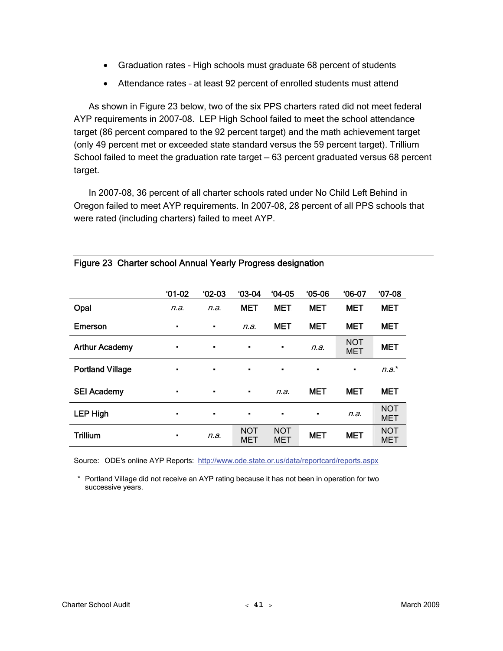- Graduation rates High schools must graduate 68 percent of students
- Attendance rates at least 92 percent of enrolled students must attend

As shown in Figure 23 below, two of the six PPS charters rated did not meet federal AYP requirements in 2007-08. LEP High School failed to meet the school attendance target (86 percent compared to the 92 percent target) and the math achievement target (only 49 percent met or exceeded state standard versus the 59 percent target). Trillium School failed to meet the graduation rate target — 63 percent graduated versus 68 percent target.

In 2007-08, 36 percent of all charter schools rated under No Child Left Behind in Oregon failed to meet AYP requirements. In 2007-08, 28 percent of all PPS schools that were rated (including charters) failed to meet AYP.

|                         | $'01-02$ | $'02-03$ | $03-04$           | $04-05$                  | $05-06$    | $06-07$                  | $'07-08$                 |
|-------------------------|----------|----------|-------------------|--------------------------|------------|--------------------------|--------------------------|
| Opal                    | n.a.     | n.a.     | <b>MET</b>        | <b>MET</b>               | <b>MET</b> | <b>MET</b>               | <b>MET</b>               |
| Emerson                 | ٠        | ٠        | n.a.              | <b>MET</b>               | <b>MET</b> | <b>MET</b>               | <b>MET</b>               |
| <b>Arthur Academy</b>   | ٠        | ٠        | ٠                 | $\blacksquare$           | n.a.       | <b>NOT</b><br><b>MET</b> | <b>MET</b>               |
| <b>Portland Village</b> | ٠        | ٠        | ٠                 | $\blacksquare$           | ٠          | ٠                        | $n.a.*$                  |
| <b>SEI Academy</b>      | ٠        | ٠        | ٠                 | n.a.                     | <b>MET</b> | <b>MET</b>               | <b>MET</b>               |
| <b>LEP High</b>         | ٠        | ٠        | ٠                 | $\blacksquare$           | ٠          | n.a.                     | <b>NOT</b><br><b>MET</b> |
| <b>Trillium</b>         | ٠        | n.a.     | <b>NOT</b><br>MET | <b>NOT</b><br><b>MET</b> | <b>MET</b> | <b>MET</b>               | <b>NOT</b><br><b>MET</b> |

## Figure 23 Charter school Annual Yearly Progress designation

Source: ODE's online AYP Reports: <http://www.ode.state.or.us/data/reportcard/reports.aspx>

 \* Portland Village did not receive an AYP rating because it has not been in operation for two successive years.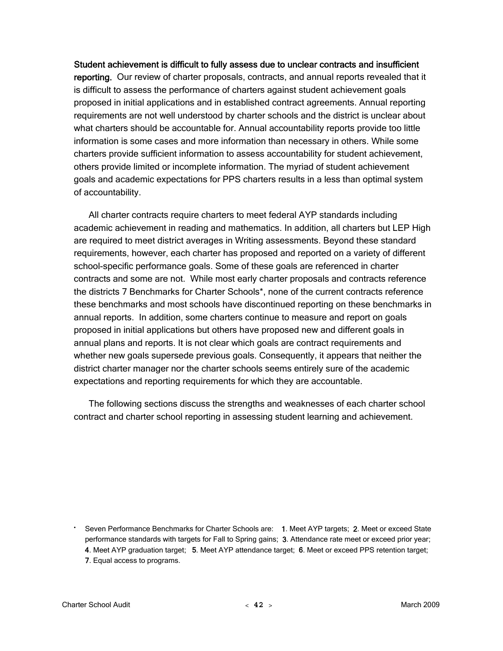#### Student achievement is difficult to fully assess due to unclear contracts and insufficient

reporting. Our review of charter proposals, contracts, and annual reports revealed that it is difficult to assess the performance of charters against student achievement goals proposed in initial applications and in established contract agreements. Annual reporting requirements are not well understood by charter schools and the district is unclear about what charters should be accountable for. Annual accountability reports provide too little information is some cases and more information than necessary in others. While some charters provide sufficient information to assess accountability for student achievement, others provide limited or incomplete information. The myriad of student achievement goals and academic expectations for PPS charters results in a less than optimal system of accountability.

All charter contracts require charters to meet federal AYP standards including academic achievement in reading and mathematics. In addition, all charters but LEP High are required to meet district averages in Writing assessments. Beyond these standard requirements, however, each charter has proposed and reported on a variety of different school-specific performance goals. Some of these goals are referenced in charter contracts and some are not. While most early charter proposals and contracts reference the districts 7 Benchmarks for Charter Schools\*, none of the current contracts reference these benchmarks and most schools have discontinued reporting on these benchmarks in annual reports. In addition, some charters continue to measure and report on goals proposed in initial applications but others have proposed new and different goals in annual plans and reports. It is not clear which goals are contract requirements and whether new goals supersede previous goals. Consequently, it appears that neither the district charter manager nor the charter schools seems entirely sure of the academic expectations and reporting requirements for which they are accountable.

The following sections discuss the strengths and weaknesses of each charter school contract and charter school reporting in assessing student learning and achievement.

• Seven Performance Benchmarks for Charter Schools are: 1. Meet AYP targets; 2. Meet or exceed State performance standards with targets for Fall to Spring gains; 3. Attendance rate meet or exceed prior year; 4. Meet AYP graduation target; 5. Meet AYP attendance target; 6. Meet or exceed PPS retention target;

7. Equal access to programs.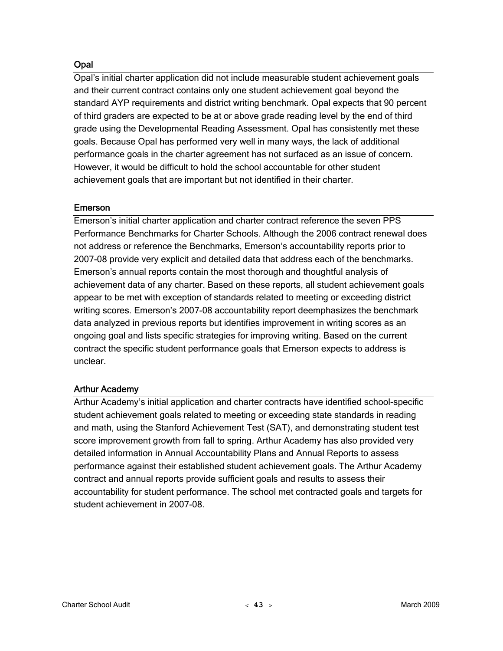## **Opal**

Opal's initial charter application did not include measurable student achievement goals and their current contract contains only one student achievement goal beyond the standard AYP requirements and district writing benchmark. Opal expects that 90 percent of third graders are expected to be at or above grade reading level by the end of third grade using the Developmental Reading Assessment. Opal has consistently met these goals. Because Opal has performed very well in many ways, the lack of additional performance goals in the charter agreement has not surfaced as an issue of concern. However, it would be difficult to hold the school accountable for other student achievement goals that are important but not identified in their charter.

## Emerson

Emerson's initial charter application and charter contract reference the seven PPS Performance Benchmarks for Charter Schools. Although the 2006 contract renewal does not address or reference the Benchmarks, Emerson's accountability reports prior to 2007-08 provide very explicit and detailed data that address each of the benchmarks. Emerson's annual reports contain the most thorough and thoughtful analysis of achievement data of any charter. Based on these reports, all student achievement goals appear to be met with exception of standards related to meeting or exceeding district writing scores. Emerson's 2007-08 accountability report deemphasizes the benchmark data analyzed in previous reports but identifies improvement in writing scores as an ongoing goal and lists specific strategies for improving writing. Based on the current contract the specific student performance goals that Emerson expects to address is unclear.

## Arthur Academy

Arthur Academy's initial application and charter contracts have identified school-specific student achievement goals related to meeting or exceeding state standards in reading and math, using the Stanford Achievement Test (SAT), and demonstrating student test score improvement growth from fall to spring. Arthur Academy has also provided very detailed information in Annual Accountability Plans and Annual Reports to assess performance against their established student achievement goals. The Arthur Academy contract and annual reports provide sufficient goals and results to assess their accountability for student performance. The school met contracted goals and targets for student achievement in 2007-08.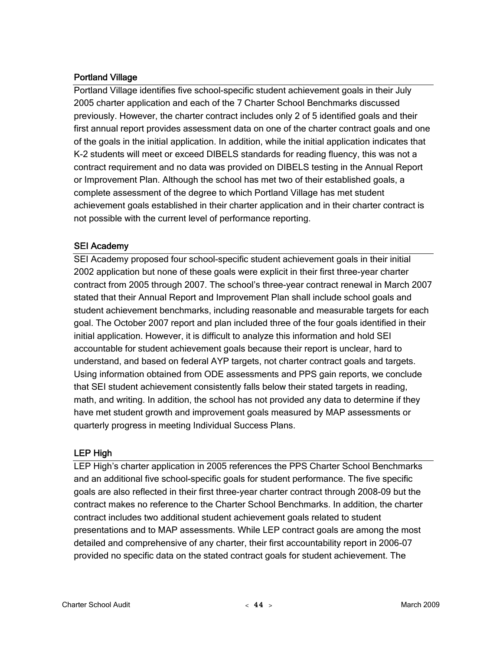## Portland Village

Portland Village identifies five school-specific student achievement goals in their July 2005 charter application and each of the 7 Charter School Benchmarks discussed previously. However, the charter contract includes only 2 of 5 identified goals and their first annual report provides assessment data on one of the charter contract goals and one of the goals in the initial application. In addition, while the initial application indicates that K-2 students will meet or exceed DIBELS standards for reading fluency, this was not a contract requirement and no data was provided on DIBELS testing in the Annual Report or Improvement Plan. Although the school has met two of their established goals, a complete assessment of the degree to which Portland Village has met student achievement goals established in their charter application and in their charter contract is not possible with the current level of performance reporting.

## SEI Academy

SEI Academy proposed four school-specific student achievement goals in their initial 2002 application but none of these goals were explicit in their first three-year charter contract from 2005 through 2007. The school's three-year contract renewal in March 2007 stated that their Annual Report and Improvement Plan shall include school goals and student achievement benchmarks, including reasonable and measurable targets for each goal. The October 2007 report and plan included three of the four goals identified in their initial application. However, it is difficult to analyze this information and hold SEI accountable for student achievement goals because their report is unclear, hard to understand, and based on federal AYP targets, not charter contract goals and targets. Using information obtained from ODE assessments and PPS gain reports, we conclude that SEI student achievement consistently falls below their stated targets in reading, math, and writing. In addition, the school has not provided any data to determine if they have met student growth and improvement goals measured by MAP assessments or quarterly progress in meeting Individual Success Plans.

## LEP High

LEP High's charter application in 2005 references the PPS Charter School Benchmarks and an additional five school-specific goals for student performance. The five specific goals are also reflected in their first three-year charter contract through 2008-09 but the contract makes no reference to the Charter School Benchmarks. In addition, the charter contract includes two additional student achievement goals related to student presentations and to MAP assessments. While LEP contract goals are among the most detailed and comprehensive of any charter, their first accountability report in 2006-07 provided no specific data on the stated contract goals for student achievement. The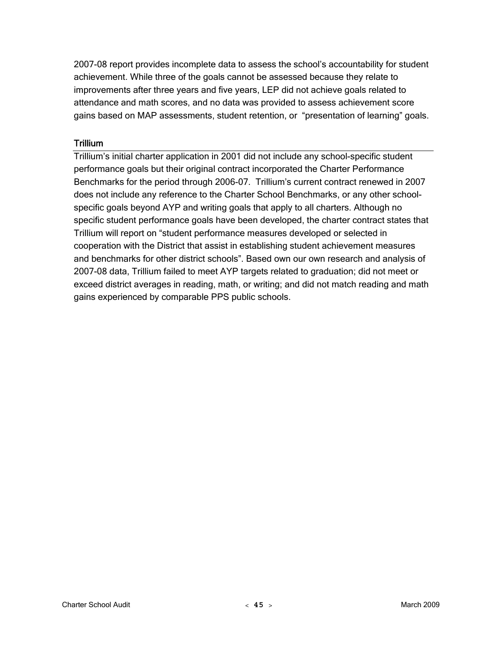2007-08 report provides incomplete data to assess the school's accountability for student achievement. While three of the goals cannot be assessed because they relate to improvements after three years and five years, LEP did not achieve goals related to attendance and math scores, and no data was provided to assess achievement score gains based on MAP assessments, student retention, or "presentation of learning" goals.

## **Trillium**

Trillium's initial charter application in 2001 did not include any school-specific student performance goals but their original contract incorporated the Charter Performance Benchmarks for the period through 2006-07. Trillium's current contract renewed in 2007 does not include any reference to the Charter School Benchmarks, or any other schoolspecific goals beyond AYP and writing goals that apply to all charters. Although no specific student performance goals have been developed, the charter contract states that Trillium will report on "student performance measures developed or selected in cooperation with the District that assist in establishing student achievement measures and benchmarks for other district schools". Based own our own research and analysis of 2007-08 data, Trillium failed to meet AYP targets related to graduation; did not meet or exceed district averages in reading, math, or writing; and did not match reading and math gains experienced by comparable PPS public schools.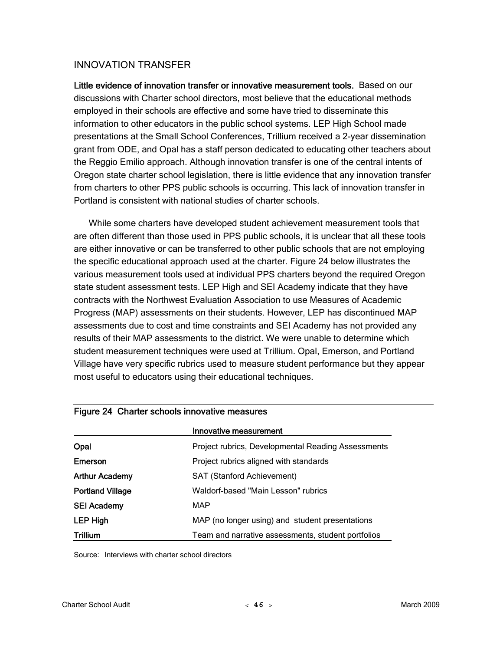## INNOVATION TRANSFER

Little evidence of innovation transfer or innovative measurement tools. Based on our discussions with Charter school directors, most believe that the educational methods employed in their schools are effective and some have tried to disseminate this information to other educators in the public school systems. LEP High School made presentations at the Small School Conferences, Trillium received a 2-year dissemination grant from ODE, and Opal has a staff person dedicated to educating other teachers about the Reggio Emilio approach. Although innovation transfer is one of the central intents of Oregon state charter school legislation, there is little evidence that any innovation transfer from charters to other PPS public schools is occurring. This lack of innovation transfer in Portland is consistent with national studies of charter schools.

While some charters have developed student achievement measurement tools that are often different than those used in PPS public schools, it is unclear that all these tools are either innovative or can be transferred to other public schools that are not employing the specific educational approach used at the charter. Figure 24 below illustrates the various measurement tools used at individual PPS charters beyond the required Oregon state student assessment tests. LEP High and SEI Academy indicate that they have contracts with the Northwest Evaluation Association to use Measures of Academic Progress (MAP) assessments on their students. However, LEP has discontinued MAP assessments due to cost and time constraints and SEI Academy has not provided any results of their MAP assessments to the district. We were unable to determine which student measurement techniques were used at Trillium. Opal, Emerson, and Portland Village have very specific rubrics used to measure student performance but they appear most useful to educators using their educational techniques.

|                         | Innovative measurement                             |
|-------------------------|----------------------------------------------------|
| Opal                    | Project rubrics, Developmental Reading Assessments |
| Emerson                 | Project rubrics aligned with standards             |
| <b>Arthur Academy</b>   | <b>SAT (Stanford Achievement)</b>                  |
| <b>Portland Village</b> | Waldorf-based "Main Lesson" rubrics                |
| <b>SEI Academy</b>      | MAP                                                |
| <b>LEP High</b>         | MAP (no longer using) and student presentations    |
| <b>Trillium</b>         | Team and narrative assessments, student portfolios |

## Figure 24 Charter schools innovative measures

Source: Interviews with charter school directors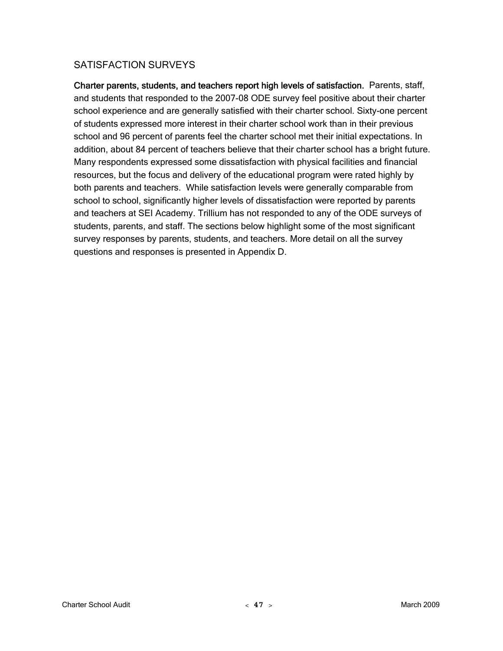## SATISFACTION SURVEYS

Charter parents, students, and teachers report high levels of satisfaction. Parents, staff, and students that responded to the 2007-08 ODE survey feel positive about their charter school experience and are generally satisfied with their charter school. Sixty-one percent of students expressed more interest in their charter school work than in their previous school and 96 percent of parents feel the charter school met their initial expectations. In addition, about 84 percent of teachers believe that their charter school has a bright future. Many respondents expressed some dissatisfaction with physical facilities and financial resources, but the focus and delivery of the educational program were rated highly by both parents and teachers. While satisfaction levels were generally comparable from school to school, significantly higher levels of dissatisfaction were reported by parents and teachers at SEI Academy. Trillium has not responded to any of the ODE surveys of students, parents, and staff. The sections below highlight some of the most significant survey responses by parents, students, and teachers. More detail on all the survey questions and responses is presented in Appendix D.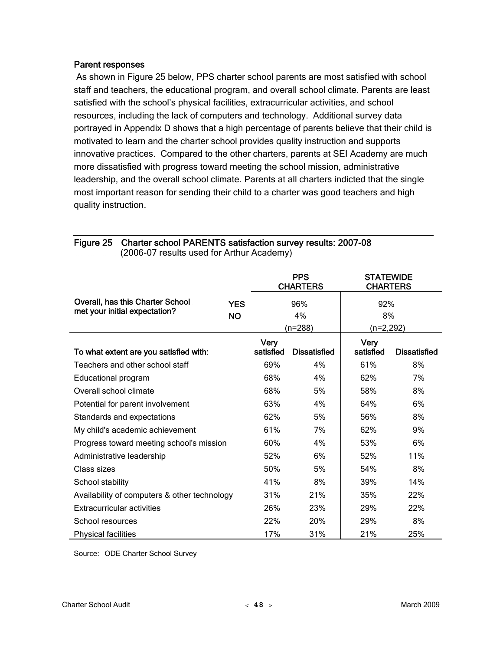#### Parent responses

 As shown in Figure 25 below, PPS charter school parents are most satisfied with school staff and teachers, the educational program, and overall school climate. Parents are least satisfied with the school's physical facilities, extracurricular activities, and school resources, including the lack of computers and technology. Additional survey data portrayed in Appendix D shows that a high percentage of parents believe that their child is motivated to learn and the charter school provides quality instruction and supports innovative practices. Compared to the other charters, parents at SEI Academy are much more dissatisfied with progress toward meeting the school mission, administrative leadership, and the overall school climate. Parents at all charters indicted that the single most important reason for sending their child to a charter was good teachers and high quality instruction.

|                                                                   |            |           | <b>PPS</b><br><b>CHARTERS</b> | <b>STATEWIDE</b><br><b>CHARTERS</b> |                     |
|-------------------------------------------------------------------|------------|-----------|-------------------------------|-------------------------------------|---------------------|
| Overall, has this Charter School<br>met your initial expectation? | <b>YES</b> |           | 96%                           | 92%                                 |                     |
|                                                                   | <b>NO</b>  |           | 4%                            | 8%                                  |                     |
|                                                                   |            |           | $(n=288)$                     | (n=2,292)                           |                     |
|                                                                   |            | Very      |                               | <b>Very</b>                         |                     |
| To what extent are you satisfied with:                            |            | satisfied | <b>Dissatisfied</b>           | satisfied                           | <b>Dissatisfied</b> |
| Teachers and other school staff                                   |            | 69%       | 4%                            | 61%                                 | 8%                  |
| <b>Educational program</b>                                        |            | 68%       | 4%                            | 62%                                 | 7%                  |
| Overall school climate                                            |            | 68%       | 5%                            | 58%                                 | 8%                  |
| Potential for parent involvement                                  |            | 63%       | 4%                            | 64%                                 | 6%                  |
| Standards and expectations                                        |            | 62%       | 5%                            | 56%                                 | 8%                  |
| My child's academic achievement                                   |            | 61%       | 7%                            | 62%                                 | 9%                  |
| Progress toward meeting school's mission                          |            | 60%       | 4%                            | 53%                                 | 6%                  |
| Administrative leadership                                         |            | 52%       | 6%                            | 52%                                 | 11%                 |
| Class sizes                                                       |            | 50%       | 5%                            | 54%                                 | 8%                  |
| School stability                                                  |            | 41%       | 8%                            | 39%                                 | 14%                 |
| Availability of computers & other technology                      |            | 31%       | 21%                           | 35%                                 | 22%                 |
| <b>Extracurricular activities</b>                                 |            | 26%       | 23%                           | 29%                                 | 22%                 |
| School resources                                                  |            | 22%       | 20%                           | 29%                                 | 8%                  |
| <b>Physical facilities</b>                                        |            | 17%       | 31%                           | 21%                                 | 25%                 |

Figure 25 Charter school PARENTS satisfaction survey results: 2007-08 (2006-07 results used for Arthur Academy)

Source: ODE Charter School Survey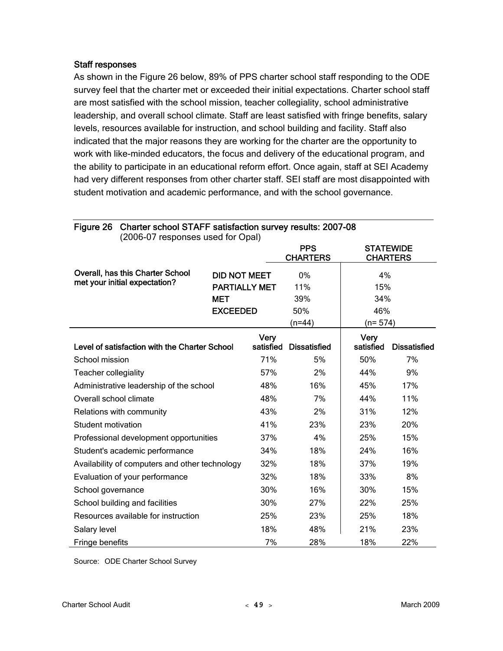### Staff responses

As shown in the Figure 26 below, 89% of PPS charter school staff responding to the ODE survey feel that the charter met or exceeded their initial expectations. Charter school staff are most satisfied with the school mission, teacher collegiality, school administrative leadership, and overall school climate. Staff are least satisfied with fringe benefits, salary levels, resources available for instruction, and school building and facility. Staff also indicated that the major reasons they are working for the charter are the opportunity to work with like-minded educators, the focus and delivery of the educational program, and the ability to participate in an educational reform effort. Once again, staff at SEI Academy had very different responses from other charter staff. SEI staff are most disappointed with student motivation and academic performance, and with the school governance.

| Charter school STAFF satisfaction survey results: 2007-08<br>Figure 26<br>(2006-07 responses used for Opal) |                      |                   |                               |                   |                                     |
|-------------------------------------------------------------------------------------------------------------|----------------------|-------------------|-------------------------------|-------------------|-------------------------------------|
|                                                                                                             |                      |                   | <b>PPS</b><br><b>CHARTERS</b> |                   | <b>STATEWIDE</b><br><b>CHARTERS</b> |
| Overall, has this Charter School                                                                            | <b>DID NOT MEET</b>  |                   | 0%                            | 4%                |                                     |
| met your initial expectation?                                                                               | <b>PARTIALLY MET</b> |                   | 11%                           | 15%               |                                     |
|                                                                                                             | <b>MET</b>           |                   | 39%                           | 34%               |                                     |
|                                                                                                             | <b>EXCEEDED</b>      |                   | 50%                           | 46%               |                                     |
|                                                                                                             |                      |                   | (n=44)                        | (n= 574)          |                                     |
| Level of satisfaction with the Charter School                                                               |                      | Very<br>satisfied | <b>Dissatisfied</b>           | Very<br>satisfied | <b>Dissatisfied</b>                 |
| School mission                                                                                              |                      | 71%               | 5%                            | 50%               | 7%                                  |
| <b>Teacher collegiality</b>                                                                                 |                      | 57%               | 2%                            | 44%               | 9%                                  |
| Administrative leadership of the school                                                                     |                      | 48%               | 16%                           | 45%               | 17%                                 |
| Overall school climate                                                                                      |                      | 48%               | 7%                            | 44%               | 11%                                 |
| Relations with community                                                                                    |                      | 43%               | 2%                            | 31%               | 12%                                 |
| <b>Student motivation</b>                                                                                   |                      | 41%               | 23%                           | 23%               | 20%                                 |
| Professional development opportunities                                                                      |                      | 37%               | 4%                            | 25%               | 15%                                 |
| Student's academic performance                                                                              |                      | 34%               | 18%                           | 24%               | 16%                                 |
| Availability of computers and other technology                                                              |                      | 32%               | 18%                           | 37%               | 19%                                 |
| Evaluation of your performance                                                                              |                      | 32%               | 18%                           | 33%               | 8%                                  |
| School governance                                                                                           |                      | 30%               | 16%                           | 30%               | 15%                                 |
| School building and facilities                                                                              |                      | 30%               | 27%                           | 22%               | 25%                                 |
| Resources available for instruction                                                                         |                      | 25%               | 23%                           | 25%               | 18%                                 |
| Salary level                                                                                                |                      | 18%               | 48%                           | 21%               | 23%                                 |
| Fringe benefits                                                                                             |                      | 7%                | 28%                           | 18%               | 22%                                 |

Source: ODE Charter School Survey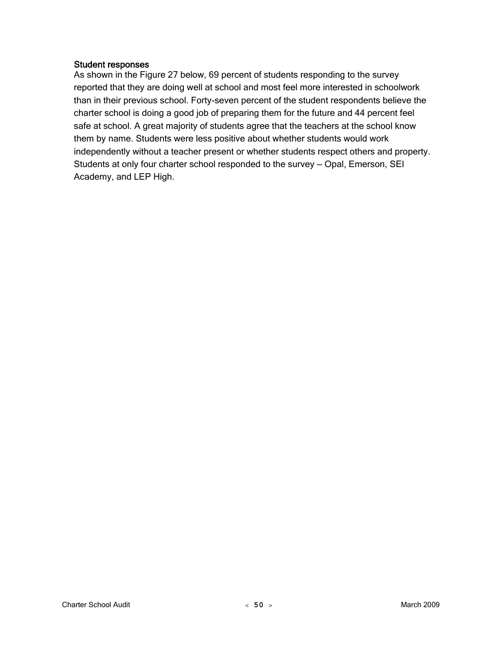### Student responses

As shown in the Figure 27 below, 69 percent of students responding to the survey reported that they are doing well at school and most feel more interested in schoolwork than in their previous school. Forty-seven percent of the student respondents believe the charter school is doing a good job of preparing them for the future and 44 percent feel safe at school. A great majority of students agree that the teachers at the school know them by name. Students were less positive about whether students would work independently without a teacher present or whether students respect others and property. Students at only four charter school responded to the survey — Opal, Emerson, SEI Academy, and LEP High.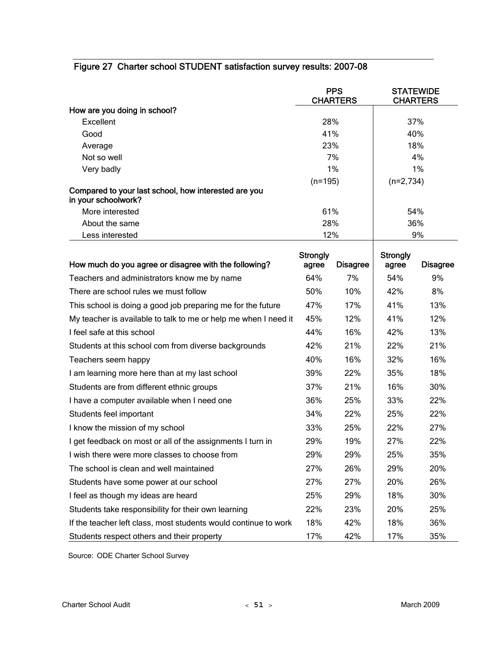|                                                                             |                          | <b>PPS</b><br><b>CHARTERS</b> | <b>STATEWIDE</b><br><b>CHARTERS</b> |                 |  |
|-----------------------------------------------------------------------------|--------------------------|-------------------------------|-------------------------------------|-----------------|--|
| How are you doing in school?                                                |                          |                               |                                     |                 |  |
| Excellent                                                                   | 28%                      |                               | 37%                                 |                 |  |
| Good                                                                        | 41%                      |                               |                                     | 40%             |  |
| Average                                                                     | 23%                      |                               |                                     | 18%             |  |
| Not so well                                                                 |                          | 7%                            |                                     | 4%              |  |
| Very badly                                                                  |                          | 1%                            |                                     | 1%              |  |
| Compared to your last school, how interested are you<br>in your schoolwork? | $(n=195)$                |                               | $(n=2,734)$                         |                 |  |
| More interested                                                             | 61%                      |                               |                                     | 54%             |  |
| About the same                                                              | 28%                      |                               |                                     | 36%             |  |
| Less interested                                                             | 12%                      |                               |                                     | 9%              |  |
| How much do you agree or disagree with the following?                       | <b>Strongly</b><br>agree | <b>Disagree</b>               | <b>Strongly</b><br>agree            | <b>Disagree</b> |  |
| Teachers and administrators know me by name                                 | 64%                      | 7%                            | 54%                                 | 9%              |  |
| There are school rules we must follow                                       | 50%                      | 10%                           | 42%                                 | 8%              |  |
| This school is doing a good job preparing me for the future                 | 47%                      | 17%                           | 41%                                 | 13%             |  |
| My teacher is available to talk to me or help me when I need it             | 45%                      | 12%                           | 41%                                 | 12%             |  |
| I feel safe at this school                                                  | 44%                      | 16%                           | 42%                                 | 13%             |  |
| Students at this school com from diverse backgrounds                        | 42%                      | 21%                           | 22%                                 | 21%             |  |
| Teachers seem happy                                                         | 40%                      | 16%                           | 32%                                 | 16%             |  |
| I am learning more here than at my last school                              | 39%                      | 22%                           | 35%                                 | 18%             |  |
| Students are from different ethnic groups                                   | 37%                      | 21%                           | 16%                                 | 30%             |  |
| I have a computer available when I need one                                 | 36%                      | 25%                           | 33%                                 | 22%             |  |
| Students feel important                                                     | 34%                      | 22%                           | 25%                                 | 22%             |  |
| I know the mission of my school                                             | 33%                      | 25%                           | 22%                                 | 27%             |  |
| I get feedback on most or all of the assignments I turn in                  | 29%                      | 19%                           | 27%                                 | 22%             |  |
| I wish there were more classes to choose from                               | 29%                      | 29%                           | 25%                                 | 35%             |  |
| The school is clean and well maintained                                     | 27%                      | 26%                           | 29%                                 | 20%             |  |
| Students have some power at our school                                      | 27%                      | 27%                           | 20%                                 | 26%             |  |
| I feel as though my ideas are heard                                         | 25%                      | 29%                           | 18%                                 | 30%             |  |
| Students take responsibility for their own learning                         | 22%                      | 23%                           | 20%                                 | 25%             |  |
| If the teacher left class, most students would continue to work             | 18%                      | 42%                           | 18%                                 | 36%             |  |
| Students respect others and their property                                  | 17%                      | 42%                           | 17%                                 | 35%             |  |

## Figure 27 Charter school STUDENT satisfaction survey results: 2007-08

Source: ODE Charter School Survey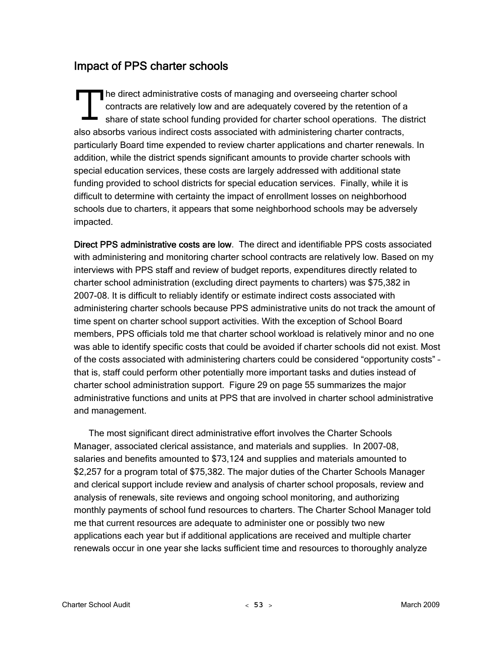# Impact of PPS charter schools

he direct administrative costs of managing and overseeing charter school contracts are relatively low and are adequately covered by the retention of a share of state school funding provided for charter school operations. The district also absorbs various indirect costs associated with administering charter contracts, particularly Board time expended to review charter applications and charter renewals. In addition, while the district spends significant amounts to provide charter schools with special education services, these costs are largely addressed with additional state funding provided to school districts for special education services. Finally, while it is difficult to determine with certainty the impact of enrollment losses on neighborhood schools due to charters, it appears that some neighborhood schools may be adversely impacted. The direct contract

Direct PPS administrative costs are low. The direct and identifiable PPS costs associated with administering and monitoring charter school contracts are relatively low. Based on my interviews with PPS staff and review of budget reports, expenditures directly related to charter school administration (excluding direct payments to charters) was \$75,382 in 2007-08. It is difficult to reliably identify or estimate indirect costs associated with administering charter schools because PPS administrative units do not track the amount of time spent on charter school support activities. With the exception of School Board members, PPS officials told me that charter school workload is relatively minor and no one was able to identify specific costs that could be avoided if charter schools did not exist. Most of the costs associated with administering charters could be considered "opportunity costs" – that is, staff could perform other potentially more important tasks and duties instead of charter school administration support. Figure 29 on page 55 summarizes the major administrative functions and units at PPS that are involved in charter school administrative and management.

The most significant direct administrative effort involves the Charter Schools Manager, associated clerical assistance, and materials and supplies. In 2007-08, salaries and benefits amounted to \$73,124 and supplies and materials amounted to \$2,257 for a program total of \$75,382. The major duties of the Charter Schools Manager and clerical support include review and analysis of charter school proposals, review and analysis of renewals, site reviews and ongoing school monitoring, and authorizing monthly payments of school fund resources to charters. The Charter School Manager told me that current resources are adequate to administer one or possibly two new applications each year but if additional applications are received and multiple charter renewals occur in one year she lacks sufficient time and resources to thoroughly analyze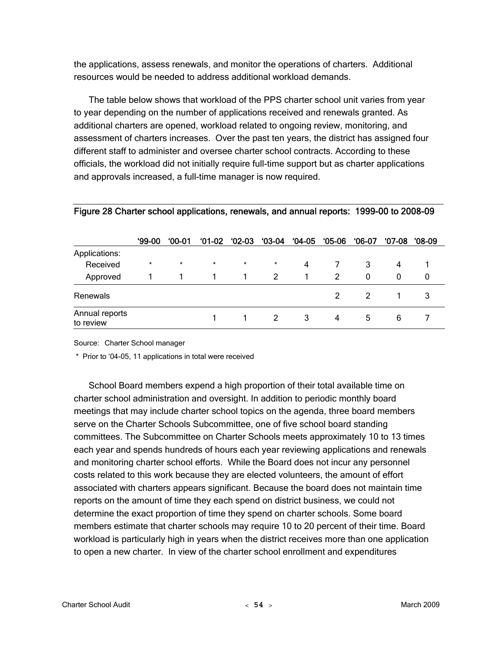the applications, assess renewals, and monitor the operations of charters. Additional resources would be needed to address additional workload demands.

The table below shows that workload of the PPS charter school unit varies from year to year depending on the number of applications received and renewals granted. As additional charters are opened, workload related to ongoing review, monitoring, and assessment of charters increases. Over the past ten years, the district has assigned four different staff to administer and oversee charter school contracts. According to these officials, the workload did not initially require full-time support but as charter applications and approvals increased, a full-time manager is now required.

|                             | <b>99-00</b> | $00-01$ | <b>01-02</b> | $02-03$ | $03-04$ | $04-05$ | $05-06$ | $06-07$ | $07-08$ | '08-09 |
|-----------------------------|--------------|---------|--------------|---------|---------|---------|---------|---------|---------|--------|
| Applications:               |              |         |              |         |         |         |         |         |         |        |
| Received                    | $\ast$       | $\star$ | $\star$      | $\star$ | $\star$ | 4       |         | 3       | 4       |        |
| Approved                    |              |         |              |         | 2       |         | 2       | 0       | 0       | 0      |
| Renewals                    |              |         |              |         |         |         |         |         |         |        |
| Annual reports<br>to review |              |         |              |         | 2       | 3       | 4       | 5       | 6       |        |

#### Figure 28 Charter school applications, renewals, and annual reports: 1999-00 to 2008-09

Source: Charter School manager

\* Prior to '04-05, 11 applications in total were received

School Board members expend a high proportion of their total available time on charter school administration and oversight. In addition to periodic monthly board meetings that may include charter school topics on the agenda, three board members serve on the Charter Schools Subcommittee, one of five school board standing committees. The Subcommittee on Charter Schools meets approximately 10 to 13 times each year and spends hundreds of hours each year reviewing applications and renewals and monitoring charter school efforts. While the Board does not incur any personnel costs related to this work because they are elected volunteers, the amount of effort associated with charters appears significant. Because the board does not maintain time reports on the amount of time they each spend on district business, we could not determine the exact proportion of time they spend on charter schools. Some board members estimate that charter schools may require 10 to 20 percent of their time. Board workload is particularly high in years when the district receives more than one application to open a new charter. In view of the charter school enrollment and expenditures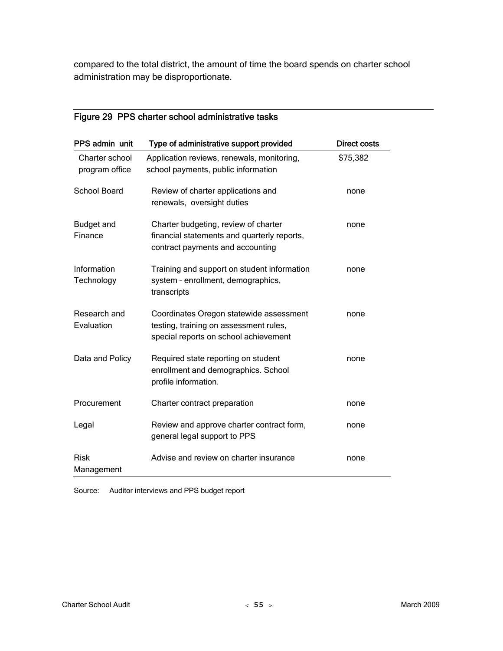compared to the total district, the amount of time the board spends on charter school administration may be disproportionate.

## Figure 29 PPS charter school administrative tasks

| PPS admin unit                   | Type of administrative support provided                                                                                    | <b>Direct costs</b> |
|----------------------------------|----------------------------------------------------------------------------------------------------------------------------|---------------------|
| Charter school<br>program office | Application reviews, renewals, monitoring,<br>school payments, public information                                          | \$75,382            |
| <b>School Board</b>              | Review of charter applications and<br>renewals, oversight duties                                                           | none                |
| <b>Budget and</b><br>Finance     | Charter budgeting, review of charter<br>financial statements and quarterly reports,<br>contract payments and accounting    | none                |
| Information<br>Technology        | Training and support on student information<br>system - enrollment, demographics,<br>transcripts                           | none                |
| Research and<br>Evaluation       | Coordinates Oregon statewide assessment<br>testing, training on assessment rules,<br>special reports on school achievement | none                |
| Data and Policy                  | Required state reporting on student<br>enrollment and demographics. School<br>profile information.                         | none                |
| Procurement                      | Charter contract preparation                                                                                               | none                |
| Legal                            | Review and approve charter contract form,<br>general legal support to PPS                                                  | none                |
| <b>Risk</b><br>Management        | Advise and review on charter insurance                                                                                     | none                |

Source: Auditor interviews and PPS budget report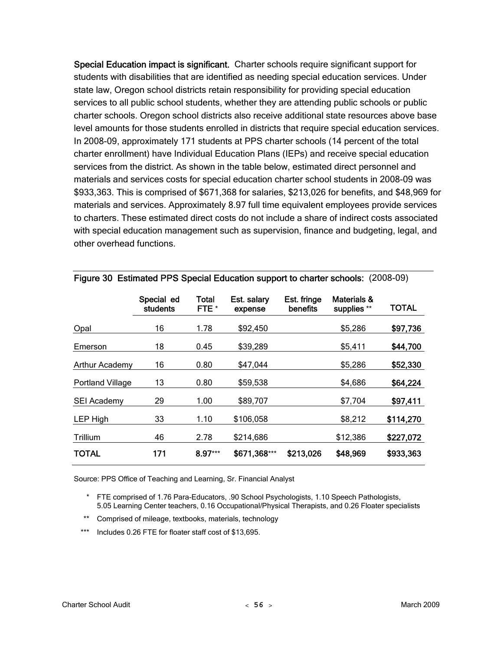Special Education impact is significant. Charter schools require significant support for students with disabilities that are identified as needing special education services. Under state law, Oregon school districts retain responsibility for providing special education services to all public school students, whether they are attending public schools or public charter schools. Oregon school districts also receive additional state resources above base level amounts for those students enrolled in districts that require special education services. In 2008-09, approximately 171 students at PPS charter schools (14 percent of the total charter enrollment) have Individual Education Plans (IEPs) and receive special education services from the district. As shown in the table below, estimated direct personnel and materials and services costs for special education charter school students in 2008-09 was \$933,363. This is comprised of \$671,368 for salaries, \$213,026 for benefits, and \$48,969 for materials and services. Approximately 8.97 full time equivalent employees provide services to charters. These estimated direct costs do not include a share of indirect costs associated with special education management such as supervision, finance and budgeting, legal, and other overhead functions.

|                         | Special ed<br>students | Total<br>FTE * | Est. salary<br>expense | Est. fringe<br>benefits | Materials &<br>supplies ** | <b>TOTAL</b> |
|-------------------------|------------------------|----------------|------------------------|-------------------------|----------------------------|--------------|
| Opal                    | 16                     | 1.78           | \$92,450               |                         | \$5,286                    | \$97,736     |
| Emerson                 | 18                     | 0.45           | \$39,289               |                         | \$5,411                    | \$44,700     |
| Arthur Academy          | 16                     | 0.80           | \$47,044               |                         | \$5,286                    | \$52,330     |
| <b>Portland Village</b> | 13                     | 0.80           | \$59,538               |                         | \$4,686                    | \$64,224     |
| SEI Academy             | 29                     | 1.00           | \$89,707               |                         | \$7,704                    | \$97,411     |
| LEP High                | 33                     | 1.10           | \$106,058              |                         | \$8,212                    | \$114,270    |
| Trillium                | 46                     | 2.78           | \$214,686              |                         | \$12,386                   | \$227,072    |
| <b>TOTAL</b>            | 171                    | $8.97***$      | \$671,368***           | \$213,026               | \$48,969                   | \$933,363    |

|  | Figure 30 Estimated PPS Special Education support to charter schools: (2008-09) |  |
|--|---------------------------------------------------------------------------------|--|
|  |                                                                                 |  |

Source: PPS Office of Teaching and Learning, Sr. Financial Analyst

- \* FTE comprised of 1.76 Para-Educators, .90 School Psychologists, 1.10 Speech Pathologists, 5.05 Learning Center teachers, 0.16 Occupational/Physical Therapists, and 0.26 Floater specialists
- \*\* Comprised of mileage, textbooks, materials, technology
- \*\*\* Includes 0.26 FTE for floater staff cost of \$13,695.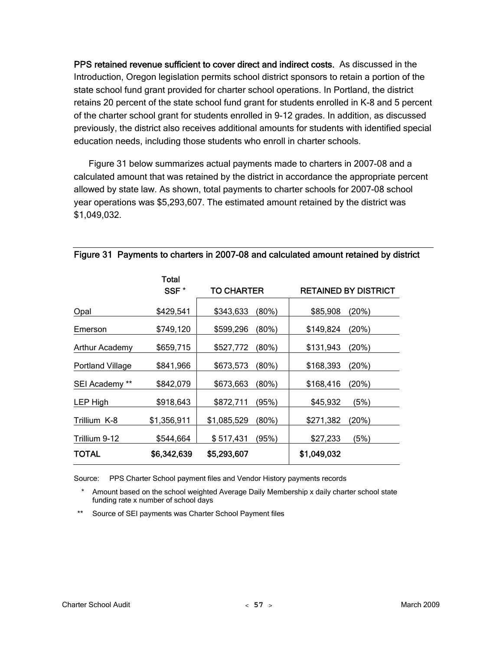PPS retained revenue sufficient to cover direct and indirect costs. As discussed in the Introduction, Oregon legislation permits school district sponsors to retain a portion of the state school fund grant provided for charter school operations. In Portland, the district retains 20 percent of the state school fund grant for students enrolled in K-8 and 5 percent of the charter school grant for students enrolled in 9-12 grades. In addition, as discussed previously, the district also receives additional amounts for students with identified special education needs, including those students who enroll in charter schools.

Figure 31 below summarizes actual payments made to charters in 2007-08 and a calculated amount that was retained by the district in accordance the appropriate percent allowed by state law. As shown, total payments to charter schools for 2007-08 school year operations was \$5,293,607. The estimated amount retained by the district was \$1,049,032.

|                         | Total<br>SSF <sup>*</sup> | <b>TO CHARTER</b> |          |             | <b>RETAINED BY DISTRICT</b> |
|-------------------------|---------------------------|-------------------|----------|-------------|-----------------------------|
| Opal                    | \$429,541                 | \$343,633         | $(80\%)$ | \$85,908    | (20%)                       |
| Emerson                 | \$749,120                 | \$599,296         | $(80\%)$ | \$149,824   | (20%)                       |
| Arthur Academy          | \$659,715                 | \$527,772         | $(80\%)$ | \$131,943   | (20%)                       |
| <b>Portland Village</b> | \$841,966                 | \$673,573         | $(80\%)$ | \$168,393   | (20%)                       |
| SEI Academy **          | \$842,079                 | \$673,663         | $(80\%)$ | \$168,416   | (20%)                       |
| LEP High                | \$918,643                 | \$872,711         | (95%)    | \$45,932    | (5%)                        |
| Trillium K-8            | \$1,356,911               | \$1,085,529       | (80%)    | \$271,382   | (20%)                       |
| Trillium 9-12           | \$544,664                 | \$517,431         | (95%)    | \$27,233    | (5%)                        |
| TOTAL                   | \$6,342,639               | \$5,293,607       |          | \$1,049,032 |                             |

#### Figure 31 Payments to charters in 2007-08 and calculated amount retained by district

Source: PPS Charter School payment files and Vendor History payments records

 \* Amount based on the school weighted Average Daily Membership x daily charter school state funding rate x number of school days

\*\* Source of SEI payments was Charter School Payment files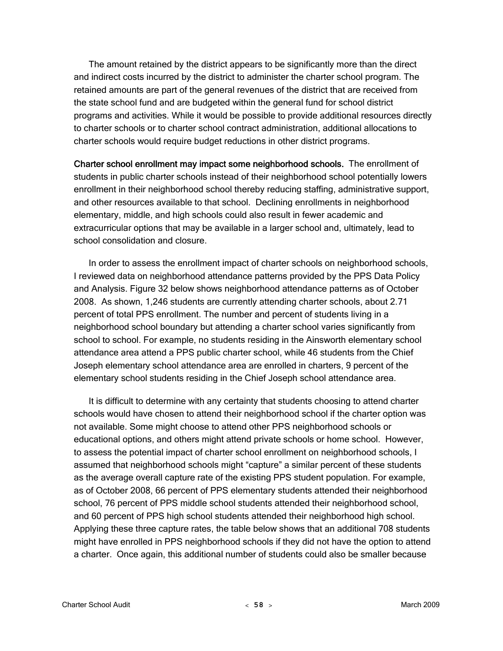The amount retained by the district appears to be significantly more than the direct and indirect costs incurred by the district to administer the charter school program. The retained amounts are part of the general revenues of the district that are received from the state school fund and are budgeted within the general fund for school district programs and activities. While it would be possible to provide additional resources directly to charter schools or to charter school contract administration, additional allocations to charter schools would require budget reductions in other district programs.

Charter school enrollment may impact some neighborhood schools. The enrollment of students in public charter schools instead of their neighborhood school potentially lowers enrollment in their neighborhood school thereby reducing staffing, administrative support, and other resources available to that school. Declining enrollments in neighborhood elementary, middle, and high schools could also result in fewer academic and extracurricular options that may be available in a larger school and, ultimately, lead to school consolidation and closure.

In order to assess the enrollment impact of charter schools on neighborhood schools, I reviewed data on neighborhood attendance patterns provided by the PPS Data Policy and Analysis. Figure 32 below shows neighborhood attendance patterns as of October 2008. As shown, 1,246 students are currently attending charter schools, about 2.71 percent of total PPS enrollment. The number and percent of students living in a neighborhood school boundary but attending a charter school varies significantly from school to school. For example, no students residing in the Ainsworth elementary school attendance area attend a PPS public charter school, while 46 students from the Chief Joseph elementary school attendance area are enrolled in charters, 9 percent of the elementary school students residing in the Chief Joseph school attendance area.

It is difficult to determine with any certainty that students choosing to attend charter schools would have chosen to attend their neighborhood school if the charter option was not available. Some might choose to attend other PPS neighborhood schools or educational options, and others might attend private schools or home school. However, to assess the potential impact of charter school enrollment on neighborhood schools, I assumed that neighborhood schools might "capture" a similar percent of these students as the average overall capture rate of the existing PPS student population. For example, as of October 2008, 66 percent of PPS elementary students attended their neighborhood school, 76 percent of PPS middle school students attended their neighborhood school, and 60 percent of PPS high school students attended their neighborhood high school. Applying these three capture rates, the table below shows that an additional 708 students might have enrolled in PPS neighborhood schools if they did not have the option to attend a charter. Once again, this additional number of students could also be smaller because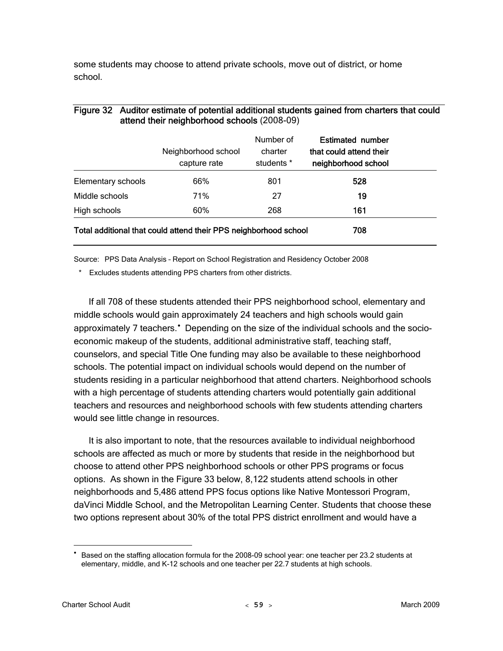some students may choose to attend private schools, move out of district, or home school.

|                                                                  | Neighborhood school<br>capture rate | Number of<br>charter<br>students * | <b>Estimated number</b><br>that could attend their<br>neighborhood school |
|------------------------------------------------------------------|-------------------------------------|------------------------------------|---------------------------------------------------------------------------|
| Elementary schools                                               | 66%                                 | 801                                | 528                                                                       |
| Middle schools                                                   | 71%                                 | 27                                 | 19                                                                        |
| High schools                                                     | 60%                                 | 268                                | 161                                                                       |
| Total additional that could attend their PPS neighborhood school | 708                                 |                                    |                                                                           |

### Figure 32 Auditor estimate of potential additional students gained from charters that could attend their neighborhood schools (2008-09)

Source: PPS Data Analysis – Report on School Registration and Residency October 2008

\* Excludes students attending PPS charters from other districts.

If all 708 of these students attended their PPS neighborhood school, elementary and middle schools would gain approximately 24 teachers and high schools would gain approximately 7 teachers.<sup>\*</sup> Depending on the size of the individual schools and the socioeconomic makeup of the students, additional administrative staff, teaching staff, counselors, and special Title One funding may also be available to these neighborhood schools. The potential impact on individual schools would depend on the number of students residing in a particular neighborhood that attend charters. Neighborhood schools with a high percentage of students attending charters would potentially gain additional teachers and resources and neighborhood schools with few students attending charters would see little change in resources.

It is also important to note, that the resources available to individual neighborhood schools are affected as much or more by students that reside in the neighborhood but choose to attend other PPS neighborhood schools or other PPS programs or focus options. As shown in the Figure 33 below, 8,122 students attend schools in other neighborhoods and 5,486 attend PPS focus options like Native Montessori Program, daVinci Middle School, and the Metropolitan Learning Center. Students that choose these two options represent about 30% of the total PPS district enrollment and would have a

 $\overline{a}$ 

<span id="page-64-0"></span><sup>•</sup> Based on the staffing allocation formula for the 2008-09 school year: one teacher per 23.2 students at elementary, middle, and K-12 schools and one teacher per 22.7 students at high schools.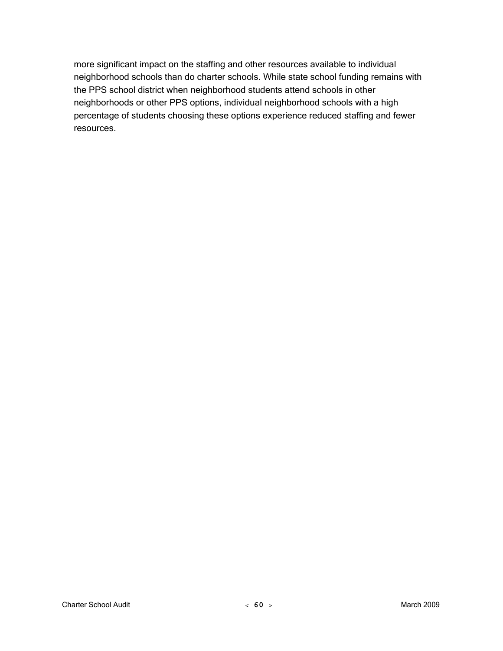more significant impact on the staffing and other resources available to individual neighborhood schools than do charter schools. While state school funding remains with the PPS school district when neighborhood students attend schools in other neighborhoods or other PPS options, individual neighborhood schools with a high percentage of students choosing these options experience reduced staffing and fewer resources.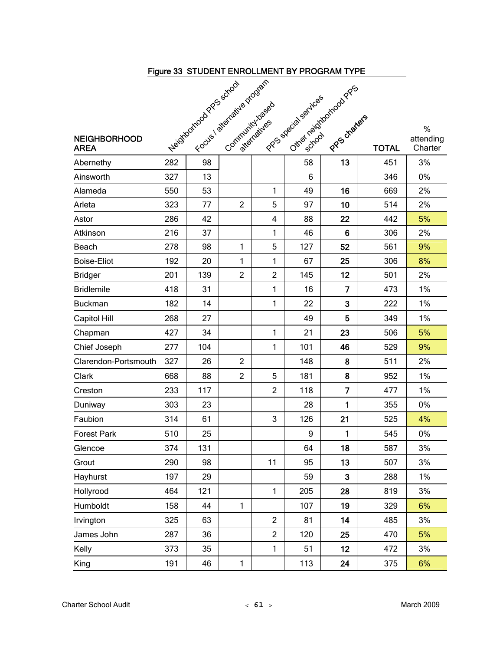| Figure 33 STUDENT ENROLLMENT BY PROGRAM TYPE                                                                                                                                                                                                             |     |     |                |                |                        |                |              |                      |
|----------------------------------------------------------------------------------------------------------------------------------------------------------------------------------------------------------------------------------------------------------|-----|-----|----------------|----------------|------------------------|----------------|--------------|----------------------|
| Veidardoctoco di discriministrazione di discriministrazione di discriministrazione di discriministrazione di discriministrazione di discriministrazione di discriministrazione di discriministrazione di discriministrazione d<br>other neighborhood Pro |     |     |                |                |                        |                |              |                      |
|                                                                                                                                                                                                                                                          |     |     |                |                |                        |                |              |                      |
|                                                                                                                                                                                                                                                          |     |     |                |                |                        |                |              |                      |
|                                                                                                                                                                                                                                                          |     |     |                |                |                        |                |              | %                    |
| <b>NEIGHBORHOOD</b><br><b>AREA</b>                                                                                                                                                                                                                       |     |     |                |                | I PPS Special sextices | PPPS diaters   | <b>TOTAL</b> | attending<br>Charter |
| Abernethy                                                                                                                                                                                                                                                |     |     |                |                | 58                     | 13             | 451          | 3%                   |
| Ainsworth                                                                                                                                                                                                                                                |     |     |                |                | 6                      |                | 346          | 0%                   |
| Alameda                                                                                                                                                                                                                                                  | 550 | 53  |                | 1              | 49                     | 16             | 669          | 2%                   |
| Arleta                                                                                                                                                                                                                                                   | 323 | 77  | $\overline{2}$ | 5              | 97                     | 10             | 514          | 2%                   |
| Astor                                                                                                                                                                                                                                                    | 286 | 42  |                | 4              | 88                     | 22             | 442          | 5%                   |
| Atkinson                                                                                                                                                                                                                                                 | 216 | 37  |                | 1              | 46                     | 6              | 306          | 2%                   |
| Beach                                                                                                                                                                                                                                                    | 278 | 98  | 1              | 5              | 127                    | 52             | 561          | 9%                   |
| <b>Boise-Eliot</b>                                                                                                                                                                                                                                       | 192 | 20  | 1              | 1              | 67                     | 25             | 306          | 8%                   |
| <b>Bridger</b>                                                                                                                                                                                                                                           | 201 | 139 | $\overline{c}$ | $\overline{c}$ | 145                    | 12             | 501          | 2%                   |
| <b>Bridlemile</b>                                                                                                                                                                                                                                        | 418 | 31  |                | 1              | 16                     | $\overline{7}$ | 473          | 1%                   |
| <b>Buckman</b>                                                                                                                                                                                                                                           | 182 | 14  |                | 1              | 22                     | 3              | 222          | 1%                   |
| Capitol Hill                                                                                                                                                                                                                                             | 268 | 27  |                |                | 49                     | 5              | 349          | 1%                   |
| Chapman                                                                                                                                                                                                                                                  | 427 | 34  |                | 1              | 21                     | 23             | 506          | 5%                   |
| Chief Joseph                                                                                                                                                                                                                                             | 277 | 104 |                | 1              | 101                    | 46             | 529          | 9%                   |
| Clarendon-Portsmouth                                                                                                                                                                                                                                     | 327 | 26  | $\overline{2}$ |                | 148                    | 8              | 511          | 2%                   |
| Clark                                                                                                                                                                                                                                                    | 668 | 88  | $\overline{2}$ | 5              | 181                    | 8              | 952          | 1%                   |
| Creston                                                                                                                                                                                                                                                  | 233 | 117 |                | $\overline{c}$ | 118                    | $\overline{7}$ | 477          | 1%                   |
| Duniway                                                                                                                                                                                                                                                  | 303 | 23  |                |                | 28                     | 1              | 355          | 0%                   |
| Faubion                                                                                                                                                                                                                                                  | 314 | 61  |                | 3              | 126                    | 21             | 525          | 4%                   |
| <b>Forest Park</b>                                                                                                                                                                                                                                       | 510 | 25  |                |                | 9                      | 1              | 545          | 0%                   |
| Glencoe                                                                                                                                                                                                                                                  | 374 | 131 |                |                | 64                     | 18             | 587          | 3%                   |
| Grout                                                                                                                                                                                                                                                    | 290 | 98  |                | 11             | 95                     | 13             | 507          | 3%                   |
| Hayhurst                                                                                                                                                                                                                                                 | 197 | 29  |                |                | 59                     | $\mathbf{3}$   | 288          | 1%                   |
| Hollyrood                                                                                                                                                                                                                                                | 464 | 121 |                | 1              | 205                    | 28             | 819          | 3%                   |
| Humboldt                                                                                                                                                                                                                                                 | 158 | 44  | $\mathbf{1}$   |                | 107                    | 19             | 329          | 6%                   |
| Irvington                                                                                                                                                                                                                                                | 325 | 63  |                | $\overline{2}$ | 81                     | 14             | 485          | 3%                   |
| James John                                                                                                                                                                                                                                               | 287 | 36  |                | $\overline{2}$ | 120                    | 25             | 470          | 5%                   |
| Kelly                                                                                                                                                                                                                                                    | 373 | 35  |                | $\mathbf{1}$   | 51                     | 12             | 472          | 3%                   |
| King                                                                                                                                                                                                                                                     | 191 | 46  | 1              |                | 113                    | 24             | 375          | 6%                   |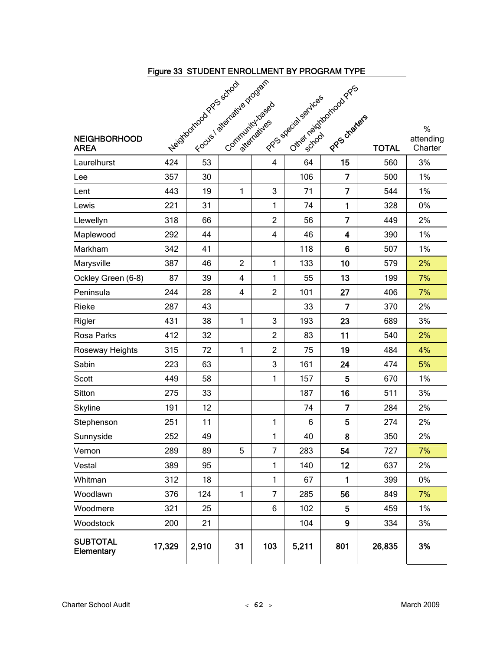| Figure 33 STUDENT ENROLLMENT BY PROGRAM TYPE<br>Veiding of Contractive Property of Basic Contractive Property |        |       |                         |                |                                                |                         |              |                           |
|---------------------------------------------------------------------------------------------------------------|--------|-------|-------------------------|----------------|------------------------------------------------|-------------------------|--------------|---------------------------|
|                                                                                                               |        |       |                         |                |                                                |                         |              |                           |
|                                                                                                               |        |       |                         |                |                                                |                         |              |                           |
|                                                                                                               |        |       |                         |                |                                                |                         |              |                           |
| <b>NEIGHBORHOOD</b><br><b>AREA</b>                                                                            |        |       |                         |                | Other neighborhood Pros<br>Prospecial services | PPS charles             | <b>TOTAL</b> | %<br>attending<br>Charter |
| Laurelhurst                                                                                                   |        |       |                         |                | 64                                             | 15                      | 560          | 3%                        |
| Lee                                                                                                           |        |       |                         |                | 106                                            | 7                       | 500          | 1%                        |
| Lent                                                                                                          | 443    | 19    | $\mathbf{1}$            | 3              | 71                                             | $\overline{7}$          | 544          | 1%                        |
| Lewis                                                                                                         | 221    | 31    |                         | $\mathbf{1}$   | 74                                             | 1                       | 328          | 0%                        |
| Llewellyn                                                                                                     | 318    | 66    |                         | $\overline{2}$ | 56                                             | $\overline{7}$          | 449          | 2%                        |
| Maplewood                                                                                                     | 292    | 44    |                         | 4              | 46                                             | $\overline{\mathbf{4}}$ | 390          | 1%                        |
| Markham                                                                                                       | 342    | 41    |                         |                | 118                                            | 6                       | 507          | 1%                        |
| Marysville                                                                                                    | 387    | 46    | $\overline{2}$          | $\mathbf{1}$   | 133                                            | 10                      | 579          | 2%                        |
| Ockley Green (6-8)                                                                                            | 87     | 39    | $\overline{\mathbf{4}}$ | 1              | 55                                             | 13                      | 199          | 7%                        |
| Peninsula                                                                                                     | 244    | 28    | $\overline{\mathbf{4}}$ | $\overline{c}$ | 101                                            | 27                      | 406          | 7%                        |
| Rieke                                                                                                         | 287    | 43    |                         |                | 33                                             | $\overline{7}$          | 370          | 2%                        |
| Rigler                                                                                                        | 431    | 38    | 1                       | 3              | 193                                            | 23                      | 689          | 3%                        |
| Rosa Parks                                                                                                    | 412    | 32    |                         | $\overline{c}$ | 83                                             | 11                      | 540          | 2%                        |
| Roseway Heights                                                                                               | 315    | 72    | 1                       | $\overline{c}$ | 75                                             | 19                      | 484          | 4%                        |
| Sabin                                                                                                         | 223    | 63    |                         | 3              | 161                                            | 24                      | 474          | 5%                        |
| Scott                                                                                                         | 449    | 58    |                         | 1              | 157                                            | 5                       | 670          | 1%                        |
| Sitton                                                                                                        | 275    | 33    |                         |                | 187                                            | 16                      | 511          | 3%                        |
| Skyline                                                                                                       | 191    | 12    |                         |                | 74                                             | $\overline{7}$          | 284          | 2%                        |
| Stephenson                                                                                                    | 251    | 11    |                         | $\mathbf{1}$   | 6                                              | 5                       | 274          | 2%                        |
| Sunnyside                                                                                                     | 252    | 49    |                         | $\mathbf{1}$   | 40                                             | 8                       | 350          | 2%                        |
| Vernon                                                                                                        | 289    | 89    | 5                       | $\overline{7}$ | 283                                            | 54                      | 727          | 7%                        |
| Vestal                                                                                                        | 389    | 95    |                         | $\mathbf{1}$   | 140                                            | 12                      | 637          | 2%                        |
| Whitman                                                                                                       | 312    | 18    |                         | 1              | 67                                             | 1                       | 399          | 0%                        |
| Woodlawn                                                                                                      | 376    | 124   | $\mathbf{1}$            | $\overline{7}$ | 285                                            | 56                      | 849          | 7%                        |
| Woodmere                                                                                                      | 321    | 25    |                         | 6              | 102                                            | 5                       | 459          | 1%                        |
| Woodstock                                                                                                     | 200    | 21    |                         |                | 104                                            | 9                       | 334          | 3%                        |
| <b>SUBTOTAL</b><br><b>Elementary</b>                                                                          | 17,329 | 2,910 | 31                      | 103            | 5,211                                          | 801                     | 26,835       | 3%                        |

#### Charter School Audit < **62** > March 2009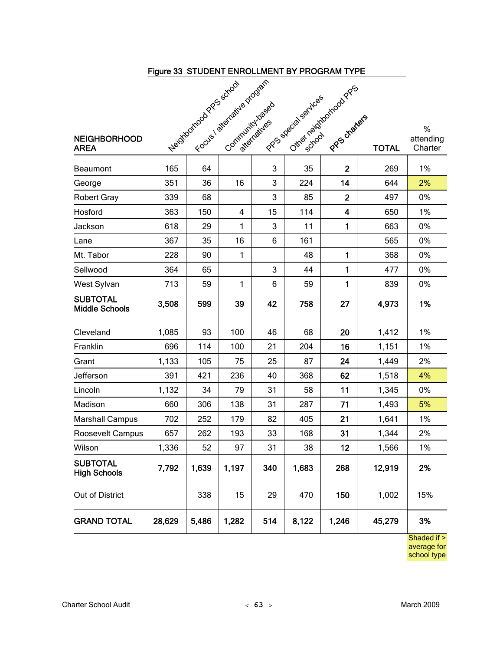|                                          | Figure 33 STUDENT ENROLLMENT BY PROGRAM TYPE |       |                                                     |     |                                         |                         |              |                                           |
|------------------------------------------|----------------------------------------------|-------|-----------------------------------------------------|-----|-----------------------------------------|-------------------------|--------------|-------------------------------------------|
|                                          |                                              |       |                                                     |     |                                         |                         |              |                                           |
| <b>NEIGHBORHOOD</b><br><b>AREA</b>       |                                              |       | Neighborroad Prostative program<br>Community Jaseab |     | Other reignation dates<br>Independences | PPP otherfers           | <b>TOTAL</b> | %<br>attending<br>Charter                 |
| <b>Beaumont</b>                          | 165                                          | 64    |                                                     | 3   | 35                                      | $\overline{2}$          | 269          | 1%                                        |
| George                                   | 351                                          | 36    | 16                                                  | 3   | 224                                     | 14                      | 644          | 2%                                        |
| <b>Robert Gray</b>                       | 339                                          | 68    |                                                     | 3   | 85                                      | $\overline{2}$          | 497          | 0%                                        |
| Hosford                                  | 363                                          | 150   | $\overline{\mathbf{4}}$                             | 15  | 114                                     | $\overline{\mathbf{4}}$ | 650          | 1%                                        |
| Jackson                                  | 618                                          | 29    | 1                                                   | 3   | 11                                      | $\mathbf{1}$            | 663          | 0%                                        |
| Lane                                     | 367                                          | 35    | 16                                                  | 6   | 161                                     |                         | 565          | 0%                                        |
| Mt. Tabor                                | 228                                          | 90    | 1                                                   |     | 48                                      | $\mathbf{1}$            | 368          | 0%                                        |
| Sellwood                                 | 364                                          | 65    |                                                     | 3   | 44                                      | $\mathbf{1}$            | 477          | 0%                                        |
| West Sylvan                              | 713                                          | 59    | 1                                                   | 6   | 59                                      | 1                       | 839          | 0%                                        |
| <b>SUBTOTAL</b><br><b>Middle Schools</b> | 3,508                                        | 599   | 39                                                  | 42  | 758                                     | 27                      | 4,973        | 1%                                        |
| Cleveland                                | 1,085                                        | 93    | 100                                                 | 46  | 68                                      | 20                      | 1,412        | 1%                                        |
| Franklin                                 | 696                                          | 114   | 100                                                 | 21  | 204                                     | 16                      | 1,151        | 1%                                        |
| Grant                                    | 1,133                                        | 105   | 75                                                  | 25  | 87                                      | 24                      | 1,449        | 2%                                        |
| Jefferson                                | 391                                          | 421   | 236                                                 | 40  | 368                                     | 62                      | 1,518        | 4%                                        |
| Lincoln                                  | 1,132                                        | 34    | 79                                                  | 31  | 58                                      | 11                      | 1,345        | 0%                                        |
| Madison                                  | 660                                          | 306   | 138                                                 | 31  | 287                                     | 71                      | 1,493        | 5%                                        |
| <b>Marshall Campus</b>                   | 702                                          | 252   | 179                                                 | 82  | 405                                     | 21                      | 1,641        | 1%                                        |
| Roosevelt Campus                         | 657                                          | 262   | 193                                                 | 33  | 168                                     | 31                      | 1,344        | 2%                                        |
| Wilson                                   | 1,336                                        | 52    | 97                                                  | 31  | 38                                      | 12                      | 1,566        | 1%                                        |
| <b>SUBTOTAL</b><br><b>High Schools</b>   | 7,792                                        | 1,639 | 1,197                                               | 340 | 1,683                                   | 268                     | 12,919       | 2%                                        |
| Out of District                          |                                              | 338   | 15                                                  | 29  | 470                                     | 150                     | 1,002        | 15%                                       |
| <b>GRAND TOTAL</b>                       | 28,629                                       | 5,486 | 1,282                                               | 514 | 8,122                                   | 1,246                   | 45,279       | 3%                                        |
|                                          |                                              |       |                                                     |     |                                         |                         |              | Shaded if ><br>average for<br>school type |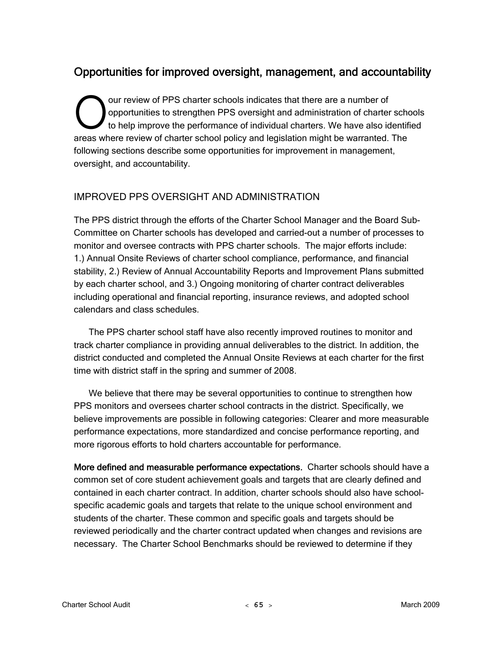# Opportunities for improved oversight, management, and accountability

our review of PPS charter schools indicates that there are a number of opportunities to strengthen PPS oversight and administration of charter schools to help improve the performance of individual charters. We have also identified our review of PPS charter schools indicates that there are a number of opportunities to strengthen PPS oversight and administration of charter school to help improve the performance of individual charters. We have also ide following sections describe some opportunities for improvement in management, oversight, and accountability.

## IMPROVED PPS OVERSIGHT AND ADMINISTRATION

The PPS district through the efforts of the Charter School Manager and the Board Sub-Committee on Charter schools has developed and carried-out a number of processes to monitor and oversee contracts with PPS charter schools. The major efforts include: 1.) Annual Onsite Reviews of charter school compliance, performance, and financial stability, 2.) Review of Annual Accountability Reports and Improvement Plans submitted by each charter school, and 3.) Ongoing monitoring of charter contract deliverables including operational and financial reporting, insurance reviews, and adopted school calendars and class schedules.

The PPS charter school staff have also recently improved routines to monitor and track charter compliance in providing annual deliverables to the district. In addition, the district conducted and completed the Annual Onsite Reviews at each charter for the first time with district staff in the spring and summer of 2008.

We believe that there may be several opportunities to continue to strengthen how PPS monitors and oversees charter school contracts in the district. Specifically, we believe improvements are possible in following categories: Clearer and more measurable performance expectations, more standardized and concise performance reporting, and more rigorous efforts to hold charters accountable for performance.

More defined and measurable performance expectations. Charter schools should have a common set of core student achievement goals and targets that are clearly defined and contained in each charter contract. In addition, charter schools should also have schoolspecific academic goals and targets that relate to the unique school environment and students of the charter. These common and specific goals and targets should be reviewed periodically and the charter contract updated when changes and revisions are necessary. The Charter School Benchmarks should be reviewed to determine if they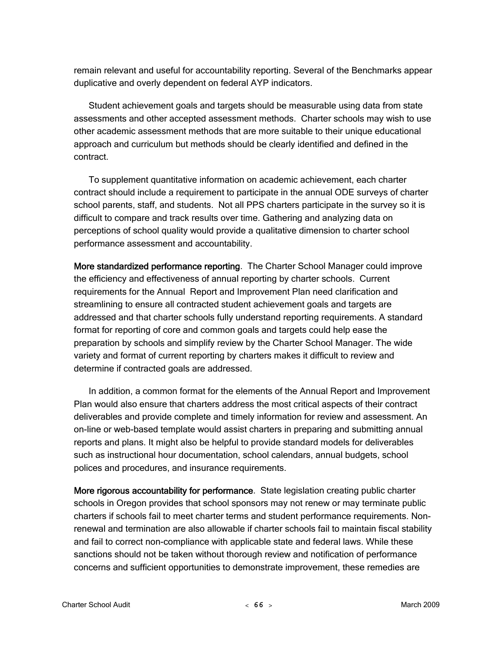remain relevant and useful for accountability reporting. Several of the Benchmarks appear duplicative and overly dependent on federal AYP indicators.

Student achievement goals and targets should be measurable using data from state assessments and other accepted assessment methods. Charter schools may wish to use other academic assessment methods that are more suitable to their unique educational approach and curriculum but methods should be clearly identified and defined in the contract.

To supplement quantitative information on academic achievement, each charter contract should include a requirement to participate in the annual ODE surveys of charter school parents, staff, and students. Not all PPS charters participate in the survey so it is difficult to compare and track results over time. Gathering and analyzing data on perceptions of school quality would provide a qualitative dimension to charter school performance assessment and accountability.

More standardized performance reporting. The Charter School Manager could improve the efficiency and effectiveness of annual reporting by charter schools. Current requirements for the Annual Report and Improvement Plan need clarification and streamlining to ensure all contracted student achievement goals and targets are addressed and that charter schools fully understand reporting requirements. A standard format for reporting of core and common goals and targets could help ease the preparation by schools and simplify review by the Charter School Manager. The wide variety and format of current reporting by charters makes it difficult to review and determine if contracted goals are addressed.

In addition, a common format for the elements of the Annual Report and Improvement Plan would also ensure that charters address the most critical aspects of their contract deliverables and provide complete and timely information for review and assessment. An on-line or web-based template would assist charters in preparing and submitting annual reports and plans. It might also be helpful to provide standard models for deliverables such as instructional hour documentation, school calendars, annual budgets, school polices and procedures, and insurance requirements.

More rigorous accountability for performance. State legislation creating public charter schools in Oregon provides that school sponsors may not renew or may terminate public charters if schools fail to meet charter terms and student performance requirements. Nonrenewal and termination are also allowable if charter schools fail to maintain fiscal stability and fail to correct non-compliance with applicable state and federal laws. While these sanctions should not be taken without thorough review and notification of performance concerns and sufficient opportunities to demonstrate improvement, these remedies are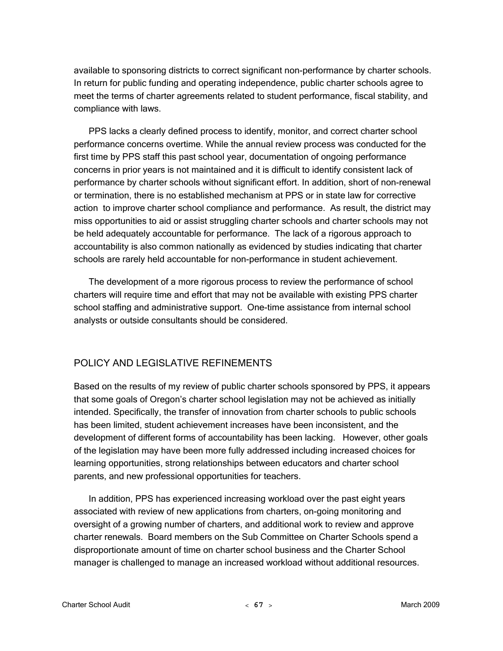available to sponsoring districts to correct significant non-performance by charter schools. In return for public funding and operating independence, public charter schools agree to meet the terms of charter agreements related to student performance, fiscal stability, and compliance with laws.

PPS lacks a clearly defined process to identify, monitor, and correct charter school performance concerns overtime. While the annual review process was conducted for the first time by PPS staff this past school year, documentation of ongoing performance concerns in prior years is not maintained and it is difficult to identify consistent lack of performance by charter schools without significant effort. In addition, short of non-renewal or termination, there is no established mechanism at PPS or in state law for corrective action to improve charter school compliance and performance. As result, the district may miss opportunities to aid or assist struggling charter schools and charter schools may not be held adequately accountable for performance. The lack of a rigorous approach to accountability is also common nationally as evidenced by studies indicating that charter schools are rarely held accountable for non-performance in student achievement.

The development of a more rigorous process to review the performance of school charters will require time and effort that may not be available with existing PPS charter school staffing and administrative support. One-time assistance from internal school analysts or outside consultants should be considered.

## POLICY AND LEGISLATIVE REFINEMENTS

Based on the results of my review of public charter schools sponsored by PPS, it appears that some goals of Oregon's charter school legislation may not be achieved as initially intended. Specifically, the transfer of innovation from charter schools to public schools has been limited, student achievement increases have been inconsistent, and the development of different forms of accountability has been lacking. However, other goals of the legislation may have been more fully addressed including increased choices for learning opportunities, strong relationships between educators and charter school parents, and new professional opportunities for teachers.

In addition, PPS has experienced increasing workload over the past eight years associated with review of new applications from charters, on-going monitoring and oversight of a growing number of charters, and additional work to review and approve charter renewals. Board members on the Sub Committee on Charter Schools spend a disproportionate amount of time on charter school business and the Charter School manager is challenged to manage an increased workload without additional resources.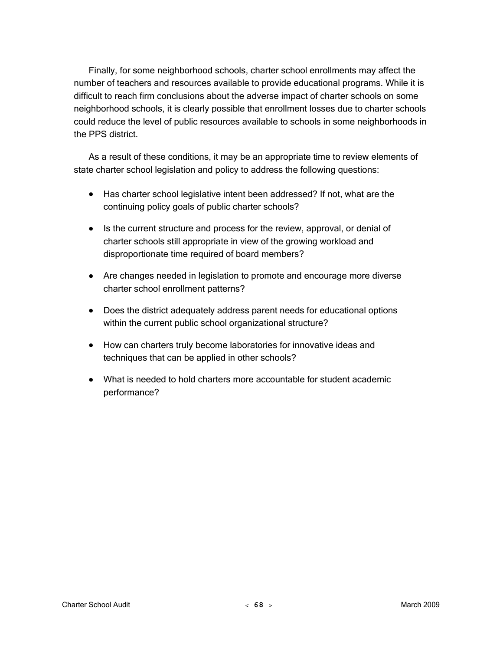Finally, for some neighborhood schools, charter school enrollments may affect the number of teachers and resources available to provide educational programs. While it is difficult to reach firm conclusions about the adverse impact of charter schools on some neighborhood schools, it is clearly possible that enrollment losses due to charter schools could reduce the level of public resources available to schools in some neighborhoods in the PPS district.

As a result of these conditions, it may be an appropriate time to review elements of state charter school legislation and policy to address the following questions:

- Has charter school legislative intent been addressed? If not, what are the continuing policy goals of public charter schools?
- Is the current structure and process for the review, approval, or denial of charter schools still appropriate in view of the growing workload and disproportionate time required of board members?
- Are changes needed in legislation to promote and encourage more diverse charter school enrollment patterns?
- Does the district adequately address parent needs for educational options within the current public school organizational structure?
- How can charters truly become laboratories for innovative ideas and techniques that can be applied in other schools?
- What is needed to hold charters more accountable for student academic performance?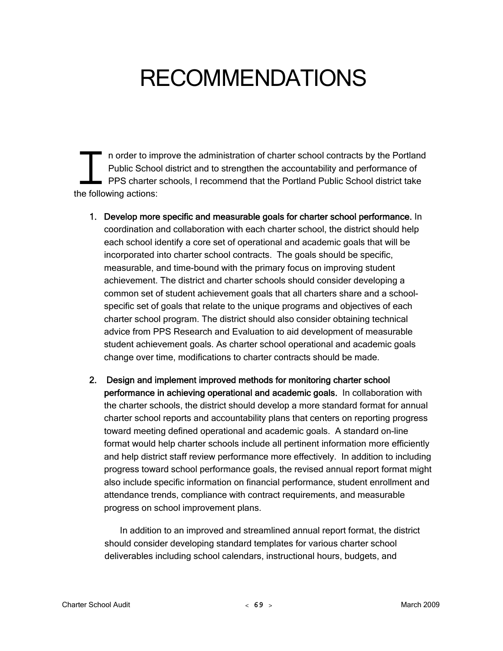# RECOMMENDATIONS

n order to improve the administration of charter school contracts by the Portland Public School district and to strengthen the accountability and performance of PPS charter schools, I recommend that the Portland Public School district take n order to imp<br>Public Schoo<br>PPS charter :<br>the following actions:

- 1. Develop more specific and measurable goals for charter school performance. In coordination and collaboration with each charter school, the district should help each school identify a core set of operational and academic goals that will be incorporated into charter school contracts. The goals should be specific, measurable, and time-bound with the primary focus on improving student achievement. The district and charter schools should consider developing a common set of student achievement goals that all charters share and a schoolspecific set of goals that relate to the unique programs and objectives of each charter school program. The district should also consider obtaining technical advice from PPS Research and Evaluation to aid development of measurable student achievement goals. As charter school operational and academic goals change over time, modifications to charter contracts should be made.
- 2. Design and implement improved methods for monitoring charter school performance in achieving operational and academic goals. In collaboration with the charter schools, the district should develop a more standard format for annual charter school reports and accountability plans that centers on reporting progress toward meeting defined operational and academic goals. A standard on-line format would help charter schools include all pertinent information more efficiently and help district staff review performance more effectively. In addition to including progress toward school performance goals, the revised annual report format might also include specific information on financial performance, student enrollment and attendance trends, compliance with contract requirements, and measurable progress on school improvement plans.

In addition to an improved and streamlined annual report format, the district should consider developing standard templates for various charter school deliverables including school calendars, instructional hours, budgets, and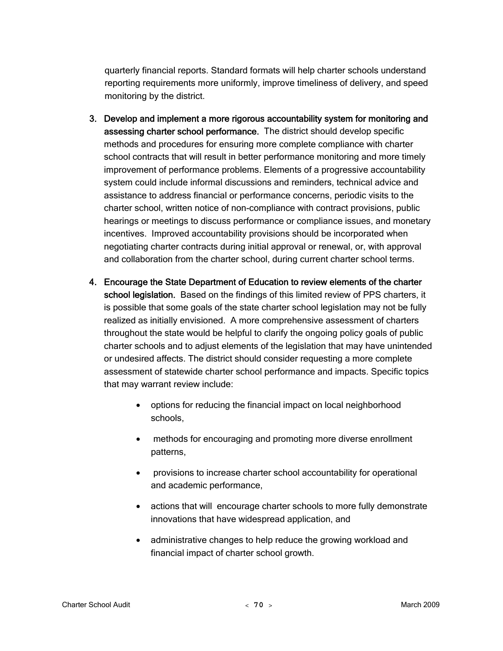quarterly financial reports. Standard formats will help charter schools understand reporting requirements more uniformly, improve timeliness of delivery, and speed monitoring by the district.

- 3. Develop and implement a more rigorous accountability system for monitoring and assessing charter school performance. The district should develop specific methods and procedures for ensuring more complete compliance with charter school contracts that will result in better performance monitoring and more timely improvement of performance problems. Elements of a progressive accountability system could include informal discussions and reminders, technical advice and assistance to address financial or performance concerns, periodic visits to the charter school, written notice of non-compliance with contract provisions, public hearings or meetings to discuss performance or compliance issues, and monetary incentives. Improved accountability provisions should be incorporated when negotiating charter contracts during initial approval or renewal, or, with approval and collaboration from the charter school, during current charter school terms.
- 4. Encourage the State Department of Education to review elements of the charter school legislation. Based on the findings of this limited review of PPS charters, it is possible that some goals of the state charter school legislation may not be fully realized as initially envisioned. A more comprehensive assessment of charters throughout the state would be helpful to clarify the ongoing policy goals of public charter schools and to adjust elements of the legislation that may have unintended or undesired affects. The district should consider requesting a more complete assessment of statewide charter school performance and impacts. Specific topics that may warrant review include:
	- options for reducing the financial impact on local neighborhood schools,
	- methods for encouraging and promoting more diverse enrollment patterns,
	- provisions to increase charter school accountability for operational and academic performance,
	- actions that will encourage charter schools to more fully demonstrate innovations that have widespread application, and
	- administrative changes to help reduce the growing workload and financial impact of charter school growth.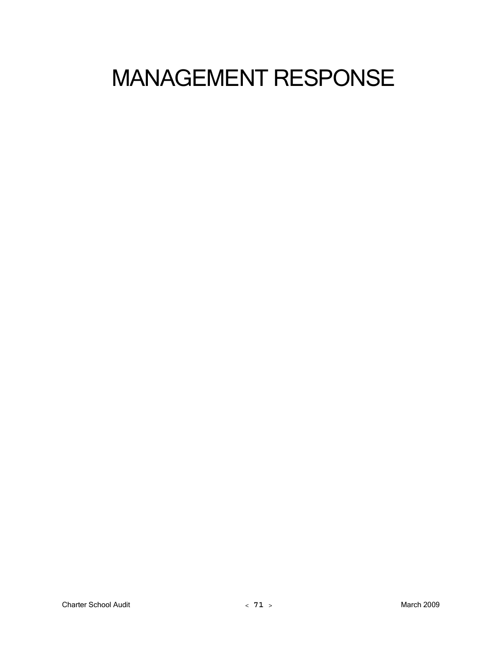# MANAGEMENT RESPONSE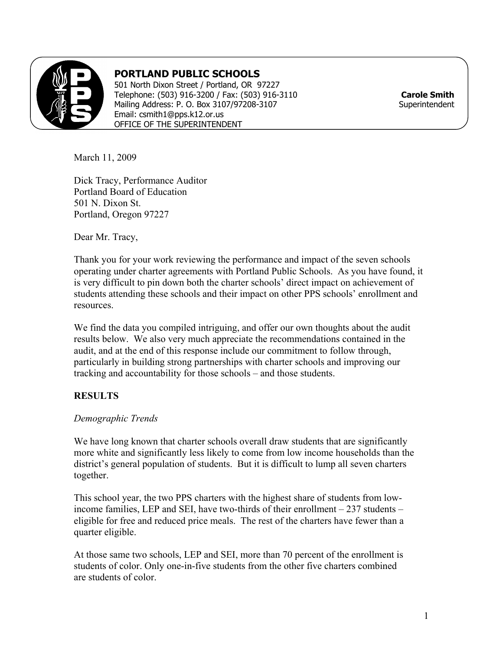

# **PORTLAND PUBLIC SCHOOLS**

501 North Dixon Street / Portland, OR 97227 Telephone: (503) 916-3200 / Fax: (503) 916-3110 **Carole Smith** Mailing Address: P. O. Box 3107/97208-3107 Email: csmith1@pps.k12.or.us OFFICE OF THE SUPERINTENDENT

March 11, 2009

Dick Tracy, Performance Auditor Portland Board of Education 501 N. Dixon St. Portland, Oregon 97227

Dear Mr. Tracy,

Thank you for your work reviewing the performance and impact of the seven schools operating under charter agreements with Portland Public Schools. As you have found, it is very difficult to pin down both the charter schools' direct impact on achievement of students attending these schools and their impact on other PPS schools' enrollment and **resources** 

We find the data you compiled intriguing, and offer our own thoughts about the audit results below. We also very much appreciate the recommendations contained in the audit, and at the end of this response include our commitment to follow through, particularly in building strong partnerships with charter schools and improving our tracking and accountability for those schools – and those students.

## **RESULTS**

## *Demographic Trends*

We have long known that charter schools overall draw students that are significantly more white and significantly less likely to come from low income households than the district's general population of students. But it is difficult to lump all seven charters together.

This school year, the two PPS charters with the highest share of students from lowincome families, LEP and SEI, have two-thirds of their enrollment – 237 students – eligible for free and reduced price meals. The rest of the charters have fewer than a quarter eligible.

At those same two schools, LEP and SEI, more than 70 percent of the enrollment is students of color. Only one-in-five students from the other five charters combined are students of color.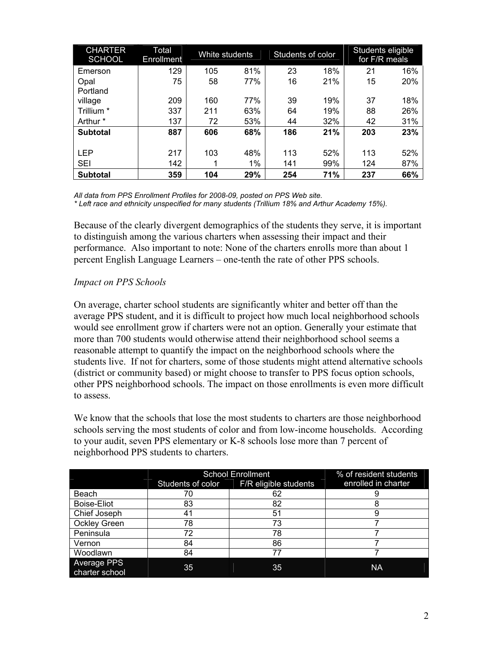| <b>CHARTER</b><br><b>SCHOOL</b> | Total<br>Enrollment | White students |       | Students of color |     | Students eligible<br>for F/R meals |     |
|---------------------------------|---------------------|----------------|-------|-------------------|-----|------------------------------------|-----|
| Emerson                         | 129                 | 105            | 81%   | 23                | 18% | 21                                 | 16% |
| Opal                            | 75                  | 58             | 77%   | 16                | 21% | 15                                 | 20% |
| Portland                        |                     |                |       |                   |     |                                    |     |
| village                         | 209                 | 160            | 77%   | 39                | 19% | 37                                 | 18% |
| Trillium *                      | 337                 | 211            | 63%   | 64                | 19% | 88                                 | 26% |
| Arthur *                        | 137                 | 72             | 53%   | 44                | 32% | 42                                 | 31% |
| <b>Subtotal</b>                 | 887                 | 606            | 68%   | 186               | 21% | 203                                | 23% |
|                                 |                     |                |       |                   |     |                                    |     |
| <b>LEP</b>                      | 217                 | 103            | 48%   | 113               | 52% | 113                                | 52% |
| <b>SEI</b>                      | 142                 | 1              | $1\%$ | 141               | 99% | 124                                | 87% |
| <b>Subtotal</b>                 | 359                 | 104            | 29%   | 254               | 71% | 237                                | 66% |

*All data from PPS Enrollment Profiles for 2008-09, posted on PPS Web site.* 

*\* Left race and ethnicity unspecified for many students (Trillium 18% and Arthur Academy 15%).* 

Because of the clearly divergent demographics of the students they serve, it is important to distinguish among the various charters when assessing their impact and their performance. Also important to note: None of the charters enrolls more than about 1 percent English Language Learners – one-tenth the rate of other PPS schools.

### *Impact on PPS Schools*

On average, charter school students are significantly whiter and better off than the average PPS student, and it is difficult to project how much local neighborhood schools would see enrollment grow if charters were not an option. Generally your estimate that more than 700 students would otherwise attend their neighborhood school seems a reasonable attempt to quantify the impact on the neighborhood schools where the students live. If not for charters, some of those students might attend alternative schools (district or community based) or might choose to transfer to PPS focus option schools, other PPS neighborhood schools. The impact on those enrollments is even more difficult to assess.

We know that the schools that lose the most students to charters are those neighborhood schools serving the most students of color and from low-income households. According to your audit, seven PPS elementary or K-8 schools lose more than 7 percent of neighborhood PPS students to charters.

|                               | <b>School Enrollment</b> | % of resident students |                     |
|-------------------------------|--------------------------|------------------------|---------------------|
|                               | Students of color        | F/R eligible students  | enrolled in charter |
| Beach                         | 70                       | 62                     |                     |
| <b>Boise-Eliot</b>            | 83                       | 82                     | Õ                   |
| Chief Joseph                  |                          | 51                     |                     |
| <b>Ockley Green</b>           | 78                       | 73                     |                     |
| Peninsula                     | 72                       | 78                     |                     |
| Vernon                        | 84                       | 86                     |                     |
| Woodlawn                      | 84                       |                        |                     |
| Average PPS<br>charter school | 35                       | 35                     | <b>NA</b>           |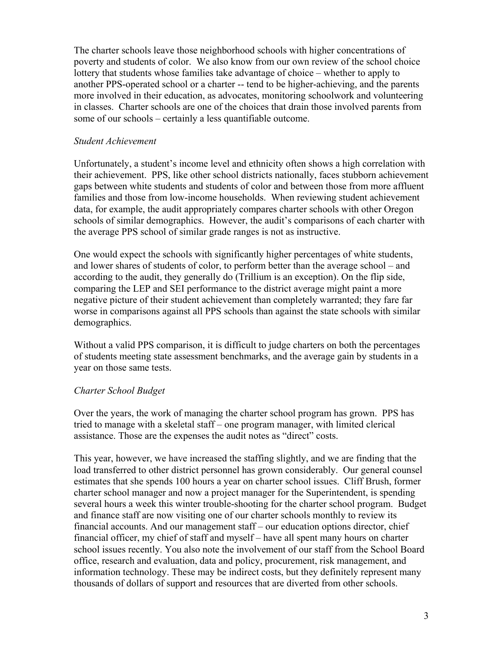The charter schools leave those neighborhood schools with higher concentrations of poverty and students of color. We also know from our own review of the school choice lottery that students whose families take advantage of choice – whether to apply to another PPS-operated school or a charter -- tend to be higher-achieving, and the parents more involved in their education, as advocates, monitoring schoolwork and volunteering in classes. Charter schools are one of the choices that drain those involved parents from some of our schools – certainly a less quantifiable outcome.

#### *Student Achievement*

Unfortunately, a student's income level and ethnicity often shows a high correlation with their achievement. PPS, like other school districts nationally, faces stubborn achievement gaps between white students and students of color and between those from more affluent families and those from low-income households. When reviewing student achievement data, for example, the audit appropriately compares charter schools with other Oregon schools of similar demographics. However, the audit's comparisons of each charter with the average PPS school of similar grade ranges is not as instructive.

One would expect the schools with significantly higher percentages of white students, and lower shares of students of color, to perform better than the average school – and according to the audit, they generally do (Trillium is an exception). On the flip side, comparing the LEP and SEI performance to the district average might paint a more negative picture of their student achievement than completely warranted; they fare far worse in comparisons against all PPS schools than against the state schools with similar demographics.

Without a valid PPS comparison, it is difficult to judge charters on both the percentages of students meeting state assessment benchmarks, and the average gain by students in a year on those same tests.

### *Charter School Budget*

Over the years, the work of managing the charter school program has grown. PPS has tried to manage with a skeletal staff – one program manager, with limited clerical assistance. Those are the expenses the audit notes as "direct" costs.

This year, however, we have increased the staffing slightly, and we are finding that the load transferred to other district personnel has grown considerably. Our general counsel estimates that she spends 100 hours a year on charter school issues. Cliff Brush, former charter school manager and now a project manager for the Superintendent, is spending several hours a week this winter trouble-shooting for the charter school program. Budget and finance staff are now visiting one of our charter schools monthly to review its financial accounts. And our management staff – our education options director, chief financial officer, my chief of staff and myself – have all spent many hours on charter school issues recently. You also note the involvement of our staff from the School Board office, research and evaluation, data and policy, procurement, risk management, and information technology. These may be indirect costs, but they definitely represent many thousands of dollars of support and resources that are diverted from other schools.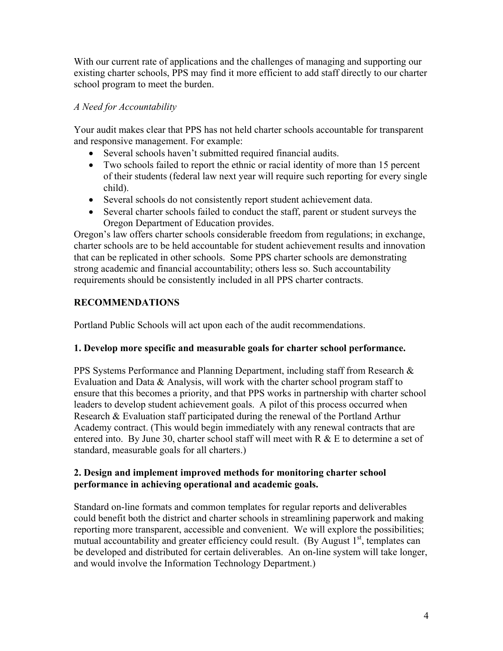With our current rate of applications and the challenges of managing and supporting our existing charter schools, PPS may find it more efficient to add staff directly to our charter school program to meet the burden.

## *A Need for Accountability*

Your audit makes clear that PPS has not held charter schools accountable for transparent and responsive management. For example:

- Several schools haven't submitted required financial audits.
- Two schools failed to report the ethnic or racial identity of more than 15 percent of their students (federal law next year will require such reporting for every single child).
- Several schools do not consistently report student achievement data.
- Several charter schools failed to conduct the staff, parent or student surveys the Oregon Department of Education provides.

Oregon's law offers charter schools considerable freedom from regulations; in exchange, charter schools are to be held accountable for student achievement results and innovation that can be replicated in other schools. Some PPS charter schools are demonstrating strong academic and financial accountability; others less so. Such accountability requirements should be consistently included in all PPS charter contracts.

# **RECOMMENDATIONS**

Portland Public Schools will act upon each of the audit recommendations.

## **1. Develop more specific and measurable goals for charter school performance.**

PPS Systems Performance and Planning Department, including staff from Research & Evaluation and Data  $\&$  Analysis, will work with the charter school program staff to ensure that this becomes a priority, and that PPS works in partnership with charter school leaders to develop student achievement goals. A pilot of this process occurred when Research & Evaluation staff participated during the renewal of the Portland Arthur Academy contract. (This would begin immediately with any renewal contracts that are entered into. By June 30, charter school staff will meet with R & E to determine a set of standard, measurable goals for all charters.)

## **2. Design and implement improved methods for monitoring charter school performance in achieving operational and academic goals.**

Standard on-line formats and common templates for regular reports and deliverables could benefit both the district and charter schools in streamlining paperwork and making reporting more transparent, accessible and convenient. We will explore the possibilities; mutual accountability and greater efficiency could result. (By August  $1<sup>st</sup>$ , templates can be developed and distributed for certain deliverables. An on-line system will take longer, and would involve the Information Technology Department.)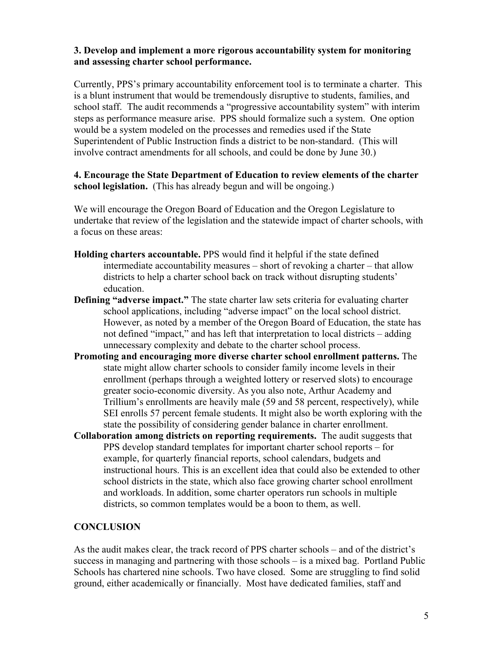## **3. Develop and implement a more rigorous accountability system for monitoring and assessing charter school performance.**

Currently, PPS's primary accountability enforcement tool is to terminate a charter. This is a blunt instrument that would be tremendously disruptive to students, families, and school staff. The audit recommends a "progressive accountability system" with interim steps as performance measure arise. PPS should formalize such a system. One option would be a system modeled on the processes and remedies used if the State Superintendent of Public Instruction finds a district to be non-standard. (This will involve contract amendments for all schools, and could be done by June 30.)

## **4. Encourage the State Department of Education to review elements of the charter school legislation.** (This has already begun and will be ongoing.)

We will encourage the Oregon Board of Education and the Oregon Legislature to undertake that review of the legislation and the statewide impact of charter schools, with a focus on these areas:

- **Holding charters accountable.** PPS would find it helpful if the state defined intermediate accountability measures – short of revoking a charter – that allow districts to help a charter school back on track without disrupting students' education.
- **Defining "adverse impact."** The state charter law sets criteria for evaluating charter school applications, including "adverse impact" on the local school district. However, as noted by a member of the Oregon Board of Education, the state has not defined "impact," and has left that interpretation to local districts – adding unnecessary complexity and debate to the charter school process.
- **Promoting and encouraging more diverse charter school enrollment patterns.** The state might allow charter schools to consider family income levels in their enrollment (perhaps through a weighted lottery or reserved slots) to encourage greater socio-economic diversity. As you also note, Arthur Academy and Trillium's enrollments are heavily male (59 and 58 percent, respectively), while SEI enrolls 57 percent female students. It might also be worth exploring with the state the possibility of considering gender balance in charter enrollment.
- **Collaboration among districts on reporting requirements.** The audit suggests that PPS develop standard templates for important charter school reports – for example, for quarterly financial reports, school calendars, budgets and instructional hours. This is an excellent idea that could also be extended to other school districts in the state, which also face growing charter school enrollment and workloads. In addition, some charter operators run schools in multiple districts, so common templates would be a boon to them, as well.

## **CONCLUSION**

As the audit makes clear, the track record of PPS charter schools – and of the district's success in managing and partnering with those schools – is a mixed bag. Portland Public Schools has chartered nine schools. Two have closed. Some are struggling to find solid ground, either academically or financially. Most have dedicated families, staff and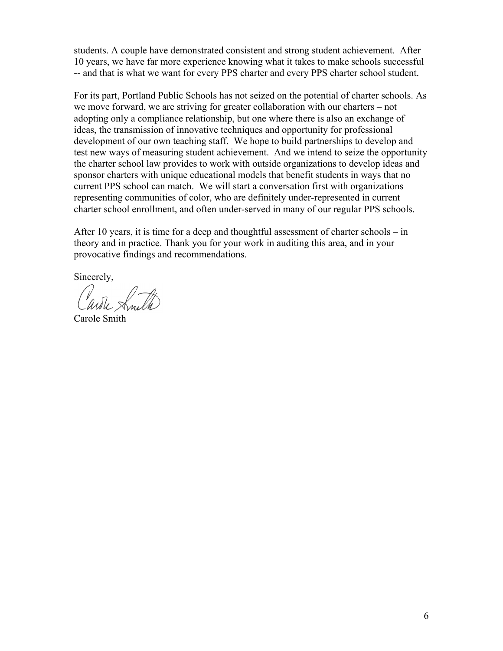students. A couple have demonstrated consistent and strong student achievement. After 10 years, we have far more experience knowing what it takes to make schools successful -- and that is what we want for every PPS charter and every PPS charter school student.

For its part, Portland Public Schools has not seized on the potential of charter schools. As we move forward, we are striving for greater collaboration with our charters – not adopting only a compliance relationship, but one where there is also an exchange of ideas, the transmission of innovative techniques and opportunity for professional development of our own teaching staff. We hope to build partnerships to develop and test new ways of measuring student achievement. And we intend to seize the opportunity the charter school law provides to work with outside organizations to develop ideas and sponsor charters with unique educational models that benefit students in ways that no current PPS school can match. We will start a conversation first with organizations representing communities of color, who are definitely under-represented in current charter school enrollment, and often under-served in many of our regular PPS schools.

After 10 years, it is time for a deep and thoughtful assessment of charter schools – in theory and in practice. Thank you for your work in auditing this area, and in your provocative findings and recommendations.

Sincerely,

Carole Smith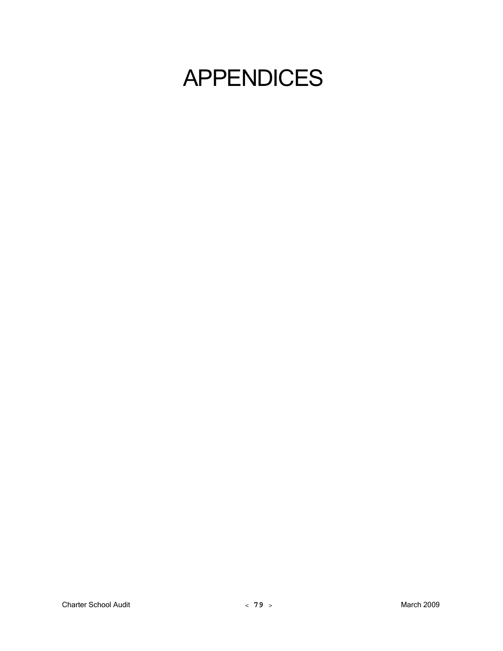# APPENDICES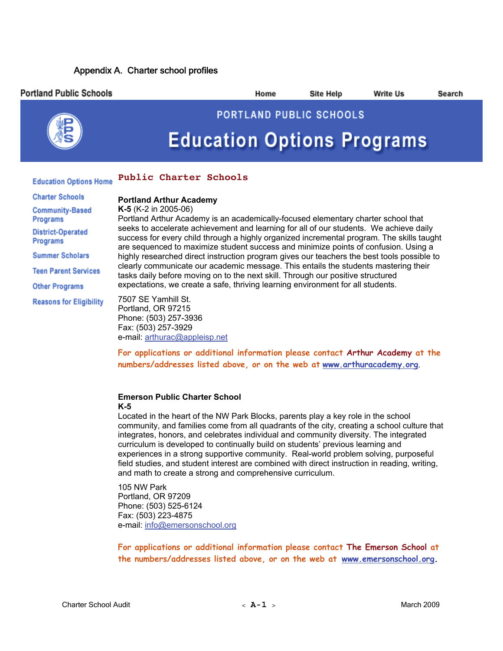### Appendix A. Charter school profiles

| <b>Portland Public Schools</b>     |                                                                                                                                                                                                                                                                            | Home | <b>Site Help</b>        | <b>Write Us</b> | Search |  |  |
|------------------------------------|----------------------------------------------------------------------------------------------------------------------------------------------------------------------------------------------------------------------------------------------------------------------------|------|-------------------------|-----------------|--------|--|--|
|                                    |                                                                                                                                                                                                                                                                            |      | PORTLAND PUBLIC SCHOOLS |                 |        |  |  |
|                                    | <b>Education Options Programs</b>                                                                                                                                                                                                                                          |      |                         |                 |        |  |  |
| <b>Education Options Home</b>      | <b>Public Charter Schools</b>                                                                                                                                                                                                                                              |      |                         |                 |        |  |  |
| <b>Charter Schools</b>             | <b>Portland Arthur Academy</b>                                                                                                                                                                                                                                             |      |                         |                 |        |  |  |
| <b>Community-Based</b><br>Programs | K-5 (K-2 in 2005-06)<br>Portland Arthur Academy is an academically-focused elementary charter school that                                                                                                                                                                  |      |                         |                 |        |  |  |
| District-Operated<br>Programs      | seeks to accelerate achievement and learning for all of our students. We achieve daily<br>success for every child through a highly organized incremental program. The skills taught<br>are sequenced to maximize student success and minimize points of confusion. Using a |      |                         |                 |        |  |  |
| <b>Summer Scholars</b>             | highly researched direct instruction program gives our teachers the best tools possible to                                                                                                                                                                                 |      |                         |                 |        |  |  |
| <b>Teen Parent Services</b>        | clearly communicate our academic message. This entails the students mastering their<br>tasks daily before moving on to the next skill. Through our positive structured                                                                                                     |      |                         |                 |        |  |  |
| <b>Other Programs</b>              | expectations, we create a safe, thriving learning environment for all students.                                                                                                                                                                                            |      |                         |                 |        |  |  |
| <b>Reasons for Eligibility</b>     | 7507 SE Yamhill St.<br>Portland, OR 97215<br>Phone: (503) 257-3936<br>Fax: (503) 257-3929<br>e-mail: arthurac@appleisp.net                                                                                                                                                 |      |                         |                 |        |  |  |

**For applications or additional information please contact Arthur Academy at the**  numbers/addresses listed above, or on the web at www.arthuracademy.org.

#### **Emerson Public Charter School K-5**

Located in the heart of the NW Park Blocks, parents play a key role in the school community, and families come from all quadrants of the city, creating a school culture that integrates, honors, and celebrates individual and community diversity. The integrated curriculum is developed to continually build on students' previous learning and experiences in a strong supportive community. Real-world problem solving, purposeful field studies, and student interest are combined with direct instruction in reading, writing, and math to create a strong and comprehensive curriculum.

105 NW Park Portland, OR 97209 Phone: (503) 525-6124 Fax: (503) 223-4875 e-mail: info@emersonschool.org

**For applications or additional information please contact The Emerson School at**  the numbers/addresses listed above, or on the web at www.emersonschool.org.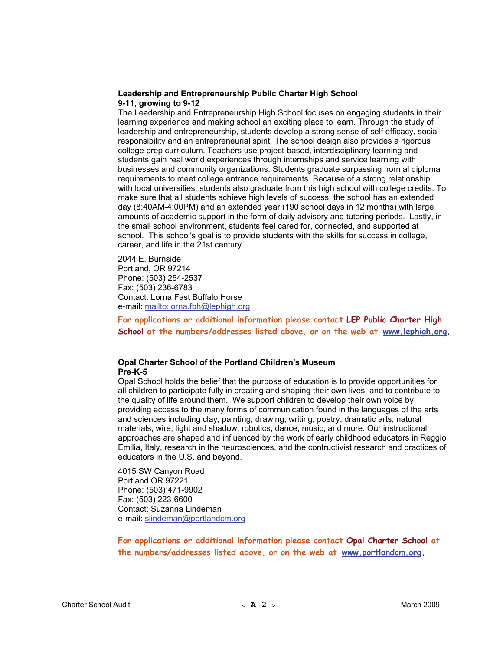#### **Leadership and Entrepreneurship Public Charter High School 9-11, growing to 9-12**

The Leadership and Entrepreneurship High School focuses on engaging students in their learning experience and making school an exciting place to learn. Through the study of leadership and entrepreneurship, students develop a strong sense of self efficacy, social responsibility and an entrepreneurial spirit. The school design also provides a rigorous college prep curriculum. Teachers use project-based, interdisciplinary learning and students gain real world experiences through internships and service learning with businesses and community organizations. Students graduate surpassing normal diploma requirements to meet college entrance requirements. Because of a strong relationship with local universities, students also graduate from this high school with college credits. To make sure that all students achieve high levels of success, the school has an extended day (8:40AM-4:00PM) and an extended year (190 school days in 12 months) with large amounts of academic support in the form of daily advisory and tutoring periods. Lastly, in the small school environment, students feel cared for, connected, and supported at school. This school's goal is to provide students with the skills for success in college, career, and life in the 21st century.

2044 E. Burnside Portland, OR 97214 Phone: (503) 254-2537 Fax: (503) 236-6783 Contact: Lorna Fast Buffalo Horse e-mail: mailto:lorna.fbh@lephigh.org

**For applications or additional information please contact LEP Public Charter High**  School at the numbers/addresses listed above, or on the web at www.lephigh.org.

#### **Opal Charter School of the Portland Children's Museum Pre-K-5**

Opal School holds the belief that the purpose of education is to provide opportunities for all children to participate fully in creating and shaping their own lives, and to contribute to the quality of life around them. We support children to develop their own voice by providing access to the many forms of communication found in the languages of the arts and sciences including clay, painting, drawing, writing, poetry, dramatic arts, natural materials, wire, light and shadow, robotics, dance, music, and more. Our instructional approaches are shaped and influenced by the work of early childhood educators in Reggio Emilia, Italy, research in the neurosciences, and the contructivist research and practices of educators in the U.S. and beyond.

4015 SW Canyon Road Portland OR 97221 Phone: (503) 471-9902 Fax: (503) 223-6600 Contact: Suzanna Lindeman e-mail: slindeman@portlandcm.org

**For applications or additional information please contact Opal Charter School at**  the numbers/addresses listed above, or on the web at www.portlandcm.org.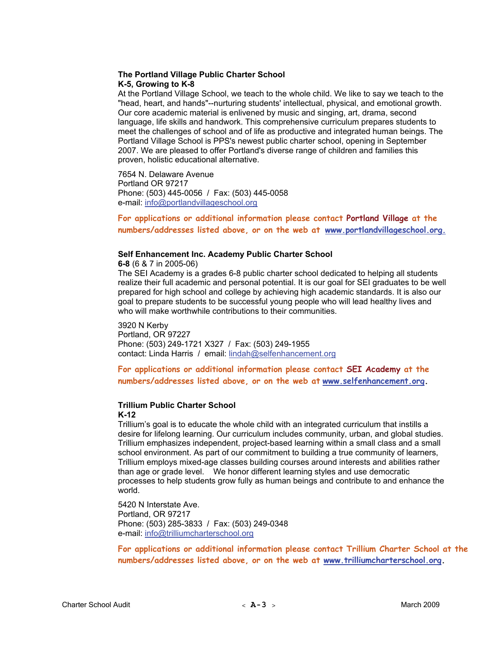#### **The Portland Village Public Charter School K-5, Growing to K-8**

At the Portland Village School, we teach to the whole child. We like to say we teach to the "head, heart, and hands"--nurturing students' intellectual, physical, and emotional growth. Our core academic material is enlivened by music and singing, art, drama, second language, life skills and handwork. This comprehensive curriculum prepares students to meet the challenges of school and of life as productive and integrated human beings. The Portland Village School is PPS's newest public charter school, opening in September 2007. We are pleased to offer Portland's diverse range of children and families this proven, holistic educational alternative.

7654 N. Delaware Avenue Portland OR 97217 Phone: (503) 445-0056 / Fax: (503) 445-0058 e-mail: info@portlandvillageschool.org

**For applications or additional information please contact Portland Village at the numbers/addresses listed above, or on the web at** 24H**www.portlandvillageschool.org.**

#### **Self Enhancement Inc. Academy Public Charter School**

**6-8** (6 & 7 in 2005-06) The SEI Academy is a grades 6-8 public charter school dedicated to helping all students realize their full academic and personal potential. It is our goal for SEI graduates to be well prepared for high school and college by achieving high academic standards. It is also our goal to prepare students to be successful young people who will lead healthy lives and who will make worthwhile contributions to their communities.

3920 N Kerby

Portland, OR 97227 Phone: (503) 249-1721 X327 / Fax: (503) 249-1955 contact: Linda Harris / email: lindah@selfenhancement.org

**For applications or additional information please contact SEI Academy at the numbers/addresses listed above, or on the web at** 26H**www.selfenhancement.org.**

## **Trillium Public Charter School**

#### **K-12**

Trillium's goal is to educate the whole child with an integrated curriculum that instills a desire for lifelong learning. Our curriculum includes community, urban, and global studies. Trillium emphasizes independent, project-based learning within a small class and a small school environment. As part of our commitment to building a true community of learners, Trillium employs mixed-age classes building courses around interests and abilities rather than age or grade level. We honor different learning styles and use democratic processes to help students grow fully as human beings and contribute to and enhance the world.

5420 N Interstate Ave. Portland, OR 97217 Phone: (503) 285-3833 / Fax: (503) 249-0348 e-mail: info@trilliumcharterschool.org

**For applications or additional information please contact Trillium Charter School at the numbers/addresses listed above, or on the web at** 28H**www.trilliumcharterschool.org.**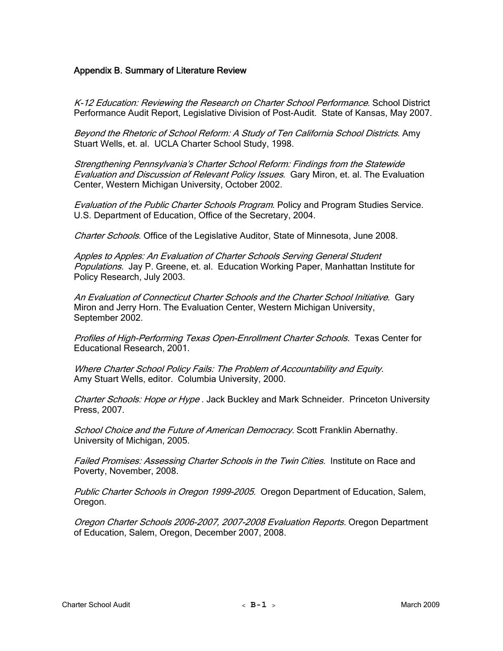#### Appendix B. Summary of Literature Review

K-12 Education: Reviewing the Research on Charter School Performance. School District Performance Audit Report, Legislative Division of Post-Audit. State of Kansas, May 2007.

Beyond the Rhetoric of School Reform: A Study of Ten California School Districts. Amy Stuart Wells, et. al. UCLA Charter School Study, 1998.

Strengthening Pennsylvania's Charter School Reform: Findings from the Statewide Evaluation and Discussion of Relevant Policy Issues. Gary Miron, et. al. The Evaluation Center, Western Michigan University, October 2002.

Evaluation of the Public Charter Schools Program. Policy and Program Studies Service. U.S. Department of Education, Office of the Secretary, 2004.

Charter Schools. Office of the Legislative Auditor, State of Minnesota, June 2008.

Apples to Apples: An Evaluation of Charter Schools Serving General Student Populations. Jay P. Greene, et. al. Education Working Paper, Manhattan Institute for Policy Research, July 2003.

An Evaluation of Connecticut Charter Schools and the Charter School Initiative. Gary Miron and Jerry Horn. The Evaluation Center, Western Michigan University, September 2002.

Profiles of High-Performing Texas Open-Enrollment Charter Schools. Texas Center for Educational Research, 2001.

Where Charter School Policy Fails: The Problem of Accountability and Equity. Amy Stuart Wells, editor. Columbia University, 2000.

Charter Schools: Hope or Hype . Jack Buckley and Mark Schneider. Princeton University Press, 2007.

School Choice and the Future of American Democracy. Scott Franklin Abernathy. University of Michigan, 2005.

Failed Promises: Assessing Charter Schools in the Twin Cities. Institute on Race and Poverty, November, 2008.

Public Charter Schools in Oregon 1999-2005. Oregon Department of Education, Salem, Oregon.

Oregon Charter Schools 2006-2007, 2007-2008 Evaluation Reports. Oregon Department of Education, Salem, Oregon, December 2007, 2008.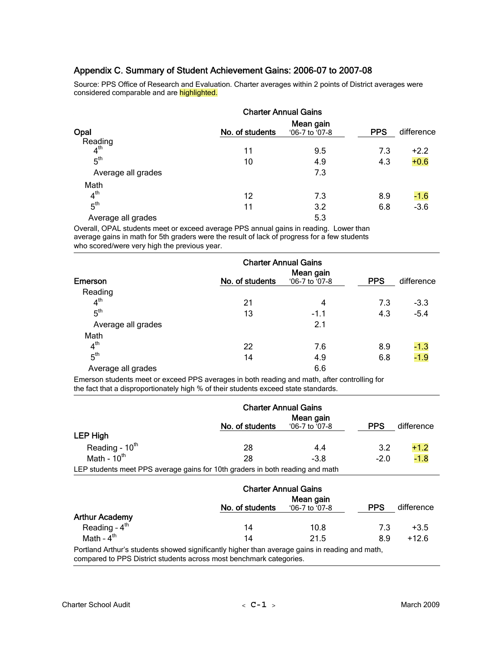### Appendix C. Summary of Student Achievement Gains: 2006-07 to 2007-08

Source: PPS Office of Research and Evaluation. Charter averages within 2 points of District averages were considered comparable and are highlighted.

|                            | <b>Charter Annual Gains</b>                    |     |            |            |
|----------------------------|------------------------------------------------|-----|------------|------------|
| Opal                       | Mean gain<br>No. of students<br>'06-7 to '07-8 |     | <b>PPS</b> | difference |
| Reading<br>4 <sup>th</sup> |                                                |     |            |            |
|                            | 11                                             | 9.5 | 7.3        | $+2.2$     |
| 5 <sup>th</sup>            | 10                                             | 4.9 | 4.3        | $+0.6$     |
| Average all grades         |                                                | 7.3 |            |            |
| Math                       |                                                |     |            |            |
| 4 <sup>th</sup>            | 12                                             | 7.3 | 8.9        | $-1.6$     |
| 5 <sup>th</sup>            | 11                                             | 3.2 | 6.8        | $-3.6$     |
| Average all grades         |                                                | 5.3 |            |            |

Overall, OPAL students meet or exceed average PPS annual gains in reading. Lower than average gains in math for 5th graders were the result of lack of progress for a few students who scored/were very high the previous year.

|                    | <b>Charter Annual Gains</b> |                |            |            |
|--------------------|-----------------------------|----------------|------------|------------|
|                    |                             | Mean gain      |            |            |
| Emerson            | No. of students             | '06-7 to '07-8 | <b>PPS</b> | difference |
| Reading            |                             |                |            |            |
| 4 <sup>th</sup>    | 21                          | 4              | 7.3        | $-3.3$     |
| 5 <sup>th</sup>    | 13                          | $-1.1$         | 4.3        | $-5.4$     |
| Average all grades |                             | 2.1            |            |            |
| Math               |                             |                |            |            |
| 4 <sup>th</sup>    | 22                          | 7.6            | 8.9        | $-1.3$     |
| 5 <sup>th</sup>    | 14                          | 4.9            | 6.8        | $-1.9$     |
| Average all grades |                             | 6.6            |            |            |

Emerson students meet or exceed PPS averages in both reading and math, after controlling for the fact that a disproportionately high % of their students exceed state standards.

|                                                                               |                 | <b>Charter Annual Gains</b>   |            |            |  |
|-------------------------------------------------------------------------------|-----------------|-------------------------------|------------|------------|--|
|                                                                               | No. of students | Mean gain<br>$06-7$ to $07-8$ | <b>PPS</b> | difference |  |
| LEP High                                                                      |                 |                               |            |            |  |
| Reading - $10th$                                                              | 28              | 4.4                           | 3.2        | $+1.2$     |  |
| Math - $10^{th}$                                                              | 28              | $-3.8$                        | $-2.0$     | $-1.8$     |  |
| LEP students meet PPS average gains for 10th graders in both reading and math |                 |                               |            |            |  |

LEP students meet PPS average gains for 10th graders in both reading and math

|                        | <b>Charter Annual Gains</b>                                                                    |                               |            |            |
|------------------------|------------------------------------------------------------------------------------------------|-------------------------------|------------|------------|
|                        | No. of students                                                                                | Mean gain<br>$06-7$ to $07-8$ | <b>PPS</b> | difference |
| <b>Arthur Academy</b>  |                                                                                                |                               |            |            |
| Reading - $4th$        | 14                                                                                             | 10.8                          | 7.3        | $+3.5$     |
| Math - $4^{\text{th}}$ | 14                                                                                             | 21.5                          | 8.9        | $+12.6$    |
|                        | Portland Arthur's students showed significantly higher than average gains in reading and math, |                               |            |            |

compared to PPS District students across most benchmark categories.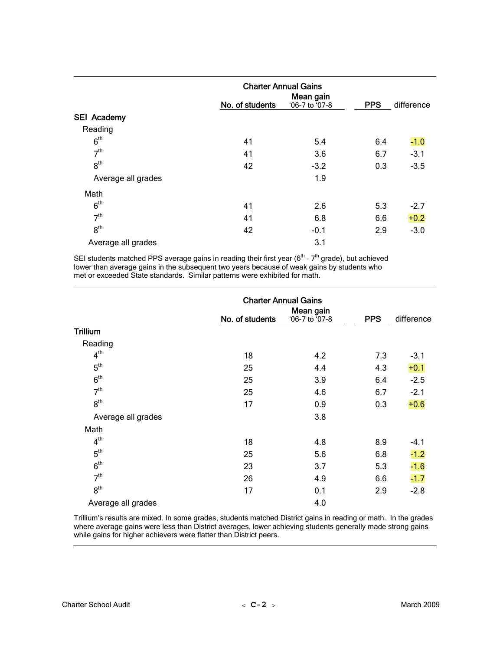|                    | <b>Charter Annual Gains</b> |                             |            |            |
|--------------------|-----------------------------|-----------------------------|------------|------------|
|                    | No. of students             | Mean gain<br>'06-7 to '07-8 | <b>PPS</b> | difference |
| <b>SEI Academy</b> |                             |                             |            |            |
| Reading            |                             |                             |            |            |
| 6 <sup>th</sup>    | 41                          | 5.4                         | 6.4        | $-1.0$     |
| 7 <sup>th</sup>    | 41                          | 3.6                         | 6.7        | $-3.1$     |
| 8 <sup>th</sup>    | 42                          | $-3.2$                      | 0.3        | $-3.5$     |
| Average all grades |                             | 1.9                         |            |            |
| Math               |                             |                             |            |            |
| 6 <sup>th</sup>    | 41                          | 2.6                         | 5.3        | $-2.7$     |
| 7 <sup>th</sup>    | 41                          | 6.8                         | 6.6        | $+0.2$     |
| 8 <sup>th</sup>    | 42                          | $-0.1$                      | 2.9        | $-3.0$     |
| Average all grades |                             | 3.1                         |            |            |

SEI students matched PPS average gains in reading their first year (6<sup>th</sup> - 7<sup>th</sup> grade), but achieved lower than average gains in the subsequent two years because of weak gains by students who met or exceeded State standards. Similar patterns were exhibited for math.

|                    | <b>Charter Annual Gains</b> |                             |            |            |
|--------------------|-----------------------------|-----------------------------|------------|------------|
|                    | No. of students             | Mean gain<br>'06-7 to '07-8 | <b>PPS</b> | difference |
| Trillium           |                             |                             |            |            |
| Reading            |                             |                             |            |            |
| 4 <sup>th</sup>    | 18                          | 4.2                         | 7.3        | $-3.1$     |
| 5 <sup>th</sup>    | 25                          | 4.4                         | 4.3        | $+0.1$     |
| 6 <sup>th</sup>    | 25                          | 3.9                         | 6.4        | $-2.5$     |
| 7 <sup>th</sup>    | 25                          | 4.6                         | 6.7        | $-2.1$     |
| 8 <sup>th</sup>    | 17                          | 0.9                         | 0.3        | $+0.6$     |
| Average all grades |                             | 3.8                         |            |            |
| Math               |                             |                             |            |            |
| 4 <sup>th</sup>    | 18                          | 4.8                         | 8.9        | -4.1       |
| 5 <sup>th</sup>    | 25                          | 5.6                         | 6.8        | $-1.2$     |
| 6 <sup>th</sup>    | 23                          | 3.7                         | 5.3        | $-1.6$     |
| 7 <sup>th</sup>    | 26                          | 4.9                         | 6.6        | $-1.7$     |
| 8 <sup>th</sup>    | 17                          | 0.1                         | 2.9        | $-2.8$     |
| Average all grades |                             | 4.0                         |            |            |

Trillium's results are mixed. In some grades, students matched District gains in reading or math. In the grades where average gains were less than District averages, lower achieving students generally made strong gains while gains for higher achievers were flatter than District peers.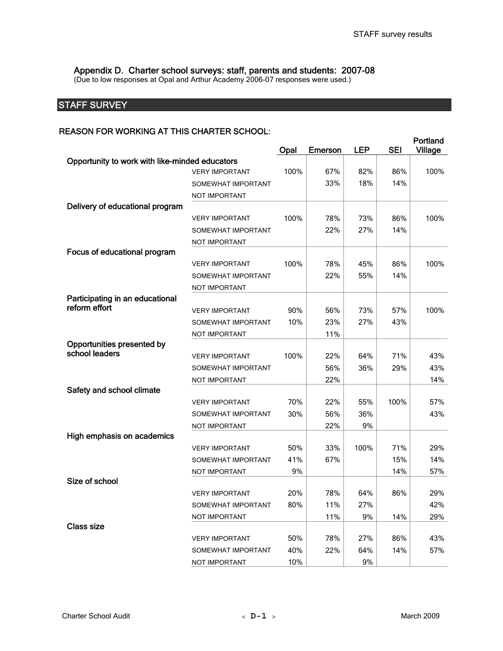Appendix D. Charter school surveys: staff, parents and students: 2007-08

(Due to low responses at Opal and Arthur Academy 2006-07 responses were used.)

# **STAFF SURVEY**

#### REASON FOR WORKING AT THIS CHARTER SCHOOL:

|                                                |                       | Opal | <b>Emerson</b> | <b>LEP</b> | <b>SEI</b> | Portland<br><b>Village</b> |
|------------------------------------------------|-----------------------|------|----------------|------------|------------|----------------------------|
| Opportunity to work with like-minded educators |                       |      |                |            |            |                            |
|                                                | <b>VERY IMPORTANT</b> | 100% | 67%            | 82%        | 86%        | 100%                       |
|                                                | SOMEWHAT IMPORTANT    |      | 33%            | 18%        | 14%        |                            |
|                                                | NOT IMPORTANT         |      |                |            |            |                            |
| Delivery of educational program                |                       |      |                |            |            |                            |
|                                                | <b>VERY IMPORTANT</b> | 100% | 78%            | 73%        | 86%        | 100%                       |
|                                                | SOMEWHAT IMPORTANT    |      | 22%            | 27%        | 14%        |                            |
|                                                | <b>NOT IMPORTANT</b>  |      |                |            |            |                            |
| Focus of educational program                   |                       |      |                |            |            |                            |
|                                                | <b>VERY IMPORTANT</b> | 100% | 78%            | 45%        | 86%        | 100%                       |
|                                                | SOMEWHAT IMPORTANT    |      | 22%            | 55%        | 14%        |                            |
|                                                | NOT IMPORTANT         |      |                |            |            |                            |
| Participating in an educational                |                       |      |                |            |            |                            |
| reform effort                                  | <b>VERY IMPORTANT</b> | 90%  | 56%            | 73%        | 57%        | 100%                       |
|                                                | SOMEWHAT IMPORTANT    | 10%  | 23%            | 27%        | 43%        |                            |
|                                                | NOT IMPORTANT         |      | 11%            |            |            |                            |
| Opportunities presented by                     |                       |      |                |            |            |                            |
| school leaders                                 | <b>VERY IMPORTANT</b> | 100% | 22%            | 64%        | 71%        | 43%                        |
|                                                | SOMEWHAT IMPORTANT    |      | 56%            | 36%        | 29%        | 43%                        |
|                                                | NOT IMPORTANT         |      | 22%            |            |            | 14%                        |
| Safety and school climate                      |                       |      |                |            |            |                            |
|                                                | <b>VERY IMPORTANT</b> | 70%  | 22%            | 55%        | 100%       | 57%                        |
|                                                | SOMEWHAT IMPORTANT    | 30%  | 56%            | 36%        |            | 43%                        |
|                                                | NOT IMPORTANT         |      | 22%            | 9%         |            |                            |
| High emphasis on academics                     |                       |      |                |            |            |                            |
|                                                | <b>VERY IMPORTANT</b> | 50%  | 33%            | 100%       | 71%        | 29%                        |
|                                                | SOMEWHAT IMPORTANT    | 41%  | 67%            |            | 15%        | 14%                        |
|                                                | NOT IMPORTANT         | 9%   |                |            | 14%        | 57%                        |
| Size of school                                 |                       |      |                |            |            |                            |
|                                                | <b>VERY IMPORTANT</b> | 20%  | 78%            | 64%        | 86%        | 29%                        |
|                                                | SOMEWHAT IMPORTANT    | 80%  | 11%            | 27%        |            | 42%                        |
|                                                | NOT IMPORTANT         |      | 11%            | 9%         | 14%        | 29%                        |
| <b>Class size</b>                              |                       |      |                |            |            |                            |
|                                                | <b>VERY IMPORTANT</b> | 50%  | 78%            | 27%        | 86%        | 43%                        |
|                                                | SOMEWHAT IMPORTANT    | 40%  | 22%            | 64%        | 14%        | 57%                        |
|                                                | NOT IMPORTANT         | 10%  |                | 9%         |            |                            |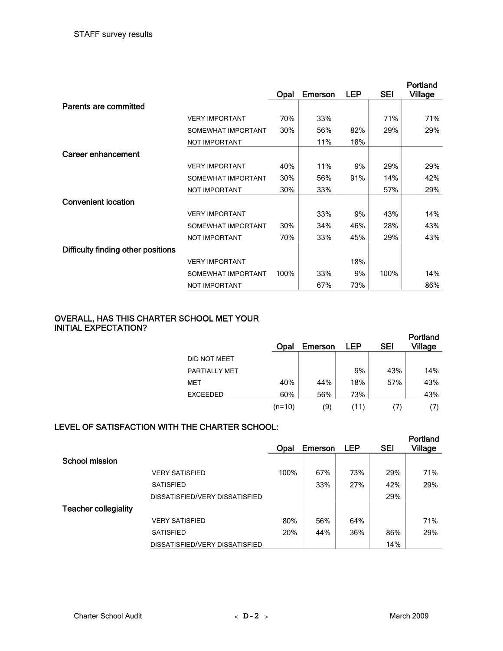|                                    |                       |      |                |            |            | Portland       |
|------------------------------------|-----------------------|------|----------------|------------|------------|----------------|
|                                    |                       | Opal | <b>Emerson</b> | <b>LEP</b> | <b>SEI</b> | <b>Village</b> |
| Parents are committed              |                       |      |                |            |            |                |
|                                    | <b>VERY IMPORTANT</b> | 70%  | 33%            |            | 71%        | 71%            |
|                                    | SOMEWHAT IMPORTANT    | 30%  | 56%            | 82%        | 29%        | 29%            |
|                                    | <b>NOT IMPORTANT</b>  |      | 11%            | 18%        |            |                |
| Career enhancement                 |                       |      |                |            |            |                |
|                                    | <b>VERY IMPORTANT</b> | 40%  | 11%            | 9%         | 29%        | 29%            |
|                                    | SOMEWHAT IMPORTANT    | 30%  | 56%            | 91%        | 14%        | 42%            |
|                                    | <b>NOT IMPORTANT</b>  | 30%  | 33%            |            | 57%        | 29%            |
| <b>Convenient location</b>         |                       |      |                |            |            |                |
|                                    | <b>VERY IMPORTANT</b> |      | 33%            | 9%         | 43%        | 14%            |
|                                    | SOMEWHAT IMPORTANT    | 30%  | 34%            | 46%        | 28%        | 43%            |
|                                    | <b>NOT IMPORTANT</b>  | 70%  | 33%            | 45%        | 29%        | 43%            |
| Difficulty finding other positions |                       |      |                |            |            |                |
|                                    | <b>VERY IMPORTANT</b> |      |                | 18%        |            |                |
|                                    | SOMEWHAT IMPORTANT    | 100% | 33%            | 9%         | 100%       | 14%            |
|                                    | NOT IMPORTANT         |      | 67%            | 73%        |            | 86%            |

## OVERALL, HAS THIS CHARTER SCHOOL MET YOUR INITIAL EXPECTATION?

|                 | Opal   | Emerson | LEP  | <b>SEI</b> | Portland<br><b>Village</b> |
|-----------------|--------|---------|------|------------|----------------------------|
| DID NOT MEET    |        |         |      |            |                            |
| PARTIALLY MET   |        |         | 9%   | 43%        | 14%                        |
| MET             | 40%    | 44%     | 18%  | 57%        | 43%                        |
| <b>EXCEEDED</b> | 60%    | 56%     | 73%  |            | 43%                        |
|                 | (n=10) | (9)     | (11) |            | Ω,                         |

# LEVEL OF SATISFACTION WITH THE CHARTER SCHOOL:

|                             |                                | Opal | Emerson | <b>LEP</b> | <b>SEI</b> | Portland<br><b>Village</b> |
|-----------------------------|--------------------------------|------|---------|------------|------------|----------------------------|
| <b>School mission</b>       |                                |      |         |            |            |                            |
|                             | <b>VERY SATISFIED</b>          | 100% | 67%     | 73%        | 29%        | 71%                        |
|                             | <b>SATISFIED</b>               |      | 33%     | 27%        | 42%        | 29%                        |
|                             | DISSATISFIED/VERY DISSATISFIED |      |         |            | 29%        |                            |
| <b>Teacher collegiality</b> |                                |      |         |            |            |                            |
|                             | <b>VERY SATISFIED</b>          | 80%  | 56%     | 64%        |            | 71%                        |
|                             | <b>SATISFIED</b>               | 20%  | 44%     | 36%        | 86%        | 29%                        |
|                             | DISSATISFIED/VERY DISSATISFIED |      |         |            | 14%        |                            |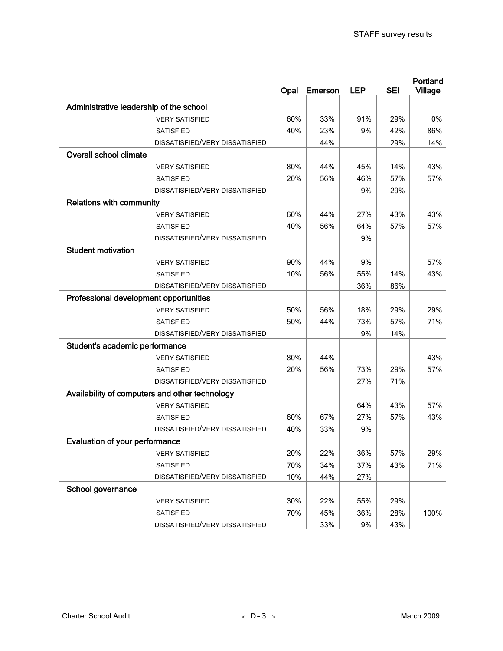|                                         |                                                |      |                |            |            | Portland |
|-----------------------------------------|------------------------------------------------|------|----------------|------------|------------|----------|
|                                         |                                                | Opal | <b>Emerson</b> | <b>LEP</b> | <b>SEI</b> | Village  |
| Administrative leadership of the school |                                                |      |                |            |            |          |
|                                         | <b>VERY SATISFIED</b>                          | 60%  | 33%            | 91%        | 29%        | 0%       |
|                                         | <b>SATISFIED</b>                               | 40%  | 23%            | 9%         | 42%        | 86%      |
|                                         | DISSATISFIED/VERY DISSATISFIED                 |      | 44%            |            | 29%        | 14%      |
| <b>Overall school climate</b>           |                                                |      |                |            |            |          |
|                                         | <b>VERY SATISFIED</b>                          | 80%  | 44%            | 45%        | 14%        | 43%      |
|                                         | <b>SATISFIED</b>                               | 20%  | 56%            | 46%        | 57%        | 57%      |
|                                         | DISSATISFIED/VERY DISSATISFIED                 |      |                | 9%         | 29%        |          |
| <b>Relations with community</b>         |                                                |      |                |            |            |          |
|                                         | <b>VERY SATISFIED</b>                          | 60%  | 44%            | 27%        | 43%        | 43%      |
|                                         | <b>SATISFIED</b>                               | 40%  | 56%            | 64%        | 57%        | 57%      |
|                                         | DISSATISFIED/VERY DISSATISFIED                 |      |                | 9%         |            |          |
| <b>Student motivation</b>               |                                                |      |                |            |            |          |
|                                         | <b>VERY SATISFIED</b>                          | 90%  | 44%            | 9%         |            | 57%      |
|                                         | <b>SATISFIED</b>                               | 10%  | 56%            | 55%        | 14%        | 43%      |
|                                         | DISSATISFIED/VERY DISSATISFIED                 |      |                | 36%        | 86%        |          |
| Professional development opportunities  |                                                |      |                |            |            |          |
|                                         | <b>VERY SATISFIED</b>                          | 50%  | 56%            | 18%        | 29%        | 29%      |
|                                         | <b>SATISFIED</b>                               | 50%  | 44%            | 73%        | 57%        | 71%      |
|                                         | DISSATISFIED/VERY DISSATISFIED                 |      |                | 9%         | 14%        |          |
| Student's academic performance          |                                                |      |                |            |            |          |
|                                         | <b>VERY SATISFIED</b>                          | 80%  | 44%            |            |            | 43%      |
|                                         | <b>SATISFIED</b>                               | 20%  | 56%            | 73%        | 29%        | 57%      |
|                                         | DISSATISFIED/VERY DISSATISFIED                 |      |                | 27%        | 71%        |          |
|                                         | Availability of computers and other technology |      |                |            |            |          |
|                                         | <b>VERY SATISFIED</b>                          |      |                | 64%        | 43%        | 57%      |
|                                         | <b>SATISFIED</b>                               | 60%  | 67%            | 27%        | 57%        | 43%      |
|                                         | DISSATISFIED/VERY DISSATISFIED                 | 40%  | 33%            | 9%         |            |          |
| <b>Evaluation of your performance</b>   |                                                |      |                |            |            |          |
|                                         | <b>VERY SATISFIED</b>                          | 20%  | 22%            | 36%        | 57%        | 29%      |
|                                         | <b>SATISFIED</b>                               | 70%  | 34%            | 37%        | 43%        | 71%      |
|                                         | DISSATISFIED/VERY DISSATISFIED                 | 10%  | 44%            | 27%        |            |          |
| School governance                       |                                                |      |                |            |            |          |
|                                         | <b>VERY SATISFIED</b>                          | 30%  | 22%            | 55%        | 29%        |          |
|                                         | <b>SATISFIED</b>                               | 70%  | 45%            | 36%        | 28%        | 100%     |
|                                         | DISSATISFIED/VERY DISSATISFIED                 |      | 33%            | 9%         | 43%        |          |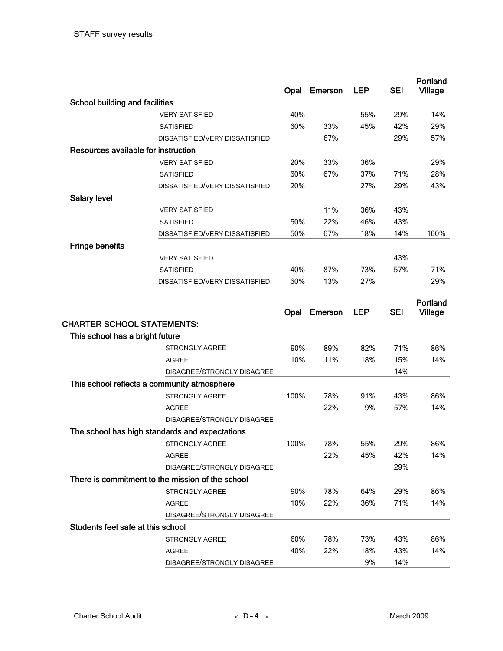|                                     |                                |      |         |     |     | Portland       |
|-------------------------------------|--------------------------------|------|---------|-----|-----|----------------|
|                                     |                                | Opal | Emerson | LEP | SEI | <b>Village</b> |
| School building and facilities      |                                |      |         |     |     |                |
|                                     | <b>VERY SATISFIED</b>          | 40%  |         | 55% | 29% | 14%            |
|                                     | <b>SATISFIED</b>               | 60%  | 33%     | 45% | 42% | 29%            |
|                                     | DISSATISFIED/VERY DISSATISFIED |      | 67%     |     | 29% | 57%            |
| Resources available for instruction |                                |      |         |     |     |                |
|                                     | <b>VERY SATISFIED</b>          | 20%  | 33%     | 36% |     | 29%            |
|                                     | <b>SATISFIED</b>               | 60%  | 67%     | 37% | 71% | 28%            |
|                                     | DISSATISFIED/VERY DISSATISFIED | 20%  |         | 27% | 29% | 43%            |
| <b>Salary level</b>                 |                                |      |         |     |     |                |
|                                     | <b>VERY SATISFIED</b>          |      | 11%     | 36% | 43% |                |
|                                     | <b>SATISFIED</b>               | 50%  | 22%     | 46% | 43% |                |
|                                     | DISSATISFIED/VERY DISSATISFIED | 50%  | 67%     | 18% | 14% | 100%           |
| <b>Fringe benefits</b>              |                                |      |         |     |     |                |
|                                     | <b>VERY SATISFIED</b>          |      |         |     | 43% |                |
|                                     | <b>SATISFIED</b>               | 40%  | 87%     | 73% | 57% | 71%            |
|                                     | DISSATISFIED/VERY DISSATISFIED | 60%  | 13%     | 27% |     | 29%            |

|                                                  | Opal                       | Emerson | LEP | <b>SEI</b> | Portland<br>Village |
|--------------------------------------------------|----------------------------|---------|-----|------------|---------------------|
| <b>CHARTER SCHOOL STATEMENTS:</b>                |                            |         |     |            |                     |
| This school has a bright future                  |                            |         |     |            |                     |
| <b>STRONGLY AGREE</b>                            | 90%                        | 89%     | 82% | 71%        | 86%                 |
| <b>AGREE</b>                                     | 10%                        | 11%     | 18% | 15%        | 14%                 |
|                                                  | DISAGREE/STRONGLY DISAGREE |         |     | 14%        |                     |
| This school reflects a community atmosphere      |                            |         |     |            |                     |
| <b>STRONGLY AGREE</b>                            | 100%                       | 78%     | 91% | 43%        | 86%                 |
| <b>AGREE</b>                                     |                            | 22%     | 9%  | 57%        | 14%                 |
|                                                  | DISAGREE/STRONGLY DISAGREE |         |     |            |                     |
| The school has high standards and expectations   |                            |         |     |            |                     |
| <b>STRONGLY AGREE</b>                            | 100%                       | 78%     | 55% | 29%        | 86%                 |
| <b>AGREE</b>                                     |                            | 22%     | 45% | 42%        | 14%                 |
|                                                  | DISAGREE/STRONGLY DISAGREE |         |     | 29%        |                     |
| There is commitment to the mission of the school |                            |         |     |            |                     |
| <b>STRONGLY AGREE</b>                            | 90%                        | 78%     | 64% | 29%        | 86%                 |
| <b>AGREE</b>                                     | 10%                        | 22%     | 36% | 71%        | 14%                 |
|                                                  | DISAGREE/STRONGLY DISAGREE |         |     |            |                     |
| Students feel safe at this school                |                            |         |     |            |                     |
| <b>STRONGLY AGREE</b>                            | 60%                        | 78%     | 73% | 43%        | 86%                 |
| <b>AGREE</b>                                     | 40%                        | 22%     | 18% | 43%        | 14%                 |
|                                                  | DISAGREE/STRONGLY DISAGREE |         | 9%  | 14%        |                     |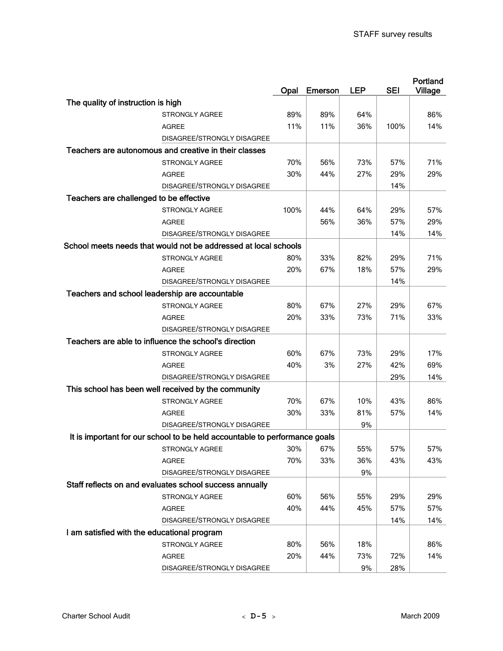|                                                                            | Opal | Emerson | <b>LEP</b> | <b>SEI</b> | Portland<br>Village |
|----------------------------------------------------------------------------|------|---------|------------|------------|---------------------|
| The quality of instruction is high                                         |      |         |            |            |                     |
| <b>STRONGLY AGREE</b>                                                      | 89%  | 89%     | 64%        |            | 86%                 |
| AGREE                                                                      | 11%  | 11%     | 36%        | 100%       | 14%                 |
| DISAGREE/STRONGLY DISAGREE                                                 |      |         |            |            |                     |
| Teachers are autonomous and creative in their classes                      |      |         |            |            |                     |
| <b>STRONGLY AGREE</b>                                                      | 70%  | 56%     | 73%        | 57%        | 71%                 |
| <b>AGREE</b>                                                               | 30%  | 44%     | 27%        | 29%        | 29%                 |
| DISAGREE/STRONGLY DISAGREE                                                 |      |         |            | 14%        |                     |
| Teachers are challenged to be effective                                    |      |         |            |            |                     |
| <b>STRONGLY AGREE</b>                                                      | 100% | 44%     | 64%        | 29%        | 57%                 |
| <b>AGREE</b>                                                               |      | 56%     | 36%        | 57%        | 29%                 |
| DISAGREE/STRONGLY DISAGREE                                                 |      |         |            | 14%        | 14%                 |
| School meets needs that would not be addressed at local schools            |      |         |            |            |                     |
| <b>STRONGLY AGREE</b>                                                      | 80%  | 33%     | 82%        | 29%        | 71%                 |
| <b>AGREE</b>                                                               | 20%  | 67%     | 18%        | 57%        | 29%                 |
| DISAGREE/STRONGLY DISAGREE                                                 |      |         |            | 14%        |                     |
| Teachers and school leadership are accountable                             |      |         |            |            |                     |
| <b>STRONGLY AGREE</b>                                                      | 80%  | 67%     | 27%        | 29%        | 67%                 |
| <b>AGREE</b>                                                               | 20%  | 33%     | 73%        | 71%        | 33%                 |
| DISAGREE/STRONGLY DISAGREE                                                 |      |         |            |            |                     |
| Teachers are able to influence the school's direction                      |      |         |            |            |                     |
| <b>STRONGLY AGREE</b>                                                      | 60%  | 67%     | 73%        | 29%        | 17%                 |
| AGREE                                                                      | 40%  | 3%      | 27%        | 42%        | 69%                 |
| DISAGREE/STRONGLY DISAGREE                                                 |      |         |            | 29%        | 14%                 |
| This school has been well received by the community                        |      |         |            |            |                     |
| <b>STRONGLY AGREE</b>                                                      | 70%  | 67%     | 10%        | 43%        | 86%                 |
| AGREE                                                                      | 30%  | 33%     | 81%        | 57%        | 14%                 |
| DISAGREE/STRONGLY DISAGREE                                                 |      |         | 9%         |            |                     |
| It is important for our school to be held accountable to performance goals |      |         |            |            |                     |
| STRONGLY AGREE                                                             | 30%  | 67%     | 55%        | 57%        | 57%                 |
| <b>AGREE</b>                                                               | 70%  | 33%     | 36%        | 43%        | 43%                 |
| DISAGREE/STRONGLY DISAGREE                                                 |      |         | 9%         |            |                     |
| Staff reflects on and evaluates school success annually                    |      |         |            |            |                     |
| <b>STRONGLY AGREE</b>                                                      | 60%  | 56%     | 55%        | 29%        | 29%                 |
| <b>AGREE</b>                                                               | 40%  | 44%     | 45%        | 57%        | 57%                 |
| DISAGREE/STRONGLY DISAGREE                                                 |      |         |            | 14%        | 14%                 |
| I am satisfied with the educational program                                |      |         |            |            |                     |
| STRONGLY AGREE                                                             | 80%  | 56%     | 18%        |            | 86%                 |
| <b>AGREE</b>                                                               | 20%  | 44%     | 73%        | 72%        | 14%                 |
| DISAGREE/STRONGLY DISAGREE                                                 |      |         | 9%         | 28%        |                     |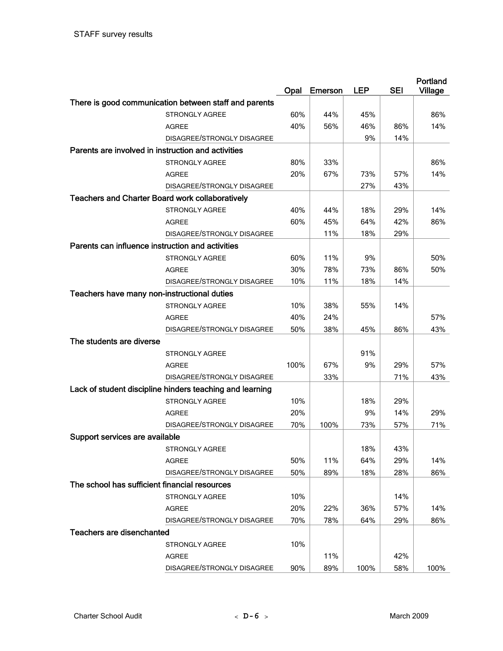|                                                        |                                                          | Opal | <b>Emerson</b> | <b>LEP</b> | <b>SEI</b> | Portland<br><b>Village</b> |
|--------------------------------------------------------|----------------------------------------------------------|------|----------------|------------|------------|----------------------------|
|                                                        | There is good communication between staff and parents    |      |                |            |            |                            |
|                                                        | <b>STRONGLY AGREE</b>                                    | 60%  | 44%            | 45%        |            | 86%                        |
|                                                        | <b>AGREE</b>                                             | 40%  | 56%            | 46%        | 86%        | 14%                        |
|                                                        | DISAGREE/STRONGLY DISAGREE                               |      |                | 9%         | 14%        |                            |
| Parents are involved in instruction and activities     |                                                          |      |                |            |            |                            |
|                                                        | <b>STRONGLY AGREE</b>                                    | 80%  | 33%            |            |            | 86%                        |
|                                                        | AGREE                                                    | 20%  | 67%            | 73%        | 57%        | 14%                        |
|                                                        | DISAGREE/STRONGLY DISAGREE                               |      |                | 27%        | 43%        |                            |
| <b>Teachers and Charter Board work collaboratively</b> |                                                          |      |                |            |            |                            |
|                                                        | <b>STRONGLY AGREE</b>                                    | 40%  | 44%            | 18%        | 29%        | 14%                        |
|                                                        | <b>AGREE</b>                                             | 60%  | 45%            | 64%        | 42%        | 86%                        |
|                                                        | DISAGREE/STRONGLY DISAGREE                               |      | 11%            | 18%        | 29%        |                            |
| Parents can influence instruction and activities       |                                                          |      |                |            |            |                            |
|                                                        | <b>STRONGLY AGREE</b>                                    | 60%  | 11%            | 9%         |            | 50%                        |
|                                                        | <b>AGREE</b>                                             | 30%  | 78%            | 73%        | 86%        | 50%                        |
|                                                        | DISAGREE/STRONGLY DISAGREE                               | 10%  | 11%            | 18%        | 14%        |                            |
| Teachers have many non-instructional duties            |                                                          |      |                |            |            |                            |
|                                                        | <b>STRONGLY AGREE</b>                                    | 10%  | 38%            | 55%        | 14%        |                            |
|                                                        | AGREE                                                    | 40%  | 24%            |            |            | 57%                        |
|                                                        | DISAGREE/STRONGLY DISAGREE                               | 50%  | 38%            | 45%        | 86%        | 43%                        |
| The students are diverse                               |                                                          |      |                |            |            |                            |
|                                                        | <b>STRONGLY AGREE</b>                                    |      |                | 91%        |            |                            |
|                                                        | <b>AGREE</b>                                             | 100% | 67%            | 9%         | 29%        | 57%                        |
|                                                        | DISAGREE/STRONGLY DISAGREE                               |      | 33%            |            | 71%        | 43%                        |
|                                                        | Lack of student discipline hinders teaching and learning |      |                |            |            |                            |
|                                                        | <b>STRONGLY AGREE</b>                                    | 10%  |                | 18%        | 29%        |                            |
|                                                        | <b>AGREE</b>                                             | 20%  |                | 9%         | 14%        | 29%                        |
|                                                        | DISAGREE/STRONGLY DISAGREE                               | 70%  | 100%           | 73%        | 57%        | 71%                        |
| Support services are available                         |                                                          |      |                |            |            |                            |
|                                                        | <b>STRONGLY AGREE</b>                                    |      |                | 18%        | 43%        |                            |
|                                                        | AGREE                                                    | 50%  | 11%            | 64%        | 29%        | 14%                        |
|                                                        | DISAGREE/STRONGLY DISAGREE                               | 50%  | 89%            | 18%        | 28%        | 86%                        |
| The school has sufficient financial resources          |                                                          |      |                |            |            |                            |
|                                                        | STRONGLY AGREE                                           | 10%  |                |            | 14%        |                            |
|                                                        | AGREE                                                    | 20%  | 22%            | 36%        | 57%        | 14%                        |
|                                                        | DISAGREE/STRONGLY DISAGREE                               | 70%  | 78%            | 64%        | 29%        | 86%                        |
| <b>Teachers are disenchanted</b>                       |                                                          |      |                |            |            |                            |
|                                                        | <b>STRONGLY AGREE</b>                                    | 10%  |                |            |            |                            |
|                                                        | <b>AGREE</b>                                             |      | 11%            |            | 42%        |                            |
|                                                        | DISAGREE/STRONGLY DISAGREE                               | 90%  | 89%            | 100%       | 58%        | 100%                       |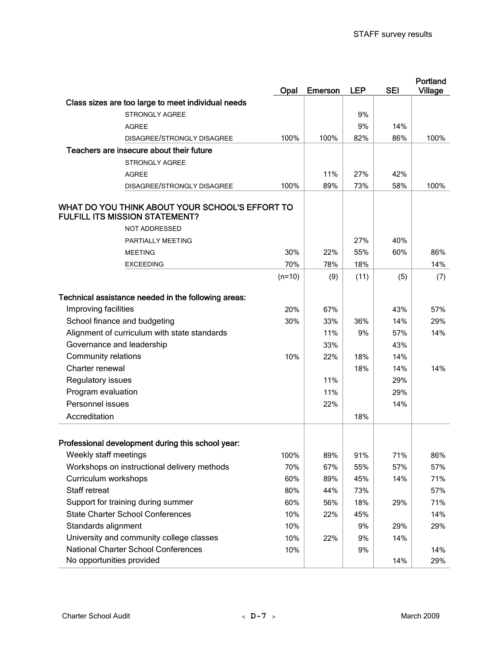|                                                                                          | Opal     | <b>Emerson</b> | <b>LEP</b> | <b>SEI</b> | Portland<br><b>Village</b> |
|------------------------------------------------------------------------------------------|----------|----------------|------------|------------|----------------------------|
| Class sizes are too large to meet individual needs                                       |          |                |            |            |                            |
| <b>STRONGLY AGREE</b>                                                                    |          |                | 9%         |            |                            |
| <b>AGREE</b>                                                                             |          |                | 9%         | 14%        |                            |
| DISAGREE/STRONGLY DISAGREE                                                               | 100%     | 100%           | 82%        | 86%        | 100%                       |
| Teachers are insecure about their future                                                 |          |                |            |            |                            |
| <b>STRONGLY AGREE</b>                                                                    |          |                |            |            |                            |
| <b>AGREE</b>                                                                             |          | 11%            | 27%        | 42%        |                            |
| DISAGREE/STRONGLY DISAGREE                                                               | 100%     | 89%            | 73%        | 58%        | 100%                       |
| WHAT DO YOU THINK ABOUT YOUR SCHOOL'S EFFORT TO<br><b>FULFILL ITS MISSION STATEMENT?</b> |          |                |            |            |                            |
| NOT ADDRESSED                                                                            |          |                |            |            |                            |
| PARTIALLY MEETING                                                                        |          |                | 27%        | 40%        |                            |
| <b>MEETING</b>                                                                           | 30%      | 22%            | 55%        | 60%        | 86%                        |
| <b>EXCEEDING</b>                                                                         | 70%      | 78%            | 18%        |            | 14%                        |
|                                                                                          | $(n=10)$ | (9)            | (11)       | (5)        | (7)                        |
| Technical assistance needed in the following areas:                                      |          |                |            |            |                            |
| Improving facilities                                                                     | 20%      | 67%            |            | 43%        | 57%                        |
| School finance and budgeting                                                             | 30%      | 33%            | 36%        | 14%        | 29%                        |
| Alignment of curriculum with state standards                                             |          | 11%            | 9%         | 57%        | 14%                        |
| Governance and leadership                                                                |          | 33%            |            | 43%        |                            |
| <b>Community relations</b>                                                               | 10%      | 22%            | 18%        | 14%        |                            |
| Charter renewal                                                                          |          |                | 18%        | 14%        | 14%                        |
| Regulatory issues                                                                        |          | 11%            |            | 29%        |                            |
| Program evaluation                                                                       |          | 11%            |            | 29%        |                            |
| Personnel issues                                                                         |          | 22%            |            | 14%        |                            |
| Accreditation                                                                            |          |                | 18%        |            |                            |
| Professional development during this school year:                                        |          |                |            |            |                            |
| Weekly staff meetings                                                                    | 100%     | 89%            | 91%        | 71%        | 86%                        |
| Workshops on instructional delivery methods                                              | 70%      | 67%            | 55%        | 57%        | 57%                        |
| Curriculum workshops                                                                     | 60%      | 89%            | 45%        | 14%        | 71%                        |
| Staff retreat                                                                            | 80%      | 44%            | 73%        |            | 57%                        |
| Support for training during summer                                                       | 60%      | 56%            | 18%        | 29%        | 71%                        |
| <b>State Charter School Conferences</b>                                                  | 10%      | 22%            | 45%        |            | 14%                        |
| Standards alignment                                                                      | 10%      |                | 9%         | 29%        | 29%                        |
| University and community college classes                                                 | 10%      | 22%            | 9%         | 14%        |                            |
| <b>National Charter School Conferences</b>                                               | 10%      |                | 9%         |            | 14%                        |
| No opportunities provided                                                                |          |                |            | 14%        | 29%                        |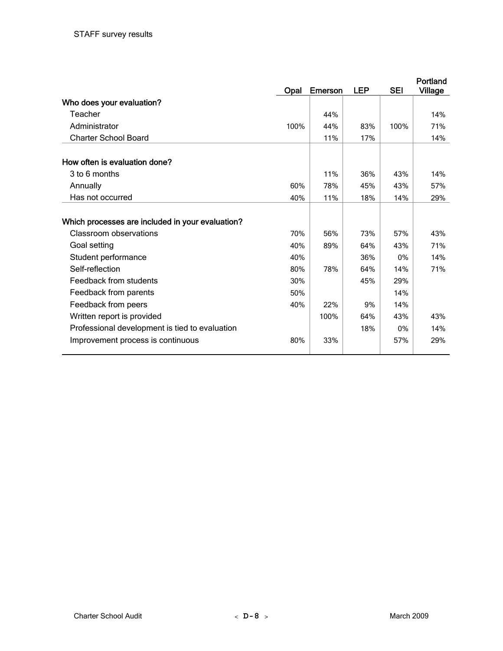|                                                  | <b>Opal</b> | <b>Emerson</b> | <b>LEP</b> | <b>SEI</b> | Portland<br><b>Village</b> |
|--------------------------------------------------|-------------|----------------|------------|------------|----------------------------|
| Who does your evaluation?                        |             |                |            |            |                            |
| Teacher                                          |             | 44%            |            |            | 14%                        |
| Administrator                                    | 100%        | 44%            | 83%        | 100%       | 71%                        |
| <b>Charter School Board</b>                      |             | 11%            | 17%        |            | 14%                        |
|                                                  |             |                |            |            |                            |
| How often is evaluation done?                    |             |                |            |            |                            |
| 3 to 6 months                                    |             | 11%            | 36%        | 43%        | 14%                        |
| Annually                                         | 60%         | 78%            | 45%        | 43%        | 57%                        |
| Has not occurred                                 | 40%         | 11%            | 18%        | 14%        | 29%                        |
|                                                  |             |                |            |            |                            |
| Which processes are included in your evaluation? |             |                |            |            |                            |
| Classroom observations                           | 70%         | 56%            | 73%        | 57%        | 43%                        |
| Goal setting                                     | 40%         | 89%            | 64%        | 43%        | 71%                        |
| Student performance                              | 40%         |                | 36%        | $0\%$      | 14%                        |
| Self-reflection                                  | 80%         | 78%            | 64%        | 14%        | 71%                        |
| Feedback from students                           | 30%         |                | 45%        | 29%        |                            |
| Feedback from parents                            | 50%         |                |            | 14%        |                            |
| Feedback from peers                              | 40%         | 22%            | 9%         | 14%        |                            |
| Written report is provided                       |             | 100%           | 64%        | 43%        | 43%                        |
| Professional development is tied to evaluation   |             |                | 18%        | $0\%$      | 14%                        |
| Improvement process is continuous                | 80%         | 33%            |            | 57%        | 29%                        |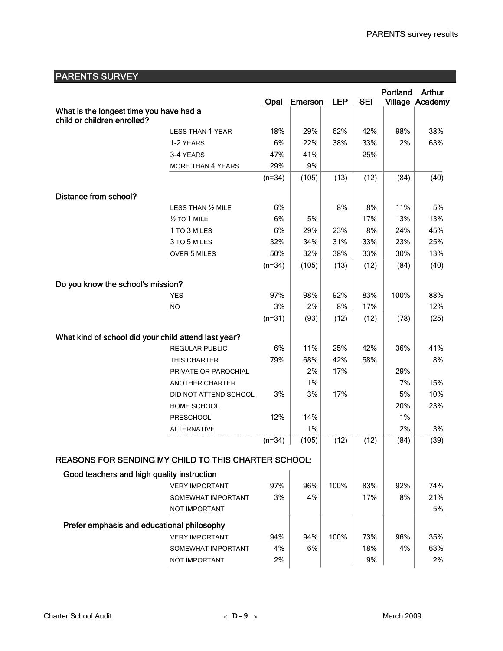| <b>PARENTS SURVEY</b>                                       |                          |          |                |            |            |          |                 |
|-------------------------------------------------------------|--------------------------|----------|----------------|------------|------------|----------|-----------------|
|                                                             |                          |          |                |            |            | Portland | Arthur          |
|                                                             |                          | Opal     | <b>Emerson</b> | <b>LEP</b> | <b>SEI</b> |          | Village Academy |
| What is the longest time you have had a                     |                          |          |                |            |            |          |                 |
| child or children enrolled?                                 |                          |          |                |            |            |          |                 |
|                                                             | <b>LESS THAN 1 YEAR</b>  | 18%      | 29%            | 62%        | 42%        | 98%      | 38%             |
|                                                             | 1-2 YEARS                | 6%       | 22%            | 38%        | 33%        | 2%       | 63%             |
|                                                             | 3-4 YEARS                | 47%      | 41%            |            | 25%        |          |                 |
|                                                             | <b>MORE THAN 4 YEARS</b> | 29%      | 9%             |            |            |          |                 |
|                                                             |                          | $(n=34)$ | (105)          | (13)       | (12)       | (84)     | (40)            |
| Distance from school?                                       |                          |          |                |            |            |          |                 |
|                                                             | LESS THAN 1/2 MILE       | 6%       |                | 8%         | 8%         | 11%      | 5%              |
|                                                             | $1/2$ TO 1 MILE          | 6%       | 5%             |            | 17%        | 13%      | 13%             |
|                                                             | 1 TO 3 MILES             | 6%       | 29%            | 23%        | 8%         | 24%      | 45%             |
|                                                             | 3 TO 5 MILES             | 32%      | 34%            | 31%        | 33%        | 23%      | 25%             |
|                                                             | OVER 5 MILES             | 50%      | 32%            | 38%        | 33%        | 30%      | 13%             |
|                                                             |                          | $(n=34)$ | (105)          | (13)       | (12)       | (84)     | (40)            |
|                                                             |                          |          |                |            |            |          |                 |
| Do you know the school's mission?                           |                          |          |                |            |            |          |                 |
|                                                             | <b>YES</b>               | 97%      | 98%            | 92%        | 83%        | 100%     | 88%             |
|                                                             | <b>NO</b>                | 3%       | 2%             | 8%         | 17%        |          | 12%             |
|                                                             |                          | $(n=31)$ | (93)           | (12)       | (12)       | (78)     | (25)            |
|                                                             |                          |          |                |            |            |          |                 |
| What kind of school did your child attend last year?        |                          |          |                |            |            |          |                 |
|                                                             | REGULAR PUBLIC           | 6%       | 11%            | 25%        | 42%        | 36%      | 41%             |
|                                                             | THIS CHARTER             | 79%      | 68%            | 42%        | 58%        |          | 8%              |
|                                                             | PRIVATE OR PAROCHIAL     |          | 2%             | 17%        |            | 29%      |                 |
|                                                             | ANOTHER CHARTER          |          | 1%             |            |            | 7%       | 15%             |
|                                                             | DID NOT ATTEND SCHOOL    | 3%       | 3%             | 17%        |            | 5%       | 10%             |
|                                                             | HOME SCHOOL              |          |                |            |            | 20%      | 23%             |
|                                                             | <b>PRESCHOOL</b>         | 12%      | 14%            |            |            | 1%       |                 |
|                                                             | <b>ALTERNATIVE</b>       |          | 1%             |            |            | 2%       | 3%              |
|                                                             |                          | $(n=34)$ | (105)          | (12)       | (12)       | (84)     | (39)            |
| <b>REASONS FOR SENDING MY CHILD TO THIS CHARTER SCHOOL:</b> |                          |          |                |            |            |          |                 |
| Good teachers and high quality instruction                  |                          |          |                |            |            |          |                 |
|                                                             | <b>VERY IMPORTANT</b>    | 97%      | 96%            | 100%       | 83%        | 92%      | 74%             |
|                                                             | SOMEWHAT IMPORTANT       | 3%       | 4%             |            | 17%        | 8%       | 21%             |
|                                                             | <b>NOT IMPORTANT</b>     |          |                |            |            |          | 5%              |
|                                                             |                          |          |                |            |            |          |                 |
| Prefer emphasis and educational philosophy                  |                          |          |                |            |            |          |                 |
|                                                             | <b>VERY IMPORTANT</b>    | 94%      | 94%            | 100%       | 73%        | 96%      | 35%             |
|                                                             | SOMEWHAT IMPORTANT       | 4%       | 6%             |            | 18%        | 4%       | 63%             |
|                                                             | NOT IMPORTANT            | 2%       |                |            | 9%         |          | 2%              |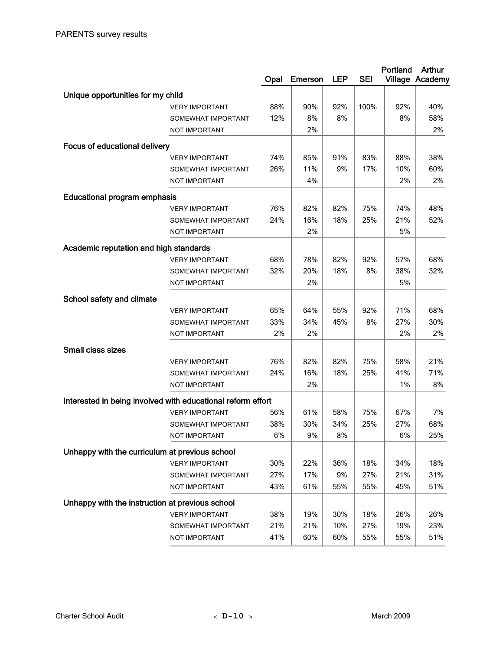|                                                             |                                     | Opal       | <b>Emerson</b> | <b>LEP</b> | <b>SEI</b> | Portland   | <b>Arthur</b><br>Village Academy |
|-------------------------------------------------------------|-------------------------------------|------------|----------------|------------|------------|------------|----------------------------------|
| Unique opportunities for my child                           |                                     |            |                |            |            |            |                                  |
|                                                             | <b>VERY IMPORTANT</b>               | 88%        | 90%            | 92%        | 100%       | 92%        | 40%                              |
|                                                             | SOMEWHAT IMPORTANT                  | 12%        | 8%             | 8%         |            | 8%         | 58%                              |
|                                                             | NOT IMPORTANT                       |            | 2%             |            |            |            | 2%                               |
| <b>Focus of educational delivery</b>                        |                                     |            |                |            |            |            |                                  |
|                                                             | <b>VERY IMPORTANT</b>               | 74%        | 85%            | 91%        | 83%        | 88%        | 38%                              |
|                                                             | SOMEWHAT IMPORTANT                  | 26%        | 11%            | 9%         | 17%        | 10%        | 60%                              |
|                                                             | NOT IMPORTANT                       |            | 4%             |            |            | 2%         | 2%                               |
| <b>Educational program emphasis</b>                         |                                     |            |                |            |            |            |                                  |
|                                                             | <b>VERY IMPORTANT</b>               | 76%        | 82%            | 82%        | 75%        | 74%        | 48%                              |
|                                                             | SOMEWHAT IMPORTANT                  | 24%        | 16%            | 18%        | 25%        | 21%        | 52%                              |
|                                                             | NOT IMPORTANT                       |            | 2%             |            |            | 5%         |                                  |
|                                                             |                                     |            |                |            |            |            |                                  |
| Academic reputation and high standards                      |                                     |            |                |            |            |            |                                  |
|                                                             | <b>VERY IMPORTANT</b>               | 68%        | 78%            | 82%        | 92%        | 57%        | 68%                              |
|                                                             | SOMEWHAT IMPORTANT                  | 32%        | 20%            | 18%        | 8%         | 38%        | 32%                              |
|                                                             | <b>NOT IMPORTANT</b>                |            | 2%             |            |            | 5%         |                                  |
| School safety and climate                                   |                                     |            |                |            |            |            |                                  |
|                                                             | <b>VERY IMPORTANT</b>               | 65%        | 64%            | 55%        | 92%        | 71%        | 68%                              |
|                                                             | SOMEWHAT IMPORTANT                  | 33%        | 34%            | 45%        | 8%         | 27%        | 30%                              |
|                                                             | NOT IMPORTANT                       | 2%         | 2%             |            |            | 2%         | 2%                               |
| Small class sizes                                           |                                     |            |                |            |            |            |                                  |
|                                                             | <b>VERY IMPORTANT</b>               | 76%        | 82%            | 82%        | 75%        | 58%        | 21%                              |
|                                                             | SOMEWHAT IMPORTANT                  | 24%        | 16%            | 18%        | 25%        | 41%        | 71%                              |
|                                                             | NOT IMPORTANT                       |            | 2%             |            |            | 1%         | 8%                               |
| Interested in being involved with educational reform effort |                                     |            |                |            |            |            |                                  |
|                                                             | <b>VERY IMPORTANT</b>               | 56%        | 61%            | 58%        | 75%        | 67%        | 7%                               |
|                                                             | SOMEWHAT IMPORTANT                  | 38%        | 30%            | 34%        | 25%        | 27%        | 68%                              |
|                                                             | NOT IMPORTANT                       | 6%         | 9%             | 8%         |            | 6%         | 25%                              |
| Unhappy with the curriculum at previous school              |                                     |            |                |            |            |            |                                  |
|                                                             | <b>VERY IMPORTANT</b>               |            |                |            |            |            | 18%                              |
|                                                             |                                     | 30%<br>27% | 22%<br>17%     | 36%<br>9%  | 18%<br>27% | 34%<br>21% | 31%                              |
|                                                             | SOMEWHAT IMPORTANT<br>NOT IMPORTANT | 43%        | 61%            | 55%        | 55%        | 45%        | 51%                              |
|                                                             |                                     |            |                |            |            |            |                                  |
| Unhappy with the instruction at previous school             |                                     |            |                |            |            |            |                                  |
|                                                             | <b>VERY IMPORTANT</b>               | 38%        | 19%            | 30%        | 18%        | 26%        | 26%                              |
|                                                             | SOMEWHAT IMPORTANT                  | 21%        | 21%            | 10%        | 27%        | 19%        | 23%                              |
|                                                             | NOT IMPORTANT                       | 41%        | 60%            | 60%        | 55%        | 55%        | 51%                              |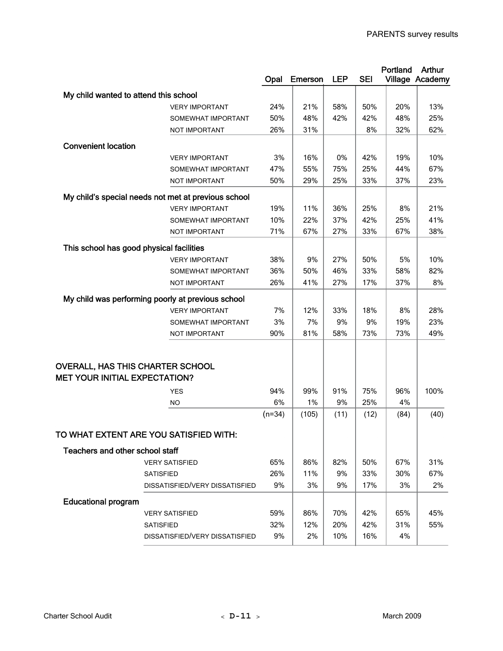|                                          |                                                     |          |                |            |            | Portland | Arthur          |
|------------------------------------------|-----------------------------------------------------|----------|----------------|------------|------------|----------|-----------------|
|                                          |                                                     | Opal     | <b>Emerson</b> | <b>LEP</b> | <b>SEI</b> |          | Village Academy |
| My child wanted to attend this school    |                                                     |          |                |            |            |          |                 |
|                                          | <b>VERY IMPORTANT</b>                               | 24%      | 21%            | 58%        | 50%        | 20%      | 13%             |
|                                          | SOMEWHAT IMPORTANT                                  | 50%      | 48%            | 42%        | 42%        | 48%      | 25%             |
|                                          | NOT IMPORTANT                                       | 26%      | 31%            |            | 8%         | 32%      | 62%             |
| <b>Convenient location</b>               |                                                     |          |                |            |            |          |                 |
|                                          | <b>VERY IMPORTANT</b>                               | 3%       | 16%            | 0%         | 42%        | 19%      | 10%             |
|                                          | SOMEWHAT IMPORTANT                                  | 47%      | 55%            | 75%        | 25%        | 44%      | 67%             |
|                                          | NOT IMPORTANT                                       | 50%      | 29%            | 25%        | 33%        | 37%      | 23%             |
|                                          |                                                     |          |                |            |            |          |                 |
|                                          | My child's special needs not met at previous school |          |                |            |            |          |                 |
|                                          | <b>VERY IMPORTANT</b>                               | 19%      | 11%            | 36%        | 25%        | 8%       | 21%             |
|                                          | SOMEWHAT IMPORTANT                                  | 10%      | 22%            | 37%        | 42%        | 25%      | 41%             |
|                                          | NOT IMPORTANT                                       | 71%      | 67%            | 27%        | 33%        | 67%      | 38%             |
| This school has good physical facilities |                                                     |          |                |            |            |          |                 |
|                                          | <b>VERY IMPORTANT</b>                               | 38%      | 9%             | 27%        | 50%        | 5%       | 10%             |
|                                          | SOMEWHAT IMPORTANT                                  | 36%      | 50%            | 46%        | 33%        | 58%      | 82%             |
|                                          | NOT IMPORTANT                                       | 26%      | 41%            | 27%        | 17%        | 37%      | 8%              |
|                                          | My child was performing poorly at previous school   |          |                |            |            |          |                 |
|                                          | <b>VERY IMPORTANT</b>                               | 7%       | 12%            | 33%        | 18%        | 8%       | 28%             |
|                                          | SOMEWHAT IMPORTANT                                  | 3%       | 7%             | 9%         | 9%         | 19%      | 23%             |
|                                          | NOT IMPORTANT                                       | 90%      | 81%            | 58%        | 73%        | 73%      | 49%             |
|                                          |                                                     |          |                |            |            |          |                 |
|                                          |                                                     |          |                |            |            |          |                 |
| OVERALL, HAS THIS CHARTER SCHOOL         |                                                     |          |                |            |            |          |                 |
| <b>MET YOUR INITIAL EXPECTATION?</b>     |                                                     |          |                |            |            |          |                 |
|                                          | <b>YES</b>                                          | 94%      | 99%            | 91%        | 75%        | 96%      | 100%            |
|                                          | <b>NO</b>                                           | 6%       | 1%             | 9%         | 25%        | 4%       |                 |
|                                          |                                                     | $(n=34)$ | (105)          | (11)       | (12)       | (84)     | (40)            |
|                                          |                                                     |          |                |            |            |          |                 |
|                                          | TO WHAT EXTENT ARE YOU SATISFIED WITH:              |          |                |            |            |          |                 |
| Teachers and other school staff          |                                                     |          |                |            |            |          |                 |
|                                          | <b>VERY SATISFIED</b>                               | 65%      | 86%            | 82%        | 50%        | 67%      | 31%             |
|                                          | <b>SATISFIED</b>                                    | 26%      | 11%            | 9%         | 33%        | 30%      | 67%             |
|                                          | DISSATISFIED/VERY DISSATISFIED                      | 9%       | 3%             | 9%         | 17%        | 3%       | 2%              |
| <b>Educational program</b>               |                                                     |          |                |            |            |          |                 |
|                                          |                                                     | 59%      | 86%            | 70%        | 42%        | 65%      | 45%             |
|                                          | <b>VERY SATISFIED</b><br><b>SATISFIED</b>           | 32%      | 12%            | 20%        | 42%        | 31%      | 55%             |
|                                          | DISSATISFIED/VERY DISSATISFIED                      | 9%       | 2%             | 10%        | 16%        | 4%       |                 |
|                                          |                                                     |          |                |            |            |          |                 |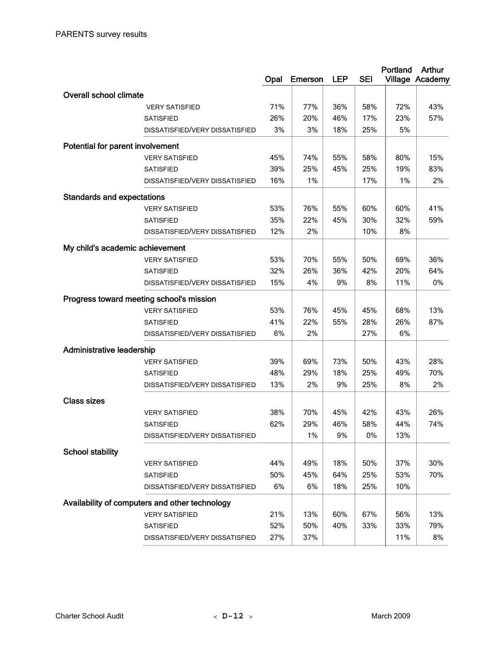|                                   |                                                | Opal | Emerson | <b>LEP</b> | <b>SEI</b> | Portland | <b>Arthur</b><br>Village Academy |
|-----------------------------------|------------------------------------------------|------|---------|------------|------------|----------|----------------------------------|
| <b>Overall school climate</b>     |                                                |      |         |            |            |          |                                  |
|                                   | <b>VERY SATISFIED</b>                          | 71%  | 77%     | 36%        | 58%        | 72%      | 43%                              |
|                                   | <b>SATISFIED</b>                               | 26%  | 20%     | 46%        | 17%        | 23%      | 57%                              |
|                                   | DISSATISFIED/VERY DISSATISFIED                 | 3%   | 3%      | 18%        | 25%        | 5%       |                                  |
| Potential for parent involvement  |                                                |      |         |            |            |          |                                  |
|                                   | <b>VERY SATISFIED</b>                          | 45%  | 74%     | 55%        | 58%        | 80%      | 15%                              |
|                                   | <b>SATISFIED</b>                               | 39%  | 25%     | 45%        | 25%        | 19%      | 83%                              |
|                                   | DISSATISFIED/VERY DISSATISFIED                 | 16%  | 1%      |            | 17%        | 1%       | 2%                               |
| <b>Standards and expectations</b> |                                                |      |         |            |            |          |                                  |
|                                   | <b>VERY SATISFIED</b>                          | 53%  | 76%     | 55%        | 60%        | 60%      | 41%                              |
|                                   | <b>SATISFIED</b>                               | 35%  | 22%     | 45%        | 30%        | 32%      | 59%                              |
|                                   | DISSATISFIED/VERY DISSATISFIED                 | 12%  | 2%      |            | 10%        | 8%       |                                  |
| My child's academic achievement   |                                                |      |         |            |            |          |                                  |
|                                   | <b>VERY SATISFIED</b>                          | 53%  | 70%     | 55%        | 50%        | 69%      | 36%                              |
|                                   | <b>SATISFIED</b>                               | 32%  | 26%     | 36%        | 42%        | 20%      | 64%                              |
|                                   | DISSATISFIED/VERY DISSATISFIED                 | 15%  | 4%      | 9%         | 8%         | 11%      | 0%                               |
|                                   | Progress toward meeting school's mission       |      |         |            |            |          |                                  |
|                                   | <b>VERY SATISFIED</b>                          | 53%  | 76%     | 45%        | 45%        | 68%      | 13%                              |
|                                   | <b>SATISFIED</b>                               | 41%  | 22%     | 55%        | 28%        | 26%      | 87%                              |
|                                   | DISSATISFIED/VERY DISSATISFIED                 | 6%   | 2%      |            | 27%        | 6%       |                                  |
| <b>Administrative leadership</b>  |                                                |      |         |            |            |          |                                  |
|                                   | <b>VERY SATISFIED</b>                          | 39%  | 69%     | 73%        | 50%        | 43%      | 28%                              |
|                                   | <b>SATISFIED</b>                               | 48%  | 29%     | 18%        | 25%        | 49%      | 70%                              |
|                                   | DISSATISFIED/VERY DISSATISFIED                 | 13%  | 2%      | 9%         | 25%        | 8%       | 2%                               |
| <b>Class sizes</b>                |                                                |      |         |            |            |          |                                  |
|                                   | <b>VERY SATISFIED</b>                          | 38%  | 70%     | 45%        | 42%        | 43%      | 26%                              |
|                                   | <b>SATISFIED</b>                               | 62%  | 29%     | 46%        | 58%        | 44%      | 74%                              |
|                                   | DISSATISFIED/VERY DISSATISFIED                 |      | 1%      | 9%         | 0%         | 13%      |                                  |
| <b>School stability</b>           |                                                |      |         |            |            |          |                                  |
|                                   | <b>VERY SATISFIED</b>                          | 44%  | 49%     | 18%        | 50%        | 37%      | 30%                              |
|                                   | <b>SATISFIED</b>                               | 50%  | 45%     | 64%        | 25%        | 53%      | 70%                              |
|                                   | DISSATISFIED/VERY DISSATISFIED                 | 6%   | 6%      | 18%        | 25%        | 10%      |                                  |
|                                   | Availability of computers and other technology |      |         |            |            |          |                                  |
|                                   | <b>VERY SATISFIED</b>                          | 21%  | 13%     | 60%        | 67%        | 56%      | 13%                              |
|                                   | <b>SATISFIED</b>                               | 52%  | 50%     | 40%        | 33%        | 33%      | 79%                              |
|                                   | DISSATISFIED/VERY DISSATISFIED                 | 27%  | 37%     |            |            | 11%      | 8%                               |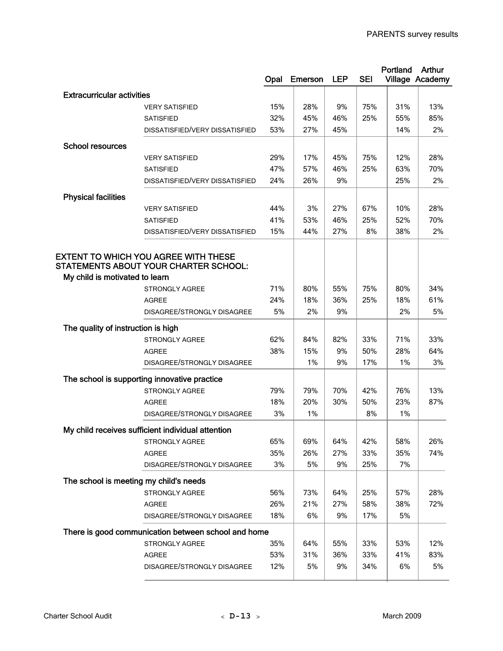|                                        |                                                     |           |                |            |            | Portland  | Arthur          |
|----------------------------------------|-----------------------------------------------------|-----------|----------------|------------|------------|-----------|-----------------|
|                                        |                                                     | Opal      | <b>Emerson</b> | <b>LEP</b> | <b>SEI</b> |           | Village Academy |
| <b>Extracurricular activities</b>      |                                                     |           |                |            |            |           |                 |
|                                        | <b>VERY SATISFIED</b>                               | 15%       | 28%            | 9%         | 75%        | 31%       | 13%             |
|                                        | <b>SATISFIED</b>                                    | 32%       | 45%            | 46%        | 25%        | 55%       | 85%             |
|                                        | DISSATISFIED/VERY DISSATISFIED                      | 53%       | 27%            | 45%        |            | 14%       | 2%              |
|                                        |                                                     |           |                |            |            |           |                 |
| <b>School resources</b>                |                                                     |           |                |            |            |           |                 |
|                                        | <b>VERY SATISFIED</b>                               | 29%       | 17%            | 45%        | 75%        | 12%       | 28%             |
|                                        | <b>SATISFIED</b>                                    | 47%       | 57%            | 46%        | 25%        | 63%       | 70%             |
|                                        | DISSATISFIED/VERY DISSATISFIED                      | 24%       | 26%            | 9%         |            | 25%       | 2%              |
| <b>Physical facilities</b>             |                                                     |           |                |            |            |           |                 |
|                                        | <b>VERY SATISFIED</b>                               | 44%       | 3%             | 27%        | 67%        | 10%       | 28%             |
|                                        | <b>SATISFIED</b>                                    | 41%       | 53%            | 46%        | 25%        | 52%       | 70%             |
|                                        | DISSATISFIED/VERY DISSATISFIED                      | 15%       | 44%            | 27%        | 8%         | 38%       | 2%              |
|                                        |                                                     |           |                |            |            |           |                 |
|                                        | <b>EXTENT TO WHICH YOU AGREE WITH THESE</b>         |           |                |            |            |           |                 |
|                                        | STATEMENTS ABOUT YOUR CHARTER SCHOOL:               |           |                |            |            |           |                 |
| My child is motivated to learn         |                                                     | 71%       |                |            |            |           |                 |
|                                        | <b>STRONGLY AGREE</b>                               |           | 80%            | 55%        | 75%        | 80%       | 34%             |
|                                        | <b>AGREE</b>                                        | 24%<br>5% | 18%<br>2%      | 36%<br>9%  | 25%        | 18%<br>2% | 61%<br>5%       |
|                                        | DISAGREE/STRONGLY DISAGREE                          |           |                |            |            |           |                 |
| The quality of instruction is high     |                                                     |           |                |            |            |           |                 |
|                                        | <b>STRONGLY AGREE</b>                               | 62%       | 84%            | 82%        | 33%        | 71%       | 33%             |
|                                        | <b>AGREE</b>                                        | 38%       | 15%            | 9%         | 50%        | 28%       | 64%             |
|                                        | DISAGREE/STRONGLY DISAGREE                          |           | 1%             | 9%         | 17%        | 1%        | 3%              |
|                                        | The school is supporting innovative practice        |           |                |            |            |           |                 |
|                                        | <b>STRONGLY AGREE</b>                               | 79%       | 79%            | 70%        | 42%        | 76%       | 13%             |
|                                        | <b>AGREE</b>                                        | 18%       | 20%            | 30%        | 50%        | 23%       | 87%             |
|                                        | DISAGREE/STRONGLY DISAGREE                          | 3%        | 1%             |            | 8%         | 1%        |                 |
|                                        |                                                     |           |                |            |            |           |                 |
|                                        | My child receives sufficient individual attention   |           |                |            |            |           |                 |
|                                        | STRONGLY AGREE                                      | 65%       | 69%            | 64%        | 42%        | 58%       | 26%             |
|                                        | <b>AGREE</b>                                        | 35%       | 26%            | 27%        | 33%        | 35%       | 74%             |
|                                        | DISAGREE/STRONGLY DISAGREE                          | 3%        | 5%             | 9%         | 25%        | 7%        |                 |
| The school is meeting my child's needs |                                                     |           |                |            |            |           |                 |
|                                        | STRONGLY AGREE                                      | 56%       | 73%            | 64%        | 25%        | 57%       | 28%             |
|                                        | <b>AGREE</b>                                        | 26%       | 21%            | 27%        | 58%        | 38%       | 72%             |
|                                        | DISAGREE/STRONGLY DISAGREE                          | 18%       | 6%             | 9%         | 17%        | 5%        |                 |
|                                        | There is good communication between school and home |           |                |            |            |           |                 |
|                                        | STRONGLY AGREE                                      | 35%       | 64%            | 55%        | 33%        | 53%       | 12%             |
|                                        | AGREE                                               | 53%       | 31%            | 36%        | 33%        | 41%       | 83%             |
|                                        | DISAGREE/STRONGLY DISAGREE                          | 12%       | 5%             | 9%         | 34%        | 6%        | 5%              |
|                                        |                                                     |           |                |            |            |           |                 |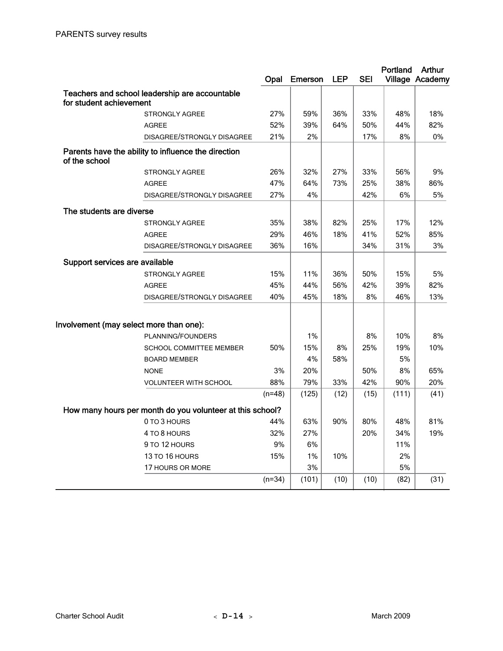|                                         |                                                           | Opal     | <b>Emerson</b> | <b>LEP</b> | <b>SEI</b> | Portland | Arthur<br>Village Academy |
|-----------------------------------------|-----------------------------------------------------------|----------|----------------|------------|------------|----------|---------------------------|
|                                         | Teachers and school leadership are accountable            |          |                |            |            |          |                           |
| for student achievement                 |                                                           |          |                |            |            |          |                           |
|                                         | <b>STRONGLY AGREE</b>                                     | 27%      | 59%            | 36%        | 33%        | 48%      | 18%                       |
|                                         | <b>AGREE</b>                                              | 52%      | 39%            | 64%        | 50%        | 44%      | 82%                       |
|                                         | DISAGREE/STRONGLY DISAGREE                                | 21%      | 2%             |            | 17%        | 8%       | 0%                        |
| of the school                           | Parents have the ability to influence the direction       |          |                |            |            |          |                           |
|                                         | <b>STRONGLY AGREE</b>                                     | 26%      | 32%            | 27%        | 33%        | 56%      | 9%                        |
|                                         | <b>AGREE</b>                                              | 47%      | 64%            | 73%        | 25%        | 38%      | 86%                       |
|                                         | DISAGREE/STRONGLY DISAGREE                                | 27%      | 4%             |            | 42%        | 6%       | 5%                        |
| The students are diverse                |                                                           |          |                |            |            |          |                           |
|                                         | <b>STRONGLY AGREE</b>                                     | 35%      | 38%            | 82%        | 25%        | 17%      | 12%                       |
|                                         | <b>AGREE</b>                                              | 29%      | 46%            | 18%        | 41%        | 52%      | 85%                       |
|                                         | DISAGREE/STRONGLY DISAGREE                                | 36%      | 16%            |            | 34%        | 31%      | 3%                        |
| Support services are available          |                                                           |          |                |            |            |          |                           |
|                                         | <b>STRONGLY AGREE</b>                                     | 15%      | 11%            | 36%        | 50%        | 15%      | 5%                        |
|                                         | <b>AGREE</b>                                              | 45%      | 44%            | 56%        | 42%        | 39%      | 82%                       |
|                                         | DISAGREE/STRONGLY DISAGREE                                | 40%      | 45%            | 18%        | 8%         | 46%      | 13%                       |
| Involvement (may select more than one): |                                                           |          |                |            |            |          |                           |
|                                         | PLANNING/FOUNDERS                                         |          | 1%             |            | 8%         | 10%      | 8%                        |
|                                         | <b>SCHOOL COMMITTEE MEMBER</b>                            | 50%      | 15%            | 8%         | 25%        | 19%      | 10%                       |
|                                         | <b>BOARD MEMBER</b>                                       |          | 4%             | 58%        |            | 5%       |                           |
|                                         | <b>NONE</b>                                               | 3%       | 20%            |            | 50%        | 8%       | 65%                       |
|                                         | <b>VOLUNTEER WITH SCHOOL</b>                              | 88%      | 79%            | 33%        | 42%        | 90%      | 20%                       |
|                                         |                                                           | $(n=48)$ | (125)          | (12)       | (15)       | (111)    | (41)                      |
|                                         | How many hours per month do you volunteer at this school? |          |                |            |            |          |                           |
|                                         | 0 TO 3 HOURS                                              | 44%      | 63%            | 90%        | 80%        | 48%      | 81%                       |
|                                         | 4 TO 8 HOURS                                              | 32%      | 27%            |            | 20%        | 34%      | 19%                       |
|                                         | 9 TO 12 HOURS                                             | 9%       | 6%             |            |            | 11%      |                           |
|                                         | 13 TO 16 HOURS                                            | 15%      | 1%             | 10%        |            | 2%       |                           |
|                                         | 17 HOURS OR MORE                                          |          | 3%             |            |            | 5%       |                           |
|                                         |                                                           | $(n=34)$ | (101)          | (10)       | (10)       | (82)     | (31)                      |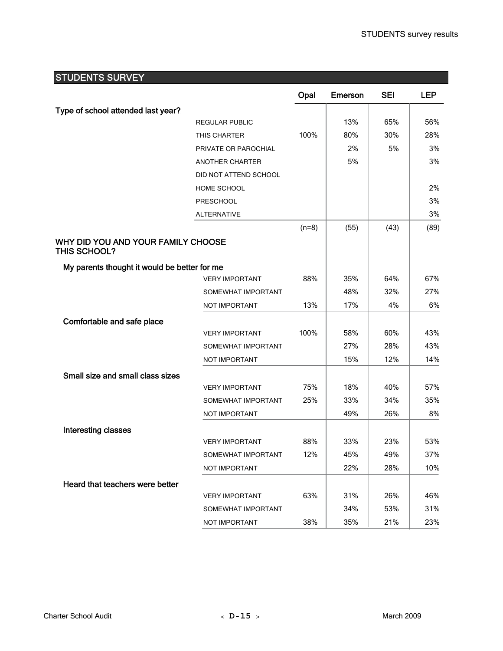## STUDENTS SURVEY

|                                                    |                        | Opal    | <b>Emerson</b> | <b>SEI</b> | <b>LEP</b> |
|----------------------------------------------------|------------------------|---------|----------------|------------|------------|
| Type of school attended last year?                 |                        |         |                |            |            |
|                                                    | REGULAR PUBLIC         |         | 13%            | 65%        | 56%        |
|                                                    | THIS CHARTER           | 100%    | 80%            | 30%        | 28%        |
|                                                    | PRIVATE OR PAROCHIAL   |         | 2%             | 5%         | 3%         |
|                                                    | <b>ANOTHER CHARTER</b> |         | 5%             |            | 3%         |
|                                                    | DID NOT ATTEND SCHOOL  |         |                |            |            |
|                                                    | HOME SCHOOL            |         |                |            | 2%         |
|                                                    | <b>PRESCHOOL</b>       |         |                |            | 3%         |
|                                                    | <b>ALTERNATIVE</b>     |         |                |            | 3%         |
|                                                    |                        | $(n=8)$ | (55)           | (43)       | (89)       |
| WHY DID YOU AND YOUR FAMILY CHOOSE<br>THIS SCHOOL? |                        |         |                |            |            |
| My parents thought it would be better for me       |                        |         |                |            |            |
|                                                    | <b>VERY IMPORTANT</b>  | 88%     | 35%            | 64%        | 67%        |
|                                                    | SOMEWHAT IMPORTANT     |         | 48%            | 32%        | 27%        |
|                                                    | NOT IMPORTANT          | 13%     | 17%            | 4%         | 6%         |
| Comfortable and safe place                         |                        |         |                |            |            |
|                                                    | <b>VERY IMPORTANT</b>  | 100%    | 58%            | 60%        | 43%        |
|                                                    | SOMEWHAT IMPORTANT     |         | 27%            | 28%        | 43%        |
|                                                    | NOT IMPORTANT          |         | 15%            | 12%        | 14%        |
| Small size and small class sizes                   |                        |         |                |            |            |
|                                                    | <b>VERY IMPORTANT</b>  | 75%     | 18%            | 40%        | 57%        |
|                                                    | SOMEWHAT IMPORTANT     | 25%     | 33%            | 34%        | 35%        |
|                                                    | NOT IMPORTANT          |         | 49%            | 26%        | 8%         |
| Interesting classes                                |                        |         |                |            |            |
|                                                    | <b>VERY IMPORTANT</b>  | 88%     | 33%            | 23%        | 53%        |
|                                                    | SOMEWHAT IMPORTANT     | 12%     | 45%            | 49%        | 37%        |
|                                                    | NOT IMPORTANT          |         | 22%            | 28%        | 10%        |
| Heard that teachers were better                    |                        |         |                |            |            |
|                                                    | <b>VERY IMPORTANT</b>  | 63%     | 31%            | 26%        | 46%        |
|                                                    | SOMEWHAT IMPORTANT     |         | 34%            | 53%        | 31%        |
|                                                    | NOT IMPORTANT          | 38%     | 35%            | 21%        | 23%        |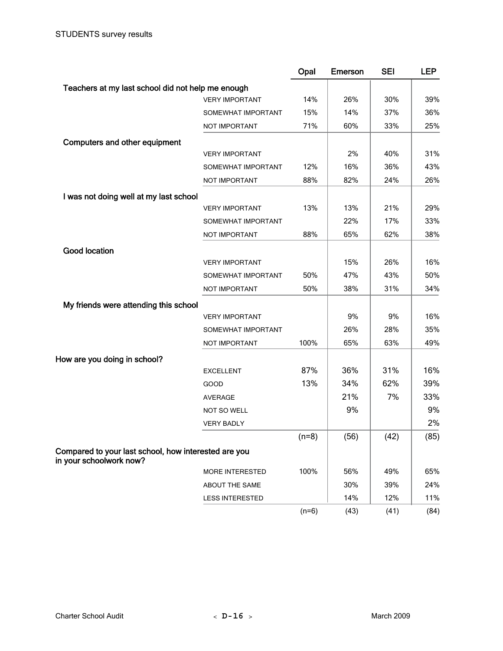|                                                                                 |                        | Opal    | Emerson | <b>SEI</b> | <b>LEP</b> |
|---------------------------------------------------------------------------------|------------------------|---------|---------|------------|------------|
| Teachers at my last school did not help me enough                               |                        |         |         |            |            |
|                                                                                 | <b>VERY IMPORTANT</b>  | 14%     | 26%     | 30%        | 39%        |
|                                                                                 | SOMEWHAT IMPORTANT     | 15%     | 14%     | 37%        | 36%        |
|                                                                                 | NOT IMPORTANT          | 71%     | 60%     | 33%        | 25%        |
| <b>Computers and other equipment</b>                                            |                        |         |         |            |            |
|                                                                                 | <b>VERY IMPORTANT</b>  |         | 2%      | 40%        | 31%        |
|                                                                                 | SOMEWHAT IMPORTANT     | 12%     | 16%     | 36%        | 43%        |
|                                                                                 | NOT IMPORTANT          | 88%     | 82%     | 24%        | 26%        |
| I was not doing well at my last school                                          |                        |         |         |            |            |
|                                                                                 | <b>VERY IMPORTANT</b>  | 13%     | 13%     | 21%        | 29%        |
|                                                                                 | SOMEWHAT IMPORTANT     |         | 22%     | 17%        | 33%        |
|                                                                                 | NOT IMPORTANT          | 88%     | 65%     | 62%        | 38%        |
| <b>Good location</b>                                                            |                        |         |         |            |            |
|                                                                                 | <b>VERY IMPORTANT</b>  |         | 15%     | 26%        | 16%        |
|                                                                                 | SOMEWHAT IMPORTANT     | 50%     | 47%     | 43%        | 50%        |
|                                                                                 | NOT IMPORTANT          | 50%     | 38%     | 31%        | 34%        |
| My friends were attending this school                                           |                        |         |         |            |            |
|                                                                                 | <b>VERY IMPORTANT</b>  |         | 9%      | 9%         | 16%        |
|                                                                                 | SOMEWHAT IMPORTANT     |         | 26%     | 28%        | 35%        |
|                                                                                 | NOT IMPORTANT          | 100%    | 65%     | 63%        | 49%        |
| How are you doing in school?                                                    |                        |         |         |            |            |
|                                                                                 | <b>EXCELLENT</b>       | 87%     | 36%     | 31%        | 16%        |
|                                                                                 | GOOD                   | 13%     | 34%     | 62%        | 39%        |
|                                                                                 | <b>AVERAGE</b>         |         | 21%     | 7%         | 33%        |
|                                                                                 | NOT SO WELL            |         | 9%      |            | 9%         |
|                                                                                 | <b>VERY BADLY</b>      |         |         |            | 2%         |
|                                                                                 |                        | $(n=8)$ | (56)    | (42)       | (85)       |
| Compared to your last school, how interested are you<br>in your schoolwork now? |                        |         |         |            |            |
|                                                                                 | MORE INTERESTED        | 100%    | 56%     | 49%        | 65%        |
|                                                                                 | ABOUT THE SAME         |         | 30%     | 39%        | 24%        |
|                                                                                 | <b>LESS INTERESTED</b> |         | 14%     | 12%        | 11%        |
|                                                                                 |                        | $(n=6)$ | (43)    | (41)       | (84)       |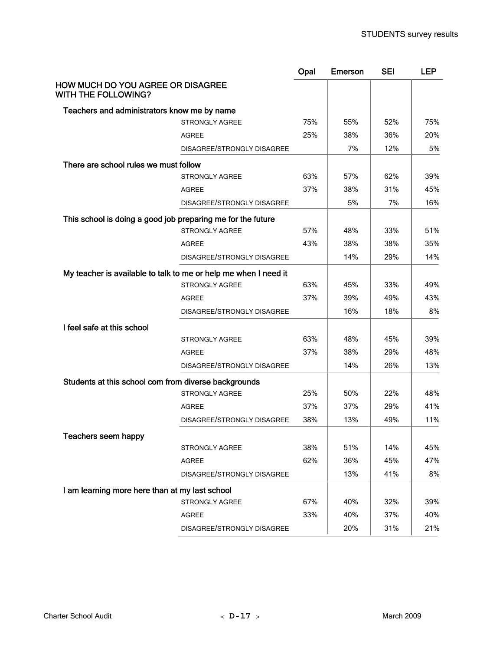|                                                                 | Opal                              | <b>Emerson</b> | <b>SEI</b> | <b>LEP</b> |
|-----------------------------------------------------------------|-----------------------------------|----------------|------------|------------|
| HOW MUCH DO YOU AGREE OR DISAGREE<br>WITH THE FOLLOWING?        |                                   |                |            |            |
| Teachers and administrators know me by name                     |                                   |                |            |            |
| STRONGLY AGREE                                                  | 75%                               | 55%            | 52%        | 75%        |
| <b>AGREE</b>                                                    | 25%                               | 38%            | 36%        | 20%        |
|                                                                 | DISAGREE/STRONGLY DISAGREE        | 7%             | 12%        | 5%         |
| There are school rules we must follow                           |                                   |                |            |            |
| <b>STRONGLY AGREE</b>                                           | 63%                               | 57%            | 62%        | 39%        |
| <b>AGREE</b>                                                    | 37%                               | 38%            | 31%        | 45%        |
|                                                                 | DISAGREE/STRONGLY DISAGREE        | 5%             | 7%         | 16%        |
| This school is doing a good job preparing me for the future     |                                   |                |            |            |
| STRONGLY AGREE                                                  | 57%                               | 48%            | 33%        | 51%        |
| <b>AGREE</b>                                                    | 43%                               | 38%            | 38%        | 35%        |
|                                                                 | DISAGREE/STRONGLY DISAGREE        | 14%            | 29%        | 14%        |
| My teacher is available to talk to me or help me when I need it |                                   |                |            |            |
| <b>STRONGLY AGREE</b>                                           | 63%                               | 45%            | 33%        | 49%        |
| <b>AGREE</b>                                                    | 37%                               | 39%            | 49%        | 43%        |
|                                                                 | DISAGREE/STRONGLY DISAGREE        | 16%            | 18%        | 8%         |
| I feel safe at this school                                      |                                   |                |            |            |
| <b>STRONGLY AGREE</b>                                           | 63%                               | 48%            | 45%        | 39%        |
| <b>AGREE</b>                                                    | 37%                               | 38%            | 29%        | 48%        |
|                                                                 | DISAGREE/STRONGLY DISAGREE        | 14%            | 26%        | 13%        |
| Students at this school com from diverse backgrounds            |                                   |                |            |            |
| <b>STRONGLY AGREE</b>                                           | 25%                               | 50%            | 22%        | 48%        |
| <b>AGREE</b>                                                    | 37%                               | 37%            | 29%        | 41%        |
|                                                                 | 38%<br>DISAGREE/STRONGLY DISAGREE | 13%            | 49%        | 11%        |
| Teachers seem happy                                             |                                   |                |            |            |
| STRONGLY AGREE                                                  | 38%                               | 51%            | 14%        | 45%        |
| <b>AGREE</b>                                                    | 62%                               | 36%            | 45%        | 47%        |
|                                                                 | DISAGREE/STRONGLY DISAGREE        | 13%            | 41%        | 8%         |
| I am learning more here than at my last school                  |                                   |                |            |            |
| STRONGLY AGREE                                                  | 67%                               | 40%            | 32%        | 39%        |
| AGREE                                                           | 33%                               | 40%            | 37%        | 40%        |
|                                                                 | DISAGREE/STRONGLY DISAGREE        | 20%            | 31%        | 21%        |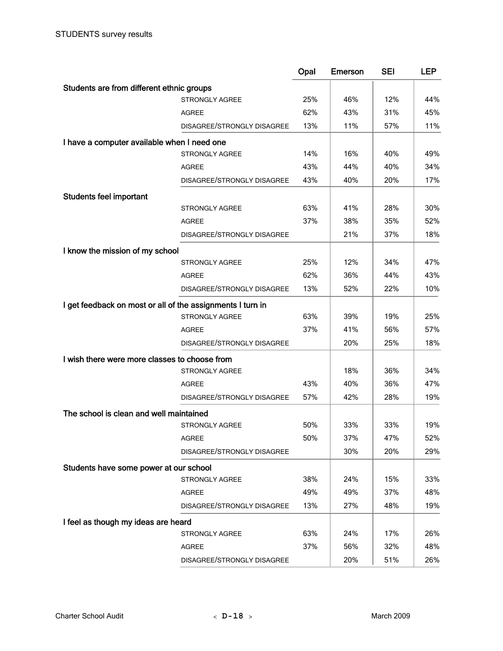|                                                            |                            | Opal | <b>Emerson</b> | <b>SEI</b> | <b>LEP</b> |
|------------------------------------------------------------|----------------------------|------|----------------|------------|------------|
| Students are from different ethnic groups                  |                            |      |                |            |            |
|                                                            | <b>STRONGLY AGREE</b>      | 25%  | 46%            | 12%        | 44%        |
|                                                            | <b>AGREE</b>               | 62%  | 43%            | 31%        | 45%        |
|                                                            | DISAGREE/STRONGLY DISAGREE | 13%  | 11%            | 57%        | 11%        |
| I have a computer available when I need one                |                            |      |                |            |            |
|                                                            | <b>STRONGLY AGREE</b>      | 14%  | 16%            | 40%        | 49%        |
|                                                            | <b>AGREE</b>               | 43%  | 44%            | 40%        | 34%        |
|                                                            | DISAGREE/STRONGLY DISAGREE | 43%  | 40%            | 20%        | 17%        |
| <b>Students feel important</b>                             |                            |      |                |            |            |
|                                                            | <b>STRONGLY AGREE</b>      | 63%  | 41%            | 28%        | 30%        |
|                                                            | <b>AGREE</b>               | 37%  | 38%            | 35%        | 52%        |
|                                                            | DISAGREE/STRONGLY DISAGREE |      | 21%            | 37%        | 18%        |
| I know the mission of my school                            |                            |      |                |            |            |
|                                                            | <b>STRONGLY AGREE</b>      | 25%  | 12%            | 34%        | 47%        |
|                                                            | <b>AGREE</b>               | 62%  | 36%            | 44%        | 43%        |
|                                                            | DISAGREE/STRONGLY DISAGREE | 13%  | 52%            | 22%        | 10%        |
|                                                            |                            |      |                |            |            |
| I get feedback on most or all of the assignments I turn in | <b>STRONGLY AGREE</b>      | 63%  | 39%            | 19%        | 25%        |
|                                                            | <b>AGREE</b>               | 37%  | 41%            | 56%        | 57%        |
|                                                            | DISAGREE/STRONGLY DISAGREE |      | 20%            | 25%        | 18%        |
|                                                            |                            |      |                |            |            |
| I wish there were more classes to choose from              |                            |      |                |            |            |
|                                                            | <b>STRONGLY AGREE</b>      |      | 18%            | 36%        | 34%        |
|                                                            | <b>AGREE</b>               | 43%  | 40%            | 36%        | 47%        |
|                                                            | DISAGREE/STRONGLY DISAGREE | 57%  | 42%            | 28%        | 19%        |
| The school is clean and well maintained                    |                            |      |                |            |            |
|                                                            | <b>STRONGLY AGREE</b>      | 50%  | 33%            | 33%        | 19%        |
|                                                            | <b>AGREE</b>               | 50%  | 37%            | 47%        | 52%        |
|                                                            | DISAGREE/STRONGLY DISAGREE |      | 30%            | 20%        | 29%        |
| Students have some power at our school                     |                            |      |                |            |            |
|                                                            | STRONGLY AGREE             | 38%  | 24%            | 15%        | 33%        |
|                                                            | <b>AGREE</b>               | 49%  | 49%            | 37%        | 48%        |
|                                                            | DISAGREE/STRONGLY DISAGREE | 13%  | 27%            | 48%        | 19%        |
| I feel as though my ideas are heard                        |                            |      |                |            |            |
|                                                            | STRONGLY AGREE             | 63%  | 24%            | 17%        | 26%        |
|                                                            | <b>AGREE</b>               | 37%  | 56%            | 32%        | 48%        |
|                                                            | DISAGREE/STRONGLY DISAGREE |      | 20%            | 51%        | 26%        |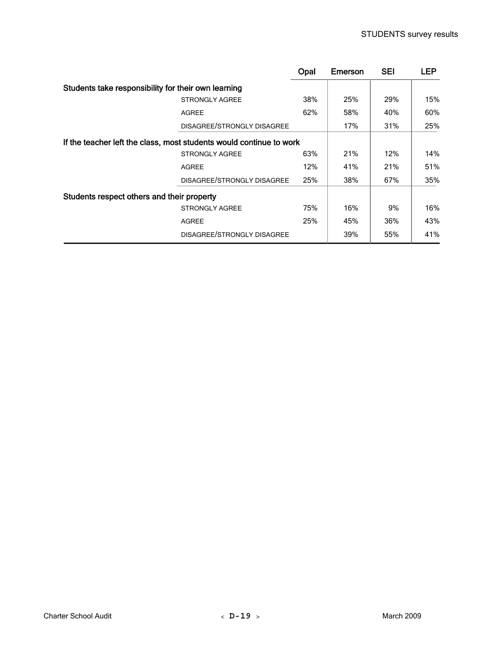|                                                     |                                                                     | Opal | <b>Emerson</b> | <b>SEI</b> | <b>LEP</b> |
|-----------------------------------------------------|---------------------------------------------------------------------|------|----------------|------------|------------|
| Students take responsibility for their own learning |                                                                     |      |                |            |            |
|                                                     | <b>STRONGLY AGREE</b>                                               | 38%  | 25%            | 29%        | 15%        |
|                                                     | <b>AGREE</b>                                                        | 62%  | 58%            | 40%        | 60%        |
|                                                     | DISAGREE/STRONGLY DISAGREE                                          |      | 17%            | 31%        | 25%        |
|                                                     | If the teacher left the class, most students would continue to work |      |                |            |            |
|                                                     | <b>STRONGLY AGREE</b>                                               | 63%  | 21%            | 12%        | 14%        |
|                                                     | <b>AGREE</b>                                                        | 12%  | 41%            | 21%        | 51%        |
|                                                     | DISAGREE/STRONGLY DISAGREE                                          | 25%  | 38%            | 67%        | 35%        |
| Students respect others and their property          |                                                                     |      |                |            |            |
|                                                     | <b>STRONGLY AGREE</b>                                               | 75%  | 16%            | 9%         | 16%        |
|                                                     | <b>AGREE</b>                                                        | 25%  | 45%            | 36%        | 43%        |
|                                                     | DISAGREE/STRONGLY DISAGREE                                          |      | 39%            | 55%        | 41%        |